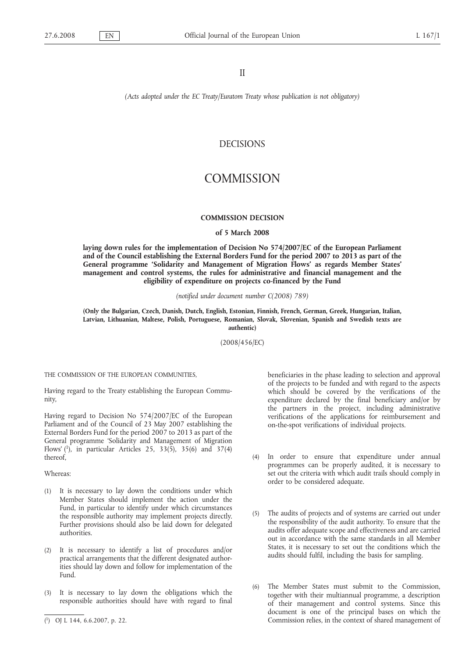# II

*(Acts adopted under the EC Treaty/Euratom Treaty whose publication is not obligatory)*

# DECISIONS

# **COMMISSION**

### **COMMISSION DECISION**

#### **of 5 March 2008**

**laying down rules for the implementation of Decision No 574/2007/EC of the European Parliament and of the Council establishing the External Borders Fund for the period 2007 to 2013 as part of the General programme 'Solidarity and Management of Migration Flows' as regards Member States' management and control systems, the rules for administrative and financial management and the eligibility of expenditure on projects co-financed by the Fund**

*(notified under document number C(2008) 789)*

**(Only the Bulgarian, Czech, Danish, Dutch, English, Estonian, Finnish, French, German, Greek, Hungarian, Italian, Latvian, Lithuanian, Maltese, Polish, Portuguese, Romanian, Slovak, Slovenian, Spanish and Swedish texts are authentic)**

(2008/456/EC)

THE COMMISSION OF THE EUROPEAN COMMUNITIES,

Having regard to the Treaty establishing the European Community,

Having regard to Decision No 574/2007/EC of the European Parliament and of the Council of 23 May 2007 establishing the External Borders Fund for the period 2007 to 2013 as part of the General programme 'Solidarity and Management of Migration Flows' ( 1), in particular Articles 25, 33(5), 35(6) and 37(4) thereof,

Whereas:

- (1) It is necessary to lay down the conditions under which Member States should implement the action under the Fund, in particular to identify under which circumstances the responsible authority may implement projects directly. Further provisions should also be laid down for delegated authorities.
- (2) It is necessary to identify a list of procedures and/or practical arrangements that the different designated authorities should lay down and follow for implementation of the Fund.
- (3) It is necessary to lay down the obligations which the responsible authorities should have with regard to final

beneficiaries in the phase leading to selection and approval of the projects to be funded and with regard to the aspects which should be covered by the verifications of the expenditure declared by the final beneficiary and/or by the partners in the project, including administrative verifications of the applications for reimbursement and on-the-spot verifications of individual projects.

- (4) In order to ensure that expenditure under annual programmes can be properly audited, it is necessary to set out the criteria with which audit trails should comply in order to be considered adequate.
- (5) The audits of projects and of systems are carried out under the responsibility of the audit authority. To ensure that the audits offer adequate scope and effectiveness and are carried out in accordance with the same standards in all Member States, it is necessary to set out the conditions which the audits should fulfil, including the basis for sampling.
- (6) The Member States must submit to the Commission, together with their multiannual programme, a description of their management and control systems. Since this document is one of the principal bases on which the Commission relies, in the context of shared management of

<sup>(</sup> 1) OJ L 144, 6.6.2007, p. 22.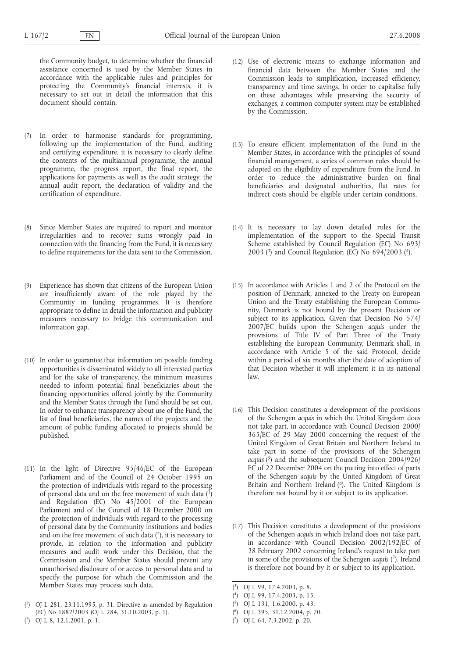the Community budget, to determine whether the financial assistance concerned is used by the Member States in accordance with the applicable rules and principles for protecting the Community's financial interests, it is necessary to set out in detail the information that this document should contain.

- (7) In order to harmonise standards for programming, following up the implementation of the Fund, auditing and certifying expenditure, it is necessary to clearly define the contents of the multiannual programme, the annual programme, the progress report, the final report, the applications for payments as well as the audit strategy, the annual audit report, the declaration of validity and the certification of expenditure.
- (8) Since Member States are required to report and monitor irregularities and to recover sums wrongly paid in connection with the financing from the Fund, it is necessary to define requirements for the data sent to the Commission.
- (9) Experience has shown that citizens of the European Union are insufficiently aware of the role played by the Community in funding programmes. It is therefore appropriate to define in detail the information and publicity measures necessary to bridge this communication and information gap.
- (10) In order to guarantee that information on possible funding opportunities is disseminated widely to all interested parties and for the sake of transparency, the minimum measures needed to inform potential final beneficiaries about the financing opportunities offered jointly by the Community and the Member States through the Fund should be set out. In order to enhance transparency about use of the Fund, the list of final beneficiaries, the names of the projects and the amount of public funding allocated to projects should be published.
- (11) In the light of Directive 95/46/EC of the European Parliament and of the Council of 24 October 1995 on the protection of individuals with regard to the processing of personal data and on the free movement of such data  $(1)$ and Regulation (EC) No 45/2001 of the European Parliament and of the Council of 18 December 2000 on the protection of individuals with regard to the processing of personal data by the Community institutions and bodies and on the free movement of such data  $(2)$ , it is necessary to provide, in relation to the information and publicity measures and audit work under this Decision, that the Commission and the Member States should prevent any unauthorised disclosure of or access to personal data and to specify the purpose for which the Commission and the Member States may process such data.
- (12) Use of electronic means to exchange information and financial data between the Member States and the Commission leads to simplification, increased efficiency, transparency and time savings. In order to capitalise fully on these advantages while preserving the security of exchanges, a common computer system may be established by the Commission.
- (13) To ensure efficient implementation of the Fund in the Member States, in accordance with the principles of sound financial management, a series of common rules should be adopted on the eligibility of expenditure from the Fund. In order to reduce the administrative burden on final beneficiaries and designated authorities, flat rates for indirect costs should be eligible under certain conditions.
- (14) It is necessary to lay down detailed rules for the implementation of the support to the Special Transit Scheme established by Council Regulation (EC) No 693/ 2003 ( $^{3}$ ) and Council Regulation (EC) No 694/2003 ( $^{4}$ ).
- (15) In accordance with Articles 1 and 2 of the Protocol on the position of Denmark, annexed to the Treaty on European Union and the Treaty establishing the European Community, Denmark is not bound by the present Decision or subject to its application. Given that Decision No 574/ 2007/EC builds upon the Schengen *acquis* under the provisions of Title IV of Part Three of the Treaty establishing the European Community, Denmark shall, in accordance with Article 5 of the said Protocol, decide within a period of six months after the date of adoption of that Decision whether it will implement it in its national law.
- (16) This Decision constitutes a development of the provisions of the Schengen *acquis* in which the United Kingdom does not take part, in accordance with Council Decision 2000/ 365/EC of 29 May 2000 concerning the request of the United Kingdom of Great Britain and Northern Ireland to take part in some of the provisions of the Schengen *acquis* ( 5) and the subsequent Council Decision 2004/926/ EC of 22 December 2004 on the putting into effect of parts of the Schengen *acquis* by the United Kingdom of Great Britain and Northern Ireland (<sup>6</sup>). The United Kingdom is therefore not bound by it or subject to its application.
- (17) This Decision constitutes a development of the provisions of the Schengen *acquis* in which Ireland does not take part, in accordance with Council Decision 2002/192/EC of 28 February 2002 concerning Ireland's request to take part in some of the provisions of the Schengen *acquis* ( 7). Ireland is therefore not bound by it or subject to its application.

<sup>(</sup> 1) OJ L 281, 23.11.1995, p. 31. Directive as amended by Regulation (EC) No 1882/2003 (OJ L 284, 31.10.2003, p. 1).

<sup>(</sup> 2) OJ L 8, 12.1.2001, p. 1.

<sup>(</sup> 3) OJ L 99, 17.4.2003, p. 8.

<sup>(</sup> 4) OJ L 99, 17.4.2003, p. 15.

<sup>(</sup> 5) OJ L 131, 1.6.2000, p. 43.

<sup>(</sup> 6) OJ L 395, 31.12.2004, p. 70.

<sup>(</sup> 7) OJ L 64, 7.3.2002, p. 20.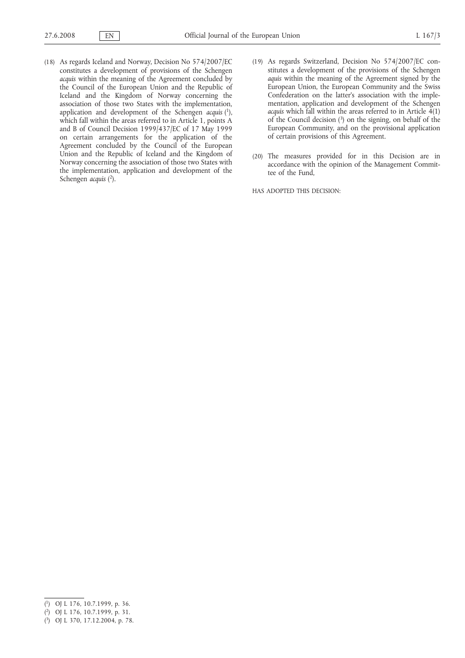- (18) As regards Iceland and Norway, Decision No 574/2007/EC constitutes a development of provisions of the Schengen *acquis* within the meaning of the Agreement concluded by the Council of the European Union and the Republic of Iceland and the Kingdom of Norway concerning the association of those two States with the implementation, application and development of the Schengen *acquis* ( 1), which fall within the areas referred to in Article 1, points A and B of Council Decision 1999/437/EC of 17 May 1999 on certain arrangements for the application of the Agreement concluded by the Council of the European Union and the Republic of Iceland and the Kingdom of Norway concerning the association of those two States with the implementation, application and development of the Schengen *acquis* ( 2).
- (19) As regards Switzerland, Decision No 574/2007/EC constitutes a development of the provisions of the Schengen *aquis* within the meaning of the Agreement signed by the European Union, the European Community and the Swiss Confederation on the latter's association with the implementation, application and development of the Schengen *acquis* which fall within the areas referred to in Article 4(1) of the Council decision  $(3)$  on the signing, on behalf of the European Community, and on the provisional application of certain provisions of this Agreement.
- (20) The measures provided for in this Decision are in accordance with the opinion of the Management Committee of the Fund,

HAS ADOPTED THIS DECISION:

<sup>(</sup> 1) OJ L 176, 10.7.1999, p. 36.

<sup>(</sup> 2) OJ L 176, 10.7.1999, p. 31.

<sup>(</sup> 3) OJ L 370, 17.12.2004, p. 78.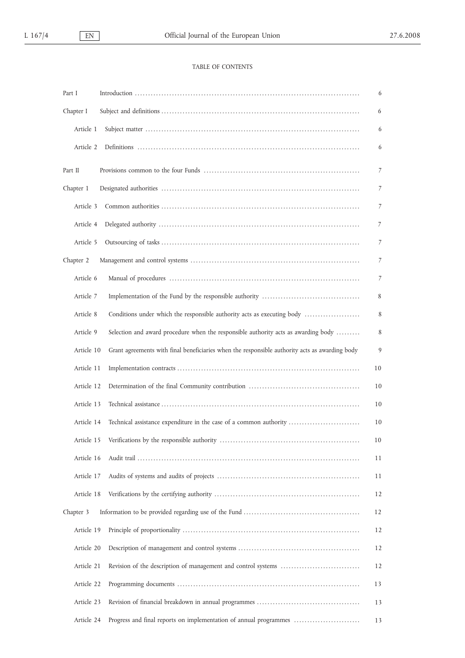# TABLE OF CONTENTS

| Part I     |                                                                                                | 6              |
|------------|------------------------------------------------------------------------------------------------|----------------|
| Chapter I  |                                                                                                | 6              |
| Article 1  |                                                                                                | 6              |
| Article 2  |                                                                                                | 6              |
| Part II    |                                                                                                | $\overline{7}$ |
| Chapter 1  |                                                                                                | 7              |
| Article 3  |                                                                                                | 7              |
| Article 4  |                                                                                                | 7              |
| Article 5  |                                                                                                | 7              |
| Chapter 2  |                                                                                                | 7              |
| Article 6  |                                                                                                | 7              |
| Article 7  |                                                                                                | 8              |
| Article 8  | Conditions under which the responsible authority acts as executing body                        | 8              |
| Article 9  | Selection and award procedure when the responsible authority acts as awarding body             | 8              |
| Article 10 | Grant agreements with final beneficiaries when the responsible authority acts as awarding body | 9              |
| Article 11 |                                                                                                | 10             |
| Article 12 |                                                                                                | 10             |
| Article 13 |                                                                                                | 10             |
| Article 14 | Technical assistance expenditure in the case of a common authority                             | 10             |
|            |                                                                                                | 10             |
| Article 16 |                                                                                                | 11             |
| Article 17 |                                                                                                | 11             |
| Article 18 |                                                                                                | 12             |
| Chapter 3  |                                                                                                | 12             |
| Article 19 |                                                                                                | 12             |
| Article 20 |                                                                                                | 12             |
| Article 21 |                                                                                                | 12             |
| Article 22 |                                                                                                | 13             |
| Article 23 |                                                                                                | 13             |
| Article 24 | Progress and final reports on implementation of annual programmes                              | 13             |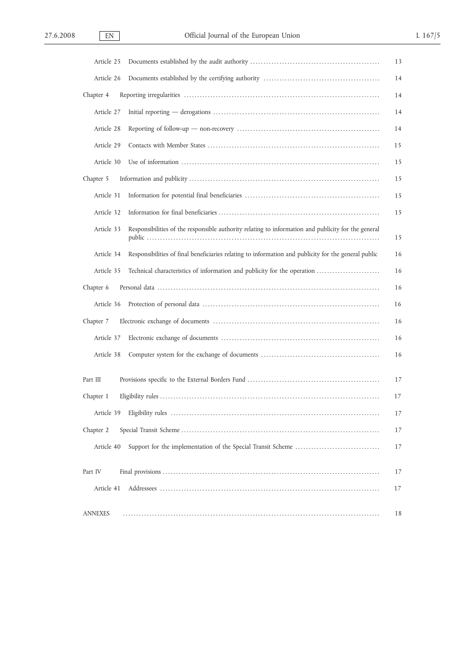| Article 25                                                                                                         | 13 |
|--------------------------------------------------------------------------------------------------------------------|----|
| Article 26                                                                                                         | 14 |
| Chapter 4                                                                                                          | 14 |
| Article 27                                                                                                         | 14 |
| Article 28                                                                                                         | 14 |
| Article 29                                                                                                         | 15 |
| Article 30                                                                                                         | 15 |
| Chapter 5                                                                                                          | 15 |
| Article 31                                                                                                         | 15 |
| Article 32                                                                                                         | 15 |
| Responsibilities of the responsible authority relating to information and publicity for the general<br>Article 33  | 15 |
| Article 34<br>Responsibilities of final beneficiaries relating to information and publicity for the general public | 16 |
| Article 35<br>Technical characteristics of information and publicity for the operation                             | 16 |
| Chapter 6                                                                                                          | 16 |
| Article 36                                                                                                         | 16 |
| Chapter 7                                                                                                          | 16 |
| Article 37                                                                                                         | 16 |
| Article 38                                                                                                         | 16 |
| Part III                                                                                                           | 17 |
| Chapter 1                                                                                                          | 17 |
| Article 39                                                                                                         | 17 |
| Chapter 2                                                                                                          | 17 |
| Article 40                                                                                                         | 17 |
| Part IV                                                                                                            | 17 |
| Article 41                                                                                                         | 17 |
| <b>ANNEXES</b>                                                                                                     | 18 |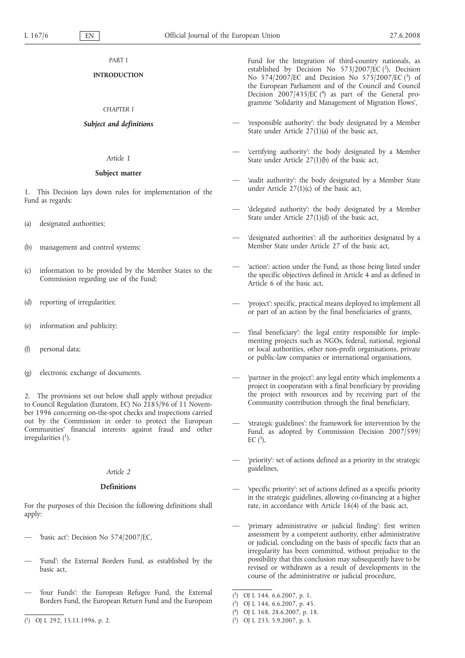# **INTRODUCTION**

# *CHAPTER I*

# *Subject and definitions*

### *Article 1*

#### **Subject matter**

1. This Decision lays down rules for implementation of the Fund as regards:

- (a) designated authorities;
- (b) management and control systems;
- (c) information to be provided by the Member States to the Commission regarding use of the Fund;
- (d) reporting of irregularities;
- (e) information and publicity;
- (f) personal data;
- (g) electronic exchange of documents.

2. The provisions set out below shall apply without prejudice to Council Regulation (Euratom, EC) No 2185/96 of 11 November 1996 concerning on-the-spot checks and inspections carried out by the Commission in order to protect the European Communities' financial interests against fraud and other irregularities  $(1)$ .

#### *Article 2*

# **Definitions**

For the purposes of this Decision the following definitions shall apply:

- 'basic act': Decision No 574/2007/EC,
- 'Fund': the External Borders Fund, as established by the basic act,
- 'four Funds': the European Refugee Fund, the External Borders Fund, the European Return Fund and the European
- ( 1) OJ L 292, 15.11.1996, p. 2.

Fund for the Integration of third-country nationals, as established by Decision No 573/2007/EC (2), Decision No 574/2007/EC and Decision No 575/2007/EC (3) of the European Parliament and of the Council and Council Decision  $2007/435/EC$  (<sup>4</sup>) as part of the General programme 'Solidarity and Management of Migration Flows',

- 'responsible authority': the body designated by a Member State under Article 27(1)(a) of the basic act,
- 'certifying authority': the body designated by a Member State under Article 27(1)(b) of the basic act,
- 'audit authority': the body designated by a Member State under Article 27(1)(c) of the basic act,
- 'delegated authority': the body designated by a Member State under Article 27(1)(d) of the basic act,
- 'designated authorities': all the authorities designated by a Member State under Article 27 of the basic act,
- 'action': action under the Fund, as those being listed under the specific objectives defined in Article 4 and as defined in Article 6 of the basic act,
- 'project': specific, practical means deployed to implement all or part of an action by the final beneficiaries of grants,
- 'final beneficiary': the legal entity responsible for implementing projects such as NGOs, federal, national, regional or local authorities, other non-profit organisations, private or public-law companies or international organisations,
- 'partner in the project': any legal entity which implements a project in cooperation with a final beneficiary by providing the project with resources and by receiving part of the Community contribution through the final beneficiary,
- 'strategic guidelines': the framework for intervention by the Fund, as adopted by Commission Decision 2007/599/ EC  $(5)$ ,
- 'priority': set of actions defined as a priority in the strategic guidelines,
- 'specific priority': set of actions defined as a specific priority in the strategic guidelines, allowing co-financing at a higher rate, in accordance with Article 16(4) of the basic act,
- 'primary administrative or judicial finding': first written assessment by a competent authority, either administrative or judicial, concluding on the basis of specific facts that an irregularity has been committed, without prejudice to the possibility that this conclusion may subsequently have to be revised or withdrawn as a result of developments in the course of the administrative or judicial procedure,

( 3) OJ L 144, 6.6.2007, p. 45.

( 5) OJ L 233, 5.9.2007, p. 3.

 $(2)$ 2) OJ L 144, 6.6.2007, p. 1.

<sup>(</sup> 4) OJ L 168, 28.6.2007, p. 18.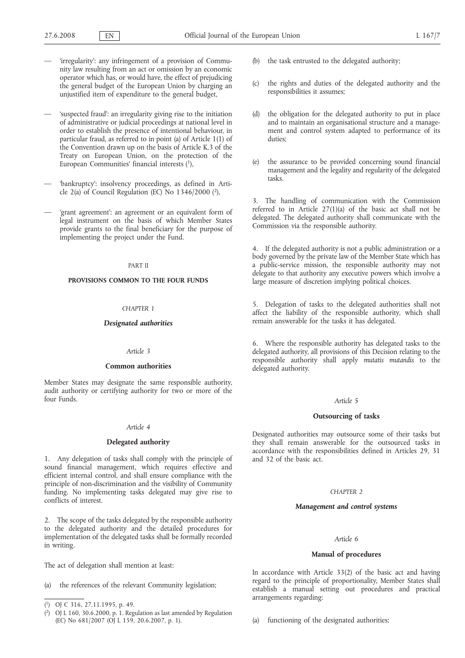- 'irregularity': any infringement of a provision of Community law resulting from an act or omission by an economic operator which has, or would have, the effect of prejudicing the general budget of the European Union by charging an unjustified item of expenditure to the general budget,
- 'suspected fraud': an irregularity giving rise to the initiation of administrative or judicial proceedings at national level in order to establish the presence of intentional behaviour, in particular fraud, as referred to in point (a) of Article 1(1) of the Convention drawn up on the basis of Article K.3 of the Treaty on European Union, on the protection of the European Communities' financial interests (1),
- 'bankruptcy': insolvency proceedings, as defined in Article 2(a) of Council Regulation (EC) No  $1346/2000$  (2),
- 'grant agreement': an agreement or an equivalent form of legal instrument on the basis of which Member States provide grants to the final beneficiary for the purpose of implementing the project under the Fund.

#### PART II

### **PROVISIONS COMMON TO THE FOUR FUNDS**

### *CHAPTER 1*

### *Designated authorities*

#### *Article 3*

#### **Common authorities**

Member States may designate the same responsible authority, audit authority or certifying authority for two or more of the four Funds.

#### *Article 4*

#### **Delegated authority**

1. Any delegation of tasks shall comply with the principle of sound financial management, which requires effective and efficient internal control, and shall ensure compliance with the principle of non-discrimination and the visibility of Community funding. No implementing tasks delegated may give rise to conflicts of interest.

2. The scope of the tasks delegated by the responsible authority to the delegated authority and the detailed procedures for implementation of the delegated tasks shall be formally recorded in writing.

The act of delegation shall mention at least:

(a) the references of the relevant Community legislation;

- the task entrusted to the delegated authority;
- (c) the rights and duties of the delegated authority and the responsibilities it assumes;
- (d) the obligation for the delegated authority to put in place and to maintain an organisational structure and a management and control system adapted to performance of its duties;
- (e) the assurance to be provided concerning sound financial management and the legality and regularity of the delegated tasks.

3. The handling of communication with the Commission referred to in Article 27(1)(a) of the basic act shall not be delegated. The delegated authority shall communicate with the Commission via the responsible authority.

4. If the delegated authority is not a public administration or a body governed by the private law of the Member State which has a public-service mission, the responsible authority may not delegate to that authority any executive powers which involve a large measure of discretion implying political choices.

5. Delegation of tasks to the delegated authorities shall not affect the liability of the responsible authority, which shall remain answerable for the tasks it has delegated.

6. Where the responsible authority has delegated tasks to the delegated authority, all provisions of this Decision relating to the responsible authority shall apply *mutatis mutandis* to the delegated authority.

#### *Article 5*

#### **Outsourcing of tasks**

Designated authorities may outsource some of their tasks but they shall remain answerable for the outsourced tasks in accordance with the responsibilities defined in Articles 29, 31 and 32 of the basic act.

# *CHAPTER 2*

#### *Management and control systems*

#### *Article 6*

### **Manual of procedures**

In accordance with Article 33(2) of the basic act and having regard to the principle of proportionality, Member States shall establish a manual setting out procedures and practical arrangements regarding:

(a) functioning of the designated authorities;

<sup>(</sup> 1) OJ C 316, 27.11.1995, p. 49.

<sup>(</sup> 2) OJ L 160, 30.6.2000, p. 1. Regulation as last amended by Regulation (EC) No 681/2007 (OJ L 159, 20.6.2007, p. 1).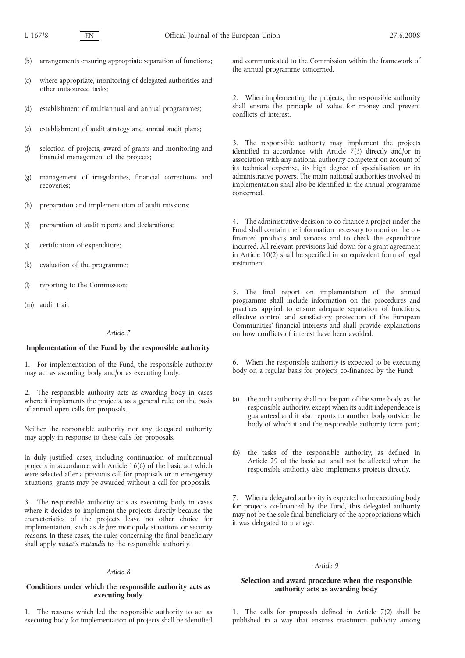- (b) arrangements ensuring appropriate separation of functions;
- (c) where appropriate, monitoring of delegated authorities and other outsourced tasks;
- (d) establishment of multiannual and annual programmes;
- (e) establishment of audit strategy and annual audit plans;
- (f) selection of projects, award of grants and monitoring and financial management of the projects;
- (g) management of irregularities, financial corrections and recoveries;
- (h) preparation and implementation of audit missions;
- (i) preparation of audit reports and declarations;
- (j) certification of expenditure;
- (k) evaluation of the programme;
- (l) reporting to the Commission;
- (m) audit trail.

#### *Article 7*

#### **Implementation of the Fund by the responsible authority**

1. For implementation of the Fund, the responsible authority may act as awarding body and/or as executing body.

2. The responsible authority acts as awarding body in cases where it implements the projects, as a general rule, on the basis of annual open calls for proposals.

Neither the responsible authority nor any delegated authority may apply in response to these calls for proposals.

In duly justified cases, including continuation of multiannual projects in accordance with Article 16(6) of the basic act which were selected after a previous call for proposals or in emergency situations, grants may be awarded without a call for proposals.

3. The responsible authority acts as executing body in cases where it decides to implement the projects directly because the characteristics of the projects leave no other choice for implementation, such as *de jure* monopoly situations or security reasons. In these cases, the rules concerning the final beneficiary shall apply *mutatis mutandis* to the responsible authority.

#### *Article 8*

# **Conditions under which the responsible authority acts as executing body**

1. The reasons which led the responsible authority to act as executing body for implementation of projects shall be identified and communicated to the Commission within the framework of the annual programme concerned.

2. When implementing the projects, the responsible authority shall ensure the principle of value for money and prevent conflicts of interest.

3. The responsible authority may implement the projects identified in accordance with Article  $7(3)$  directly and/or in association with any national authority competent on account of its technical expertise, its high degree of specialisation or its administrative powers. The main national authorities involved in implementation shall also be identified in the annual programme concerned.

4. The administrative decision to co-finance a project under the Fund shall contain the information necessary to monitor the cofinanced products and services and to check the expenditure incurred. All relevant provisions laid down for a grant agreement in Article 10(2) shall be specified in an equivalent form of legal instrument.

5. The final report on implementation of the annual programme shall include information on the procedures and practices applied to ensure adequate separation of functions, effective control and satisfactory protection of the European Communities' financial interests and shall provide explanations on how conflicts of interest have been avoided.

6. When the responsible authority is expected to be executing body on a regular basis for projects co-financed by the Fund:

- (a) the audit authority shall not be part of the same body as the responsible authority, except when its audit independence is guaranteed and it also reports to another body outside the body of which it and the responsible authority form part;
- (b) the tasks of the responsible authority, as defined in Article 29 of the basic act, shall not be affected when the responsible authority also implements projects directly.

7. When a delegated authority is expected to be executing body for projects co-financed by the Fund, this delegated authority may not be the sole final beneficiary of the appropriations which it was delegated to manage.

#### *Article 9*

## **Selection and award procedure when the responsible authority acts as awarding body**

1. The calls for proposals defined in Article 7(2) shall be published in a way that ensures maximum publicity among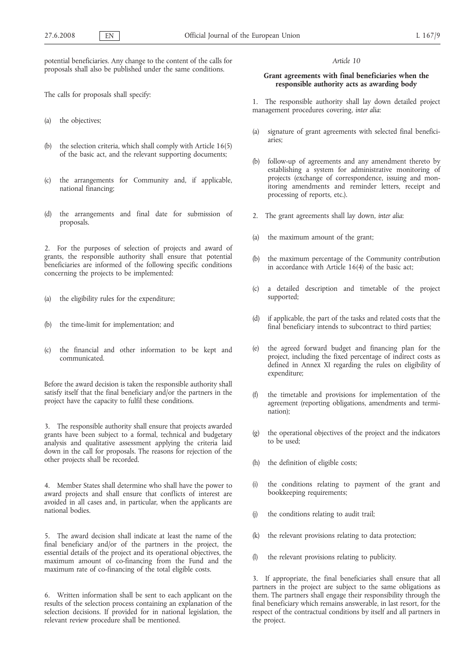potential beneficiaries. Any change to the content of the calls for proposals shall also be published under the same conditions.

The calls for proposals shall specify:

- (a) the objectives;
- (b) the selection criteria, which shall comply with Article 16(5) of the basic act, and the relevant supporting documents;
- (c) the arrangements for Community and, if applicable, national financing;
- (d) the arrangements and final date for submission of proposals.

2. For the purposes of selection of projects and award of grants, the responsible authority shall ensure that potential beneficiaries are informed of the following specific conditions concerning the projects to be implemented:

- (a) the eligibility rules for the expenditure;
- (b) the time-limit for implementation; and
- (c) the financial and other information to be kept and communicated.

Before the award decision is taken the responsible authority shall satisfy itself that the final beneficiary and/or the partners in the project have the capacity to fulfil these conditions.

3. The responsible authority shall ensure that projects awarded grants have been subject to a formal, technical and budgetary analysis and qualitative assessment applying the criteria laid down in the call for proposals. The reasons for rejection of the other projects shall be recorded.

4. Member States shall determine who shall have the power to award projects and shall ensure that conflicts of interest are avoided in all cases and, in particular, when the applicants are national bodies.

5. The award decision shall indicate at least the name of the final beneficiary and/or of the partners in the project, the essential details of the project and its operational objectives, the maximum amount of co-financing from the Fund and the maximum rate of co-financing of the total eligible costs.

6. Written information shall be sent to each applicant on the results of the selection process containing an explanation of the selection decisions. If provided for in national legislation, the relevant review procedure shall be mentioned.

# *Article 10*

# **Grant agreements with final beneficiaries when the responsible authority acts as awarding body**

1. The responsible authority shall lay down detailed project management procedures covering, *inter alia*:

- (a) signature of grant agreements with selected final beneficiaries;
- (b) follow-up of agreements and any amendment thereto by establishing a system for administrative monitoring of projects (exchange of correspondence, issuing and monitoring amendments and reminder letters, receipt and processing of reports, etc.).
- 2. The grant agreements shall lay down, *inter alia*:
- (a) the maximum amount of the grant;
- (b) the maximum percentage of the Community contribution in accordance with Article 16(4) of the basic act;
- (c) a detailed description and timetable of the project supported;
- (d) if applicable, the part of the tasks and related costs that the final beneficiary intends to subcontract to third parties;
- (e) the agreed forward budget and financing plan for the project, including the fixed percentage of indirect costs as defined in Annex XI regarding the rules on eligibility of expenditure;
- (f) the timetable and provisions for implementation of the agreement (reporting obligations, amendments and termination);
- the operational objectives of the project and the indicators to be used;
- (h) the definition of eligible costs;
- (i) the conditions relating to payment of the grant and bookkeeping requirements;
- (j) the conditions relating to audit trail;
- (k) the relevant provisions relating to data protection;
- (l) the relevant provisions relating to publicity.

If appropriate, the final beneficiaries shall ensure that all partners in the project are subject to the same obligations as them. The partners shall engage their responsibility through the final beneficiary which remains answerable, in last resort, for the respect of the contractual conditions by itself and all partners in the project.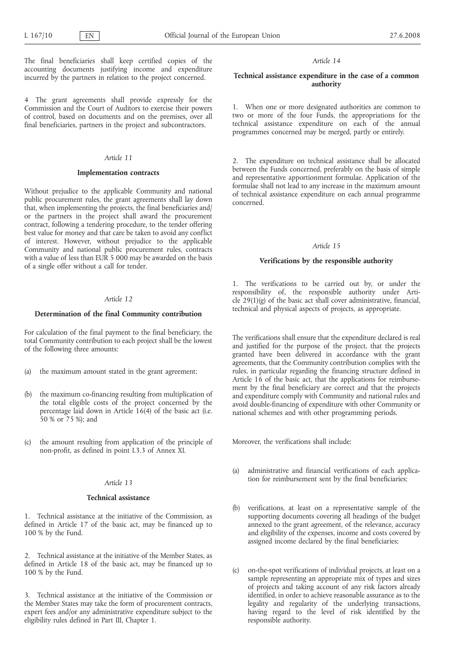The final beneficiaries shall keep certified copies of the accounting documents justifying income and expenditure incurred by the partners in relation to the project concerned.

4 The grant agreements shall provide expressly for the Commission and the Court of Auditors to exercise their powers of control, based on documents and on the premises, over all final beneficiaries, partners in the project and subcontractors.

### *Article 11*

#### **Implementation contracts**

Without prejudice to the applicable Community and national public procurement rules, the grant agreements shall lay down that, when implementing the projects, the final beneficiaries and/ or the partners in the project shall award the procurement contract, following a tendering procedure, to the tender offering best value for money and that care be taken to avoid any conflict of interest. However, without prejudice to the applicable Community and national public procurement rules, contracts with a value of less than EUR 5 000 may be awarded on the basis of a single offer without a call for tender.

#### *Article 12*

# **Determination of the final Community contribution**

For calculation of the final payment to the final beneficiary, the total Community contribution to each project shall be the lowest of the following three amounts:

- (a) the maximum amount stated in the grant agreement;
- (b) the maximum co-financing resulting from multiplication of the total eligible costs of the project concerned by the percentage laid down in Article 16(4) of the basic act (i.e. 50 % or 75 %); and
- (c) the amount resulting from application of the principle of non-profit, as defined in point I.3.3 of Annex XI.

#### *Article 13*

#### **Technical assistance**

1. Technical assistance at the initiative of the Commission, as defined in Article 17 of the basic act, may be financed up to 100 % by the Fund.

2. Technical assistance at the initiative of the Member States, as defined in Article 18 of the basic act, may be financed up to 100 % by the Fund.

3. Technical assistance at the initiative of the Commission or the Member States may take the form of procurement contracts, expert fees and/or any administrative expenditure subject to the eligibility rules defined in Part III, Chapter 1.

#### *Article 14*

# **Technical assistance expenditure in the case of a common authority**

1. When one or more designated authorities are common to two or more of the four Funds, the appropriations for the technical assistance expenditure on each of the annual programmes concerned may be merged, partly or entirely.

2. The expenditure on technical assistance shall be allocated between the Funds concerned, preferably on the basis of simple and representative apportionment formulae. Application of the formulae shall not lead to any increase in the maximum amount of technical assistance expenditure on each annual programme concerned.

#### *Article 15*

#### **Verifications by the responsible authority**

1. The verifications to be carried out by, or under the responsibility of, the responsible authority under Article  $29(1)(g)$  of the basic act shall cover administrative, financial, technical and physical aspects of projects, as appropriate.

The verifications shall ensure that the expenditure declared is real and justified for the purpose of the project, that the projects granted have been delivered in accordance with the grant agreements, that the Community contribution complies with the rules, in particular regarding the financing structure defined in Article  $16$  of the basic act, that the applications for reimbursement by the final beneficiary are correct and that the projects and expenditure comply with Community and national rules and avoid double-financing of expenditure with other Community or national schemes and with other programming periods.

Moreover, the verifications shall include:

- (a) administrative and financial verifications of each application for reimbursement sent by the final beneficiaries;
- (b) verifications, at least on a representative sample of the supporting documents covering all headings of the budget annexed to the grant agreement, of the relevance, accuracy and eligibility of the expenses, income and costs covered by assigned income declared by the final beneficiaries;
- (c) on-the-spot verifications of individual projects, at least on a sample representing an appropriate mix of types and sizes of projects and taking account of any risk factors already identified, in order to achieve reasonable assurance as to the legality and regularity of the underlying transactions, having regard to the level of risk identified by the responsible authority.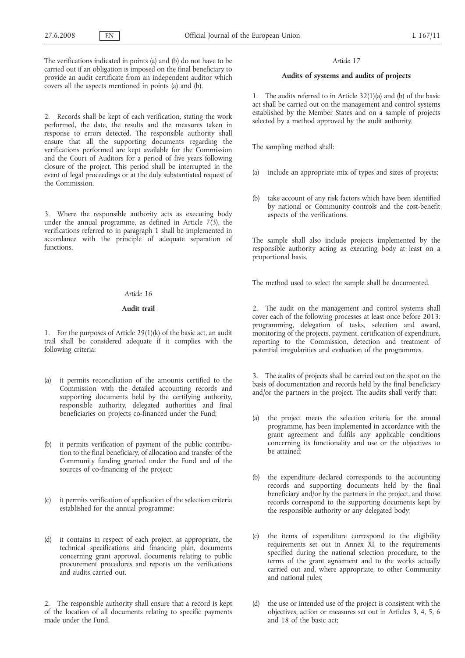The verifications indicated in points (a) and (b) do not have to be carried out if an obligation is imposed on the final beneficiary to provide an audit certificate from an independent auditor which covers all the aspects mentioned in points (a) and (b).

2. Records shall be kept of each verification, stating the work performed, the date, the results and the measures taken in response to errors detected. The responsible authority shall ensure that all the supporting documents regarding the verifications performed are kept available for the Commission and the Court of Auditors for a period of five years following closure of the project. This period shall be interrupted in the event of legal proceedings or at the duly substantiated request of the Commission.

3. Where the responsible authority acts as executing body under the annual programme, as defined in Article  $7(3)$ , the verifications referred to in paragraph 1 shall be implemented in accordance with the principle of adequate separation of functions.

# *Article 16*

#### **Audit trail**

1. For the purposes of Article 29(1)(k) of the basic act, an audit trail shall be considered adequate if it complies with the following criteria:

- (a) it permits reconciliation of the amounts certified to the Commission with the detailed accounting records and supporting documents held by the certifying authority, responsible authority, delegated authorities and final beneficiaries on projects co-financed under the Fund;
- (b) it permits verification of payment of the public contribution to the final beneficiary, of allocation and transfer of the Community funding granted under the Fund and of the sources of co-financing of the project;
- (c) it permits verification of application of the selection criteria established for the annual programme;
- (d) it contains in respect of each project, as appropriate, the technical specifications and financing plan, documents concerning grant approval, documents relating to public procurement procedures and reports on the verifications and audits carried out.

2. The responsible authority shall ensure that a record is kept of the location of all documents relating to specific payments made under the Fund.

### *Article 17*

# **Audits of systems and audits of projects**

1. The audits referred to in Article 32(1)(a) and (b) of the basic act shall be carried out on the management and control systems established by the Member States and on a sample of projects selected by a method approved by the audit authority.

The sampling method shall:

- include an appropriate mix of types and sizes of projects;
- (b) take account of any risk factors which have been identified by national or Community controls and the cost-benefit aspects of the verifications.

The sample shall also include projects implemented by the responsible authority acting as executing body at least on a proportional basis.

The method used to select the sample shall be documented.

2. The audit on the management and control systems shall cover each of the following processes at least once before 2013: programming, delegation of tasks, selection and award, monitoring of the projects, payment, certification of expenditure, reporting to the Commission, detection and treatment of potential irregularities and evaluation of the programmes.

3. The audits of projects shall be carried out on the spot on the basis of documentation and records held by the final beneficiary and/or the partners in the project. The audits shall verify that:

- (a) the project meets the selection criteria for the annual programme, has been implemented in accordance with the grant agreement and fulfils any applicable conditions concerning its functionality and use or the objectives to be attained;
- (b) the expenditure declared corresponds to the accounting records and supporting documents held by the final beneficiary and/or by the partners in the project, and those records correspond to the supporting documents kept by the responsible authority or any delegated body;
- (c) the items of expenditure correspond to the eligibility requirements set out in Annex XI, to the requirements specified during the national selection procedure, to the terms of the grant agreement and to the works actually carried out and, where appropriate, to other Community and national rules;
- (d) the use or intended use of the project is consistent with the objectives, action or measures set out in Articles 3, 4, 5, 6 and 18 of the basic act;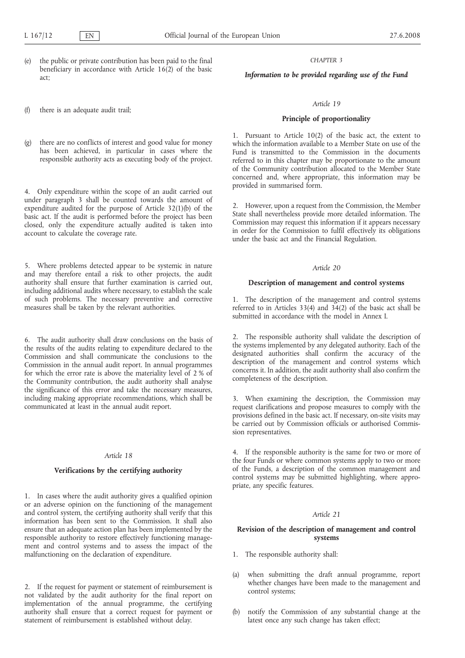the public or private contribution has been paid to the final beneficiary in accordance with Article 16(2) of the basic act;

(f) there is an adequate audit trail;

(g) there are no conflicts of interest and good value for money has been achieved, in particular in cases where the responsible authority acts as executing body of the project.

4. Only expenditure within the scope of an audit carried out under paragraph 3 shall be counted towards the amount of expenditure audited for the purpose of Article 32(1)(b) of the basic act. If the audit is performed before the project has been closed, only the expenditure actually audited is taken into account to calculate the coverage rate.

5. Where problems detected appear to be systemic in nature and may therefore entail a risk to other projects, the audit authority shall ensure that further examination is carried out, including additional audits where necessary, to establish the scale of such problems. The necessary preventive and corrective measures shall be taken by the relevant authorities.

6. The audit authority shall draw conclusions on the basis of the results of the audits relating to expenditure declared to the Commission and shall communicate the conclusions to the Commission in the annual audit report. In annual programmes for which the error rate is above the materiality level of 2 % of the Community contribution, the audit authority shall analyse the significance of this error and take the necessary measures, including making appropriate recommendations, which shall be communicated at least in the annual audit report.

#### *Article 18*

### **Verifications by the certifying authority**

1. In cases where the audit authority gives a qualified opinion or an adverse opinion on the functioning of the management and control system, the certifying authority shall verify that this information has been sent to the Commission. It shall also ensure that an adequate action plan has been implemented by the responsible authority to restore effectively functioning management and control systems and to assess the impact of the malfunctioning on the declaration of expenditure.

2. If the request for payment or statement of reimbursement is not validated by the audit authority for the final report on implementation of the annual programme, the certifying authority shall ensure that a correct request for payment or statement of reimbursement is established without delay.

### *CHAPTER 3*

# *Information to be provided regarding use of the Fund*

### *Article 19*

# **Principle of proportionality**

1. Pursuant to Article 10(2) of the basic act, the extent to which the information available to a Member State on use of the Fund is transmitted to the Commission in the documents referred to in this chapter may be proportionate to the amount of the Community contribution allocated to the Member State concerned and, where appropriate, this information may be provided in summarised form.

2. However, upon a request from the Commission, the Member State shall nevertheless provide more detailed information. The Commission may request this information if it appears necessary in order for the Commission to fulfil effectively its obligations under the basic act and the Financial Regulation.

#### *Article 20*

#### **Description of management and control systems**

1. The description of the management and control systems referred to in Articles 33(4) and 34(2) of the basic act shall be submitted in accordance with the model in Annex I.

2. The responsible authority shall validate the description of the systems implemented by any delegated authority. Each of the designated authorities shall confirm the accuracy of the description of the management and control systems which concerns it. In addition, the audit authority shall also confirm the completeness of the description.

3. When examining the description, the Commission may request clarifications and propose measures to comply with the provisions defined in the basic act. If necessary, on-site visits may be carried out by Commission officials or authorised Commission representatives.

4. If the responsible authority is the same for two or more of the four Funds or where common systems apply to two or more of the Funds, a description of the common management and control systems may be submitted highlighting, where appropriate, any specific features.

### *Article 21*

# **Revision of the description of management and control systems**

- 1. The responsible authority shall:
- (a) when submitting the draft annual programme, report whether changes have been made to the management and control systems;
- notify the Commission of any substantial change at the latest once any such change has taken effect;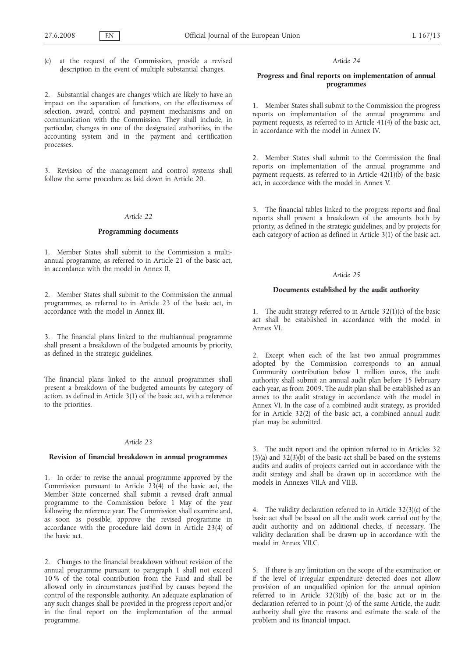(c) at the request of the Commission, provide a revised description in the event of multiple substantial changes.

2. Substantial changes are changes which are likely to have an impact on the separation of functions, on the effectiveness of selection, award, control and payment mechanisms and on communication with the Commission. They shall include, in particular, changes in one of the designated authorities, in the accounting system and in the payment and certification processes.

3. Revision of the management and control systems shall follow the same procedure as laid down in Article 20.

#### *Article 22*

#### **Programming documents**

1. Member States shall submit to the Commission a multiannual programme, as referred to in Article 21 of the basic act, in accordance with the model in Annex II.

2. Member States shall submit to the Commission the annual programmes, as referred to in Article 23 of the basic act, in accordance with the model in Annex III.

3. The financial plans linked to the multiannual programme shall present a breakdown of the budgeted amounts by priority, as defined in the strategic guidelines.

The financial plans linked to the annual programmes shall present a breakdown of the budgeted amounts by category of action, as defined in Article 3(1) of the basic act, with a reference to the priorities.

#### *Article 23*

#### **Revision of financial breakdown in annual programmes**

1. In order to revise the annual programme approved by the Commission pursuant to Article 23(4) of the basic act, the Member State concerned shall submit a revised draft annual programme to the Commission before 1 May of the year following the reference year. The Commission shall examine and, as soon as possible, approve the revised programme in accordance with the procedure laid down in Article 23(4) of the basic act.

2. Changes to the financial breakdown without revision of the annual programme pursuant to paragraph 1 shall not exceed 10 % of the total contribution from the Fund and shall be allowed only in circumstances justified by causes beyond the control of the responsible authority. An adequate explanation of any such changes shall be provided in the progress report and/or in the final report on the implementation of the annual programme.

# *Article 24*

# **Progress and final reports on implementation of annual programmes**

1. Member States shall submit to the Commission the progress reports on implementation of the annual programme and payment requests, as referred to in Article 41(4) of the basic act, in accordance with the model in Annex IV.

2. Member States shall submit to the Commission the final reports on implementation of the annual programme and payment requests, as referred to in Article  $42(1)(b)$  of the basic act, in accordance with the model in Annex V.

3. The financial tables linked to the progress reports and final reports shall present a breakdown of the amounts both by priority, as defined in the strategic guidelines, and by projects for each category of action as defined in Article 3(1) of the basic act.

#### *Article 25*

#### **Documents established by the audit authority**

1. The audit strategy referred to in Article 32(1)(c) of the basic act shall be established in accordance with the model in Annex VI.

2. Except when each of the last two annual programmes adopted by the Commission corresponds to an annual Community contribution below 1 million euros, the audit authority shall submit an annual audit plan before 15 February each year, as from 2009. The audit plan shall be established as an annex to the audit strategy in accordance with the model in Annex VI. In the case of a combined audit strategy, as provided for in Article 32(2) of the basic act, a combined annual audit plan may be submitted.

3. The audit report and the opinion referred to in Articles 32  $(3)(a)$  and  $32(3)(b)$  of the basic act shall be based on the systems audits and audits of projects carried out in accordance with the audit strategy and shall be drawn up in accordance with the models in Annexes VII.A and VII.B.

4. The validity declaration referred to in Article 32(3)(c) of the basic act shall be based on all the audit work carried out by the audit authority and on additional checks, if necessary. The validity declaration shall be drawn up in accordance with the model in Annex VII.C.

5. If there is any limitation on the scope of the examination or if the level of irregular expenditure detected does not allow provision of an unqualified opinion for the annual opinion referred to in Article  $32(3)(b)$  of the basic act or in the declaration referred to in point (c) of the same Article, the audit authority shall give the reasons and estimate the scale of the problem and its financial impact.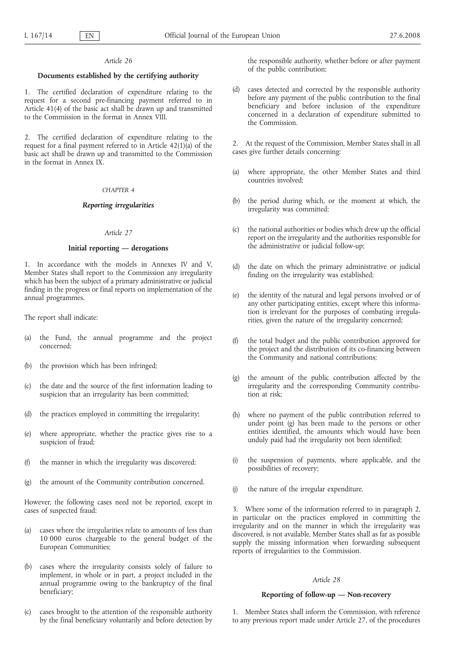#### *Article 26*

# **Documents established by the certifying authority**

1. The certified declaration of expenditure relating to the request for a second pre-financing payment referred to in Article 41(4) of the basic act shall be drawn up and transmitted to the Commission in the format in Annex VIII.

2. The certified declaration of expenditure relating to the request for a final payment referred to in Article  $42(1)(a)$  of the basic act shall be drawn up and transmitted to the Commission in the format in Annex IX.

#### *CHAPTER 4*

#### *Reporting irregularities*

# *Article 27*

# **Initial reporting — derogations**

1. In accordance with the models in Annexes IV and V, Member States shall report to the Commission any irregularity which has been the subject of a primary administrative or judicial finding in the progress or final reports on implementation of the annual programmes.

The report shall indicate:

- (a) the Fund, the annual programme and the project concerned;
- (b) the provision which has been infringed;
- (c) the date and the source of the first information leading to suspicion that an irregularity has been committed;
- (d) the practices employed in committing the irregularity;
- (e) where appropriate, whether the practice gives rise to a suspicion of fraud;
- the manner in which the irregularity was discovered;
- (g) the amount of the Community contribution concerned.

However, the following cases need not be reported, except in cases of suspected fraud:

- (a) cases where the irregularities relate to amounts of less than 10 000 euros chargeable to the general budget of the European Communities;
- (b) cases where the irregularity consists solely of failure to implement, in whole or in part, a project included in the annual programme owing to the bankruptcy of the final beneficiary;
- (c) cases brought to the attention of the responsible authority by the final beneficiary voluntarily and before detection by

the responsible authority, whether before or after payment of the public contribution;

(d) cases detected and corrected by the responsible authority before any payment of the public contribution to the final beneficiary and before inclusion of the expenditure concerned in a declaration of expenditure submitted to the Commission.

2. At the request of the Commission, Member States shall in all cases give further details concerning:

- (a) where appropriate, the other Member States and third countries involved;
- (b) the period during which, or the moment at which, the irregularity was committed;
- (c) the national authorities or bodies which drew up the official report on the irregularity and the authorities responsible for the administrative or judicial follow-up;
- (d) the date on which the primary administrative or judicial finding on the irregularity was established;
- (e) the identity of the natural and legal persons involved or of any other participating entities, except where this information is irrelevant for the purposes of combating irregularities, given the nature of the irregularity concerned;
- (f) the total budget and the public contribution approved for the project and the distribution of its co-financing between the Community and national contributions;
- (g) the amount of the public contribution affected by the irregularity and the corresponding Community contribution at risk;
- (h) where no payment of the public contribution referred to under point (g) has been made to the persons or other entities identified, the amounts which would have been unduly paid had the irregularity not been identified;
- (i) the suspension of payments, where applicable, and the possibilities of recovery;
- (j) the nature of the irregular expenditure.

3. Where some of the information referred to in paragraph 2, in particular on the practices employed in committing the irregularity and on the manner in which the irregularity was discovered, is not available, Member States shall as far as possible supply the missing information when forwarding subsequent reports of irregularities to the Commission.

# *Article 28*

# **Reporting of follow-up — Non-recovery**

1. Member States shall inform the Commission, with reference to any previous report made under Article 27, of the procedures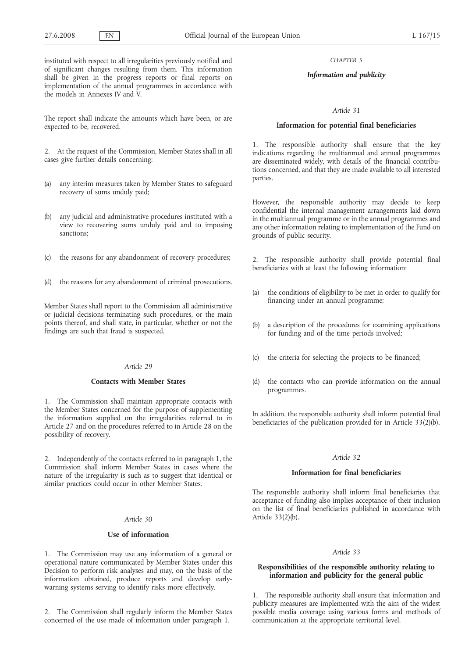instituted with respect to all irregularities previously notified and of significant changes resulting from them. This information shall be given in the progress reports or final reports on implementation of the annual programmes in accordance with the models in Annexes IV and V.

The report shall indicate the amounts which have been, or are expected to be, recovered.

2. At the request of the Commission, Member States shall in all cases give further details concerning:

- (a) any interim measures taken by Member States to safeguard recovery of sums unduly paid;
- any judicial and administrative procedures instituted with a view to recovering sums unduly paid and to imposing sanctions;
- (c) the reasons for any abandonment of recovery procedures;
- (d) the reasons for any abandonment of criminal prosecutions.

Member States shall report to the Commission all administrative or judicial decisions terminating such procedures, or the main points thereof, and shall state, in particular, whether or not the findings are such that fraud is suspected.

# *Article 29*

# **Contacts with Member States**

1. The Commission shall maintain appropriate contacts with the Member States concerned for the purpose of supplementing the information supplied on the irregularities referred to in Article 27 and on the procedures referred to in Article 28 on the possibility of recovery.

2. Independently of the contacts referred to in paragraph 1, the Commission shall inform Member States in cases where the nature of the irregularity is such as to suggest that identical or similar practices could occur in other Member States.

# *Article 30*

#### **Use of information**

1. The Commission may use any information of a general or operational nature communicated by Member States under this Decision to perform risk analyses and may, on the basis of the information obtained, produce reports and develop earlywarning systems serving to identify risks more effectively.

2. The Commission shall regularly inform the Member States concerned of the use made of information under paragraph 1.

*CHAPTER 5*

#### *Information and publicity*

## *Article 31*

## **Information for potential final beneficiaries**

1. The responsible authority shall ensure that the key indications regarding the multiannual and annual programmes are disseminated widely, with details of the financial contributions concerned, and that they are made available to all interested parties.

However, the responsible authority may decide to keep confidential the internal management arrangements laid down in the multiannual programme or in the annual programmes and any other information relating to implementation of the Fund on grounds of public security.

2. The responsible authority shall provide potential final beneficiaries with at least the following information:

- (a) the conditions of eligibility to be met in order to qualify for financing under an annual programme;
- (b) a description of the procedures for examining applications for funding and of the time periods involved;
- (c) the criteria for selecting the projects to be financed;
- (d) the contacts who can provide information on the annual programmes.

In addition, the responsible authority shall inform potential final beneficiaries of the publication provided for in Article 33(2)(b).

# *Article 32*

#### **Information for final beneficiaries**

The responsible authority shall inform final beneficiaries that acceptance of funding also implies acceptance of their inclusion on the list of final beneficiaries published in accordance with Article 33(2)(b).

#### *Article 33*

# **Responsibilities of the responsible authority relating to information and publicity for the general public**

1. The responsible authority shall ensure that information and publicity measures are implemented with the aim of the widest possible media coverage using various forms and methods of communication at the appropriate territorial level.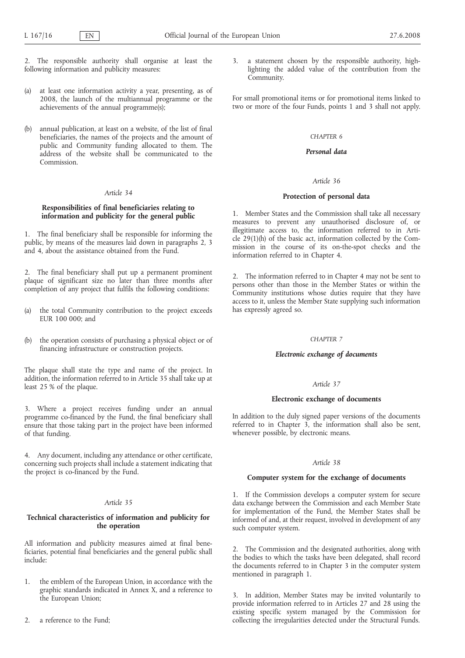- 2. The responsible authority shall organise at least the following information and publicity measures:
- (a) at least one information activity a year, presenting, as of 2008, the launch of the multiannual programme or the achievements of the annual programme(s);
- annual publication, at least on a website, of the list of final beneficiaries, the names of the projects and the amount of public and Community funding allocated to them. The address of the website shall be communicated to the Commission.

# *Article 34*

# **Responsibilities of final beneficiaries relating to information and publicity for the general public**

1. The final beneficiary shall be responsible for informing the public, by means of the measures laid down in paragraphs 2, 3 and 4, about the assistance obtained from the Fund.

2. The final beneficiary shall put up a permanent prominent plaque of significant size no later than three months after completion of any project that fulfils the following conditions:

- (a) the total Community contribution to the project exceeds EUR 100 000; and
- (b) the operation consists of purchasing a physical object or of financing infrastructure or construction projects.

The plaque shall state the type and name of the project. In addition, the information referred to in Article 35 shall take up at least 25 % of the plaque.

3. Where a project receives funding under an annual programme co-financed by the Fund, the final beneficiary shall ensure that those taking part in the project have been informed of that funding.

4. Any document, including any attendance or other certificate, concerning such projects shall include a statement indicating that the project is co-financed by the Fund.

# *Article 35*

# **Technical characteristics of information and publicity for the operation**

All information and publicity measures aimed at final beneficiaries, potential final beneficiaries and the general public shall include:

- 1. the emblem of the European Union, in accordance with the graphic standards indicated in Annex X, and a reference to the European Union;
- 2. a reference to the Fund;

3. a statement chosen by the responsible authority, highlighting the added value of the contribution from the Community.

For small promotional items or for promotional items linked to two or more of the four Funds, points 1 and 3 shall not apply.

### *CHAPTER 6*

# *Personal data*

#### *Article 36*

# **Protection of personal data**

1. Member States and the Commission shall take all necessary measures to prevent any unauthorised disclosure of, or illegitimate access to, the information referred to in Article 29(1)(h) of the basic act, information collected by the Commission in the course of its on-the-spot checks and the information referred to in Chapter 4.

2. The information referred to in Chapter 4 may not be sent to persons other than those in the Member States or within the Community institutions whose duties require that they have access to it, unless the Member State supplying such information has expressly agreed so.

# *CHAPTER 7*

# *Electronic exchange of documents*

# *Article 37*

## **Electronic exchange of documents**

In addition to the duly signed paper versions of the documents referred to in Chapter 3, the information shall also be sent, whenever possible, by electronic means.

#### *Article 38*

#### **Computer system for the exchange of documents**

1. If the Commission develops a computer system for secure data exchange between the Commission and each Member State for implementation of the Fund, the Member States shall be informed of and, at their request, involved in development of any such computer system.

2. The Commission and the designated authorities, along with the bodies to which the tasks have been delegated, shall record the documents referred to in Chapter 3 in the computer system mentioned in paragraph 1.

3. In addition, Member States may be invited voluntarily to provide information referred to in Articles 27 and 28 using the existing specific system managed by the Commission for collecting the irregularities detected under the Structural Funds.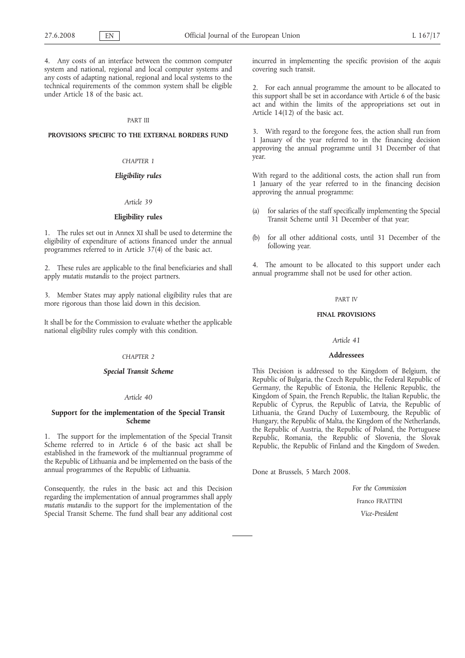4. Any costs of an interface between the common computer system and national, regional and local computer systems and any costs of adapting national, regional and local systems to the technical requirements of the common system shall be eligible under Article 18 of the basic act.

#### PART III

# **PROVISIONS SPECIFIC TO THE EXTERNAL BORDERS FUND**

# *CHAPTER 1*

# *Eligibility rules*

# *Article 39*

# **Eligibility rules**

1. The rules set out in Annex XI shall be used to determine the eligibility of expenditure of actions financed under the annual programmes referred to in Article 37(4) of the basic act.

2. These rules are applicable to the final beneficiaries and shall apply *mutatis mutandis* to the project partners.

3. Member States may apply national eligibility rules that are more rigorous than those laid down in this decision.

It shall be for the Commission to evaluate whether the applicable national eligibility rules comply with this condition.

# *CHAPTER 2*

# *Special Transit Scheme*

# *Article 40*

# **Support for the implementation of the Special Transit Scheme**

1. The support for the implementation of the Special Transit Scheme referred to in Article 6 of the basic act shall be established in the framework of the multiannual programme of the Republic of Lithuania and be implemented on the basis of the annual programmes of the Republic of Lithuania.

Consequently, the rules in the basic act and this Decision regarding the implementation of annual programmes shall apply *mutatis mutandis* to the support for the implementation of the Special Transit Scheme. The fund shall bear any additional cost incurred in implementing the specific provision of the *acquis* covering such transit.

2. For each annual programme the amount to be allocated to this support shall be set in accordance with Article 6 of the basic act and within the limits of the appropriations set out in Article 14(12) of the basic act.

3. With regard to the foregone fees, the action shall run from 1 January of the year referred to in the financing decision approving the annual programme until 31 December of that year.

With regard to the additional costs, the action shall run from 1 January of the year referred to in the financing decision approving the annual programme:

- (a) for salaries of the staff specifically implementing the Special Transit Scheme until 31 December of that year;
- (b) for all other additional costs, until 31 December of the following year.

4. The amount to be allocated to this support under each annual programme shall not be used for other action.

#### PART IV

# **FINAL PROVISIONS**

#### *Article 41*

# **Addressees**

This Decision is addressed to the Kingdom of Belgium, the Republic of Bulgaria, the Czech Republic, the Federal Republic of Germany, the Republic of Estonia, the Hellenic Republic, the Kingdom of Spain, the French Republic, the Italian Republic, the Republic of Cyprus, the Republic of Latvia, the Republic of Lithuania, the Grand Duchy of Luxembourg, the Republic of Hungary, the Republic of Malta, the Kingdom of the Netherlands, the Republic of Austria, the Republic of Poland, the Portuguese Republic, Romania, the Republic of Slovenia, the Slovak Republic, the Republic of Finland and the Kingdom of Sweden.

Done at Brussels, 5 March 2008.

*For the Commission* Franco FRATTINI *Vice-President*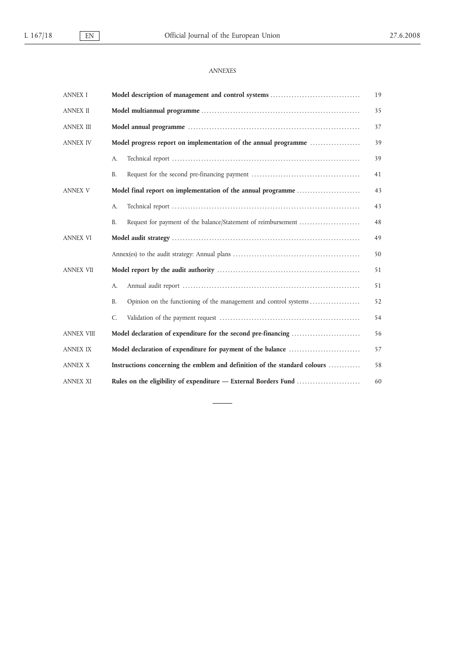# *ANNEXES*

| <b>ANNEX I</b>    | Model description of management and control systems                           | 19 |  |
|-------------------|-------------------------------------------------------------------------------|----|--|
| <b>ANNEX II</b>   |                                                                               |    |  |
| <b>ANNEX III</b>  |                                                                               | 37 |  |
| <b>ANNEX IV</b>   | Model progress report on implementation of the annual programme               | 39 |  |
|                   | A.                                                                            | 39 |  |
|                   | <b>B.</b>                                                                     | 41 |  |
| <b>ANNEX V</b>    | Model final report on implementation of the annual programme                  | 43 |  |
|                   | A.                                                                            | 43 |  |
|                   | Request for payment of the balance/Statement of reimbursement<br><b>B.</b>    | 48 |  |
| <b>ANNEX VI</b>   |                                                                               | 49 |  |
|                   |                                                                               | 50 |  |
| <b>ANNEX VII</b>  |                                                                               | 51 |  |
|                   | A.                                                                            | 51 |  |
|                   | Opinion on the functioning of the management and control systems<br><b>B.</b> | 52 |  |
|                   | C.                                                                            | 54 |  |
| <b>ANNEX VIII</b> | Model declaration of expenditure for the second pre-financing                 | 56 |  |
| <b>ANNEX IX</b>   | Model declaration of expenditure for payment of the balance                   | 57 |  |
| <b>ANNEX X</b>    | Instructions concerning the emblem and definition of the standard colours     | 58 |  |
| <b>ANNEX XI</b>   | Rules on the eligibility of expenditure - External Borders Fund               | 60 |  |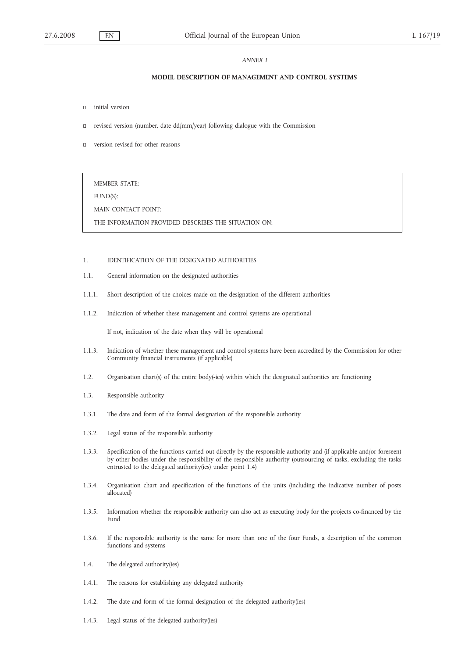#### *ANNEX I*

# **MODEL DESCRIPTION OF MANAGEMENT AND CONTROL SYSTEMS**

- initial version
- revised version (number, date dd/mm/year) following dialogue with the Commission
- version revised for other reasons

MEMBER STATE:

FUND(S):

MAIN CONTACT POINT:

THE INFORMATION PROVIDED DESCRIBES THE SITUATION ON:

#### 1. IDENTIFICATION OF THE DESIGNATED AUTHORITIES

- 1.1. General information on the designated authorities
- 1.1.1. Short description of the choices made on the designation of the different authorities
- 1.1.2. Indication of whether these management and control systems are operational

If not, indication of the date when they will be operational

- 1.1.3. Indication of whether these management and control systems have been accredited by the Commission for other Community financial instruments (if applicable)
- 1.2. Organisation chart(s) of the entire body(-ies) within which the designated authorities are functioning
- 1.3. Responsible authority
- 1.3.1. The date and form of the formal designation of the responsible authority
- 1.3.2. Legal status of the responsible authority
- 1.3.3. Specification of the functions carried out directly by the responsible authority and (if applicable and/or foreseen) by other bodies under the responsibility of the responsible authority (outsourcing of tasks, excluding the tasks entrusted to the delegated authority(ies) under point 1.4)
- 1.3.4. Organisation chart and specification of the functions of the units (including the indicative number of posts allocated)
- 1.3.5. Information whether the responsible authority can also act as executing body for the projects co-financed by the Fund
- 1.3.6. If the responsible authority is the same for more than one of the four Funds, a description of the common functions and systems
- 1.4. The delegated authority(ies)
- 1.4.1. The reasons for establishing any delegated authority
- 1.4.2. The date and form of the formal designation of the delegated authority(ies)
- 1.4.3. Legal status of the delegated authority(ies)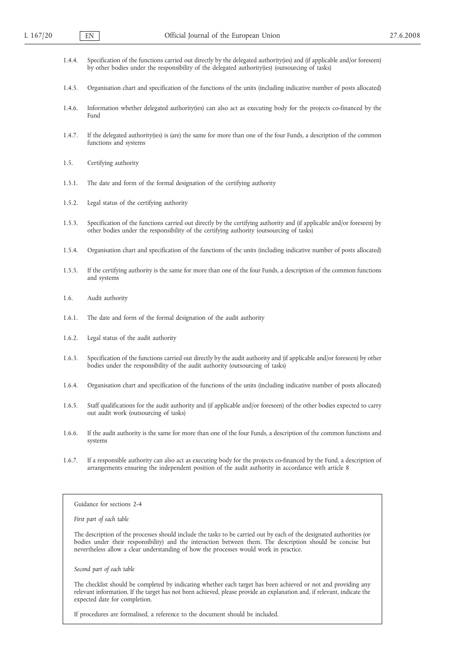- 1.4.4. Specification of the functions carried out directly by the delegated authority(ies) and (if applicable and/or foreseen) by other bodies under the responsibility of the delegated authority(ies) (outsourcing of tasks)
- 1.4.5. Organisation chart and specification of the functions of the units (including indicative number of posts allocated)
- 1.4.6. Information whether delegated authority(ies) can also act as executing body for the projects co-financed by the Fund
- 1.4.7. If the delegated authority(ies) is (are) the same for more than one of the four Funds, a description of the common functions and systems
- 1.5. Certifying authority
- 1.5.1. The date and form of the formal designation of the certifying authority
- 1.5.2. Legal status of the certifying authority
- 1.5.3. Specification of the functions carried out directly by the certifying authority and (if applicable and/or foreseen) by other bodies under the responsibility of the certifying authority (outsourcing of tasks)
- 1.5.4. Organisation chart and specification of the functions of the units (including indicative number of posts allocated)
- 1.5.5. If the certifying authority is the same for more than one of the four Funds, a description of the common functions and systems
- 1.6. Audit authority
- 1.6.1. The date and form of the formal designation of the audit authority
- 1.6.2. Legal status of the audit authority
- 1.6.3. Specification of the functions carried out directly by the audit authority and (if applicable and/or foreseen) by other bodies under the responsibility of the audit authority (outsourcing of tasks)
- 1.6.4. Organisation chart and specification of the functions of the units (including indicative number of posts allocated)
- 1.6.5. Staff qualifications for the audit authority and (if applicable and/or foreseen) of the other bodies expected to carry out audit work (outsourcing of tasks)
- 1.6.6. If the audit authority is the same for more than one of the four Funds, a description of the common functions and systems
- 1.6.7. If a responsible authority can also act as executing body for the projects co-financed by the Fund, a description of arrangements ensuring the independent position of the audit authority in accordance with article 8

#### Guidance for sections 2-4

*First part of each table*

The description of the processes should include the tasks to be carried out by each of the designated authorities (or bodies under their responsibility) and the interaction between them. The description should be concise but nevertheless allow a clear understanding of how the processes would work in practice.

*Second part of each table*

The checklist should be completed by indicating whether each target has been achieved or not and providing any relevant information. If the target has not been achieved, please provide an explanation and, if relevant, indicate the expected date for completion.

If procedures are formalised, a reference to the document should be included.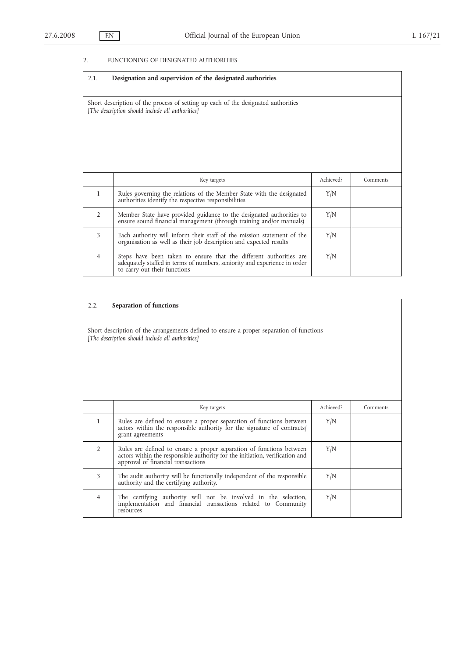# 2. FUNCTIONING OF DESIGNATED AUTHORITIES

| 2.1.                                                                                                                                  | Designation and supervision of the designated authorities                                                                                                                       |           |          |  |
|---------------------------------------------------------------------------------------------------------------------------------------|---------------------------------------------------------------------------------------------------------------------------------------------------------------------------------|-----------|----------|--|
| Short description of the process of setting up each of the designated authorities<br>[The description should include all authorities] |                                                                                                                                                                                 |           |          |  |
|                                                                                                                                       | Key targets                                                                                                                                                                     | Achieved? | Comments |  |
| $\mathbf{1}$                                                                                                                          | Rules governing the relations of the Member State with the designated<br>authorities identify the respective responsibilities                                                   | Y/N       |          |  |
| $\overline{2}$                                                                                                                        | Member State have provided guidance to the designated authorities to<br>ensure sound financial management (through training and/or manuals)                                     | Y/N       |          |  |
| 3                                                                                                                                     | Each authority will inform their staff of the mission statement of the<br>organisation as well as their job description and expected results                                    | Y/N       |          |  |
| $\overline{4}$                                                                                                                        | Steps have been taken to ensure that the different authorities are<br>adequately staffed in terms of numbers, seniority and experience in order<br>to carry out their functions | Y/N       |          |  |

# 2.2. **Separation of functions**

Short description of the arrangements defined to ensure a proper separation of functions *[The description should include all authorities]*

|   | Key targets                                                                                                                                                                                | Achieved? | Comments |
|---|--------------------------------------------------------------------------------------------------------------------------------------------------------------------------------------------|-----------|----------|
|   | Rules are defined to ensure a proper separation of functions between<br>actors within the responsible authority for the signature of contracts/<br>grant agreements                        | Y/N       |          |
|   | Rules are defined to ensure a proper separation of functions between<br>actors within the responsible authority for the initiation, verification and<br>approval of financial transactions | Y/N       |          |
| 3 | The audit authority will be functionally independent of the responsible<br>authority and the certifying authority.                                                                         | Y/N       |          |
| 4 | The certifying authority will not be involved in the selection, implementation and financial transactions related to Community<br>resources                                                | Y/N       |          |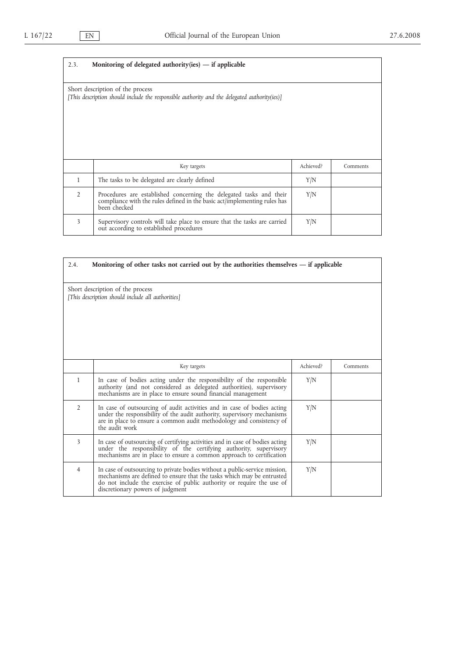$\mathbf{r}$ 

 $\overline{\phantom{0}}$ 

| 2.3.                                                                                                                             | Monitoring of delegated authority (ies) $-$ if applicable                                                                                                        |           |          |  |  |
|----------------------------------------------------------------------------------------------------------------------------------|------------------------------------------------------------------------------------------------------------------------------------------------------------------|-----------|----------|--|--|
| Short description of the process<br>[This description should include the responsible authority and the delegated authority(ies)] |                                                                                                                                                                  |           |          |  |  |
|                                                                                                                                  | Key targets                                                                                                                                                      | Achieved? | Comments |  |  |
| 1                                                                                                                                | The tasks to be delegated are clearly defined                                                                                                                    | Y/N       |          |  |  |
| $\mathfrak{D}$                                                                                                                   | Procedures are established concerning the delegated tasks and their<br>compliance with the rules defined in the basic act/implementing rules has<br>been checked | Y/N       |          |  |  |
| 3                                                                                                                                | Supervisory controls will take place to ensure that the tasks are carried<br>out according to established procedures                                             | Y/N       |          |  |  |

| Monitoring of other tasks not carried out by the authorities themselves $-$ if applicable<br>2.4. |                                                                                                                                                                                                                                                                   |           |          |  |
|---------------------------------------------------------------------------------------------------|-------------------------------------------------------------------------------------------------------------------------------------------------------------------------------------------------------------------------------------------------------------------|-----------|----------|--|
| Short description of the process<br>[This description should include all authorities]             |                                                                                                                                                                                                                                                                   |           |          |  |
|                                                                                                   | Key targets                                                                                                                                                                                                                                                       | Achieved? | Comments |  |
| $\mathbf{1}$                                                                                      | In case of bodies acting under the responsibility of the responsible<br>authority (and not considered as delegated authorities), supervisory<br>mechanisms are in place to ensure sound financial management                                                      | Y/N       |          |  |
| $\overline{2}$                                                                                    | In case of outsourcing of audit activities and in case of bodies acting<br>under the responsibility of the audit authority, supervisory mechanisms<br>are in place to ensure a common audit methodology and consistency of<br>the audit work                      | Y/N       |          |  |
| 3                                                                                                 | In case of outsourcing of certifying activities and in case of bodies acting<br>under the responsibility of the certifying authority, supervisory<br>mechanisms are in place to ensure a common approach to certification                                         | Y/N       |          |  |
| $\overline{4}$                                                                                    | In case of outsourcing to private bodies without a public-service mission,<br>mechanisms are defined to ensure that the tasks which may be entrusted<br>do not include the exercise of public authority or require the use of<br>discretionary powers of judgment | Y/N       |          |  |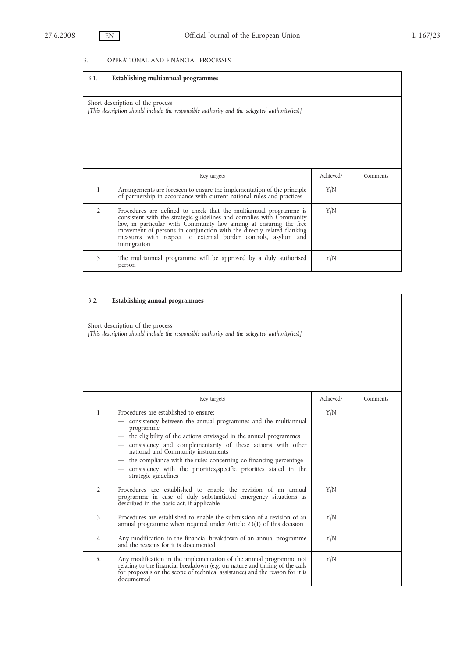# 3. OPERATIONAL AND FINANCIAL PROCESSES

| 3.1.                                                                                                                             | Establishing multiannual programmes                                                                                                                                                                                                                                                                                                                                     |           |          |  |
|----------------------------------------------------------------------------------------------------------------------------------|-------------------------------------------------------------------------------------------------------------------------------------------------------------------------------------------------------------------------------------------------------------------------------------------------------------------------------------------------------------------------|-----------|----------|--|
| Short description of the process<br>[This description should include the responsible authority and the delegated authority(ies)] |                                                                                                                                                                                                                                                                                                                                                                         |           |          |  |
|                                                                                                                                  | Key targets                                                                                                                                                                                                                                                                                                                                                             | Achieved? | Comments |  |
| 1                                                                                                                                | Arrangements are foreseen to ensure the implementation of the principle<br>of partnership in accordance with current national rules and practices                                                                                                                                                                                                                       | Y/N       |          |  |
| $\overline{2}$                                                                                                                   | Procedures are defined to check that the multiannual programme is<br>consistent with the strategic guidelines and complies with Community<br>law, in particular with Community law aiming at ensuring the free<br>movement of persons in conjunction with the directly related flanking<br>measures with respect to external border controls, asylum and<br>immigration | Y/N       |          |  |
| 3                                                                                                                                | The multiannual programme will be approved by a duly authorised<br>person                                                                                                                                                                                                                                                                                               | Y/N       |          |  |

| 3.2.                                                                                                                             | <b>Establishing annual programmes</b>                                                                                                                                                                                                                                                                                                                                                                                                                          |           |          |  |
|----------------------------------------------------------------------------------------------------------------------------------|----------------------------------------------------------------------------------------------------------------------------------------------------------------------------------------------------------------------------------------------------------------------------------------------------------------------------------------------------------------------------------------------------------------------------------------------------------------|-----------|----------|--|
| Short description of the process<br>[This description should include the responsible authority and the delegated authority(ies)] |                                                                                                                                                                                                                                                                                                                                                                                                                                                                |           |          |  |
|                                                                                                                                  | Key targets                                                                                                                                                                                                                                                                                                                                                                                                                                                    | Achieved? | Comments |  |
| $\mathbf{1}$                                                                                                                     | Procedures are established to ensure:<br>consistency between the annual programmes and the multiannual<br>programme<br>the eligibility of the actions envisaged in the annual programmes<br>consistency and complementarity of these actions with other<br>national and Community instruments<br>the compliance with the rules concerning co-financing percentage<br>consistency with the priorities/specific priorities stated in the<br>strategic guidelines | Y/N       |          |  |
| $\overline{2}$                                                                                                                   | Procedures are established to enable the revision of an annual<br>programme in case of duly substantiated emergency situations as<br>described in the basic act, if applicable                                                                                                                                                                                                                                                                                 | Y/N       |          |  |
| 3                                                                                                                                | Procedures are established to enable the submission of a revision of an<br>annual programme when required under Article 23(1) of this decision                                                                                                                                                                                                                                                                                                                 | Y/N       |          |  |
| 4                                                                                                                                | Any modification to the financial breakdown of an annual programme<br>and the reasons for it is documented                                                                                                                                                                                                                                                                                                                                                     | Y/N       |          |  |
| 5.                                                                                                                               | Any modification in the implementation of the annual programme not<br>relating to the financial breakdown (e.g. on nature and timing of the calls<br>for proposals or the scope of technical assistance) and the reason for it is<br>documented                                                                                                                                                                                                                | Y/N       |          |  |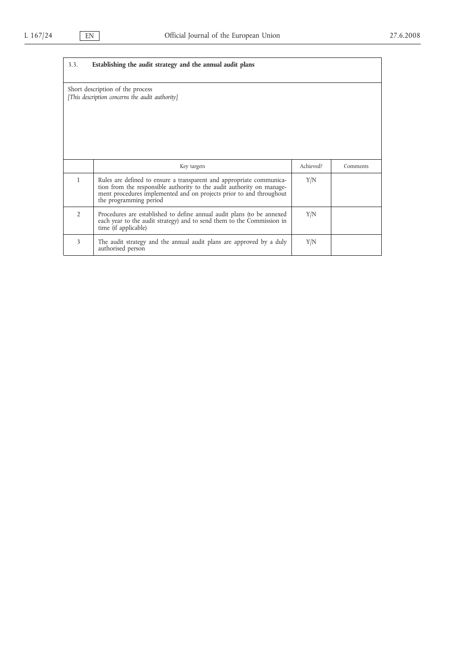| Establishing the audit strategy and the annual audit plans<br>3.3.                  |                                                                                                                                                                                                                                                |           |          |  |
|-------------------------------------------------------------------------------------|------------------------------------------------------------------------------------------------------------------------------------------------------------------------------------------------------------------------------------------------|-----------|----------|--|
| Short description of the process<br>[This description concerns the audit authority] |                                                                                                                                                                                                                                                |           |          |  |
|                                                                                     | Key targets                                                                                                                                                                                                                                    | Achieved? | Comments |  |
| 1                                                                                   | Rules are defined to ensure a transparent and appropriate communica-<br>tion from the responsible authority to the audit authority on manage-<br>ment procedures implemented and on projects prior to and throughout<br>the programming period | Y/N       |          |  |
| $\overline{2}$                                                                      | Procedures are established to define annual audit plans (to be annexed<br>each year to the audit strategy) and to send them to the Commission in<br>time (if applicable)                                                                       | Y/N       |          |  |
| 3                                                                                   | The audit strategy and the annual audit plans are approved by a duly<br>authorised person                                                                                                                                                      | Y/N       |          |  |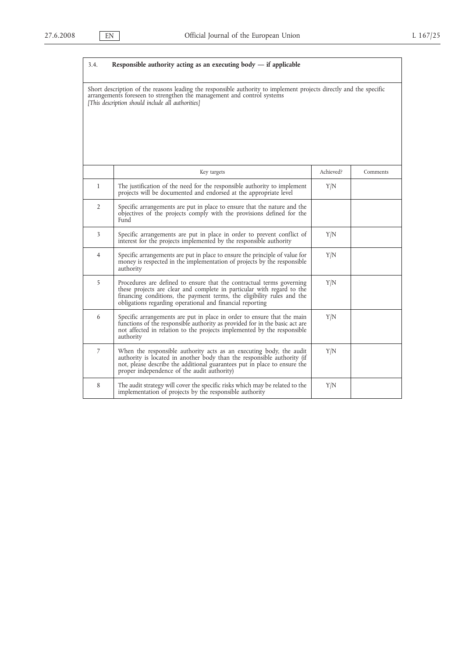| 3.4.         | Responsible authority acting as an executing body $-$ if applicable                                                                                                                                                                                                                    |           |          |
|--------------|----------------------------------------------------------------------------------------------------------------------------------------------------------------------------------------------------------------------------------------------------------------------------------------|-----------|----------|
|              | Short description of the reasons leading the responsible authority to implement projects directly and the specific<br>arrangements foreseen to strengthen the management and control systems<br>[This description should include all authorities]                                      |           |          |
|              | Key targets                                                                                                                                                                                                                                                                            | Achieved? | Comments |
| $\mathbf{1}$ | The justification of the need for the responsible authority to implement<br>projects will be documented and endorsed at the appropriate level                                                                                                                                          | Y/N       |          |
| 2            | Specific arrangements are put in place to ensure that the nature and the<br>objectives of the projects comply with the provisions defined for the<br>Fund                                                                                                                              |           |          |
| 3            | Specific arrangements are put in place in order to prevent conflict of<br>interest for the projects implemented by the responsible authority                                                                                                                                           | Y/N       |          |
| 4            | Specific arrangements are put in place to ensure the principle of value for<br>money is respected in the implementation of projects by the responsible<br>authority                                                                                                                    | Y/N       |          |
| 5            | Procedures are defined to ensure that the contractual terms governing<br>these projects are clear and complete in particular with regard to the<br>financing conditions, the payment terms, the eligibility rules and the<br>obligations regarding operational and financial reporting | Y/N       |          |
| 6            | Specific arrangements are put in place in order to ensure that the main<br>functions of the responsible authority as provided for in the basic act are<br>not affected in relation to the projects implemented by the responsible<br>authority                                         | Y/N       |          |
| 7            | When the responsible authority acts as an executing body, the audit<br>authority is located in another body than the responsible authority (if<br>not, please describe the additional guarantees put in place to ensure the<br>proper independence of the audit authority)             | Y/N       |          |
| 8            | The audit strategy will cover the specific risks which may be related to the<br>implementation of projects by the responsible authority                                                                                                                                                | Y/N       |          |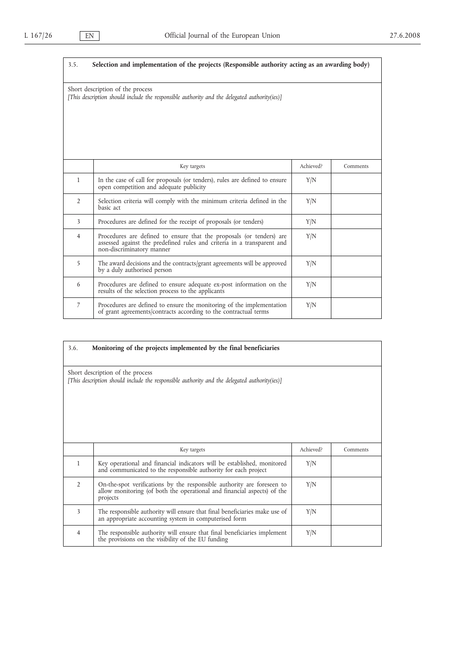| 3.5.                                                                                                                             | Selection and implementation of the projects (Responsible authority acting as an awarding body)                                                                              |           |          |  |
|----------------------------------------------------------------------------------------------------------------------------------|------------------------------------------------------------------------------------------------------------------------------------------------------------------------------|-----------|----------|--|
| Short description of the process<br>[This description should include the responsible authority and the delegated authority(ies)] |                                                                                                                                                                              |           |          |  |
|                                                                                                                                  | Key targets                                                                                                                                                                  | Achieved? | Comments |  |
| $\mathbf{1}$                                                                                                                     | In the case of call for proposals (or tenders), rules are defined to ensure<br>open competition and adequate publicity                                                       | Y/N       |          |  |
| $\overline{2}$                                                                                                                   | Selection criteria will comply with the minimum criteria defined in the<br>basic act                                                                                         | Y/N       |          |  |
| 3                                                                                                                                | Procedures are defined for the receipt of proposals (or tenders)                                                                                                             | Y/N       |          |  |
| $\overline{4}$                                                                                                                   | Procedures are defined to ensure that the proposals (or tenders) are<br>assessed against the predefined rules and criteria in a transparent and<br>non-discriminatory manner | Y/N       |          |  |
| 5                                                                                                                                | The award decisions and the contracts/grant agreements will be approved<br>by a duly authorised person                                                                       | Y/N       |          |  |
| 6                                                                                                                                | Procedures are defined to ensure adequate ex-post information on the<br>results of the selection process to the applicants                                                   | Y/N       |          |  |
| $\overline{7}$                                                                                                                   | Procedures are defined to ensure the monitoring of the implementation<br>of grant agreements/contracts according to the contractual terms                                    | Y/N       |          |  |

| 3.6.                                                                                                                             | Monitoring of the projects implemented by the final beneficiaries                                                                                             |           |          |  |
|----------------------------------------------------------------------------------------------------------------------------------|---------------------------------------------------------------------------------------------------------------------------------------------------------------|-----------|----------|--|
|                                                                                                                                  |                                                                                                                                                               |           |          |  |
| Short description of the process<br>[This description should include the responsible authority and the delegated authority(ies)] |                                                                                                                                                               |           |          |  |
|                                                                                                                                  | Key targets                                                                                                                                                   | Achieved? | Comments |  |
| $\mathbf{1}$                                                                                                                     | Key operational and financial indicators will be established, monitored<br>and communicated to the responsible authority for each project                     | Y/N       |          |  |
| $\overline{2}$                                                                                                                   | On-the-spot verifications by the responsible authority are foreseen to<br>allow monitoring (of both the operational and financial aspects) of the<br>projects | Y/N       |          |  |
| 3                                                                                                                                | The responsible authority will ensure that final beneficiaries make use of<br>an appropriate accounting system in computerised form                           | Y/N       |          |  |
| 4                                                                                                                                | The responsible authority will ensure that final beneficiaries implement<br>the provisions on the visibility of the EU funding                                | Y/N       |          |  |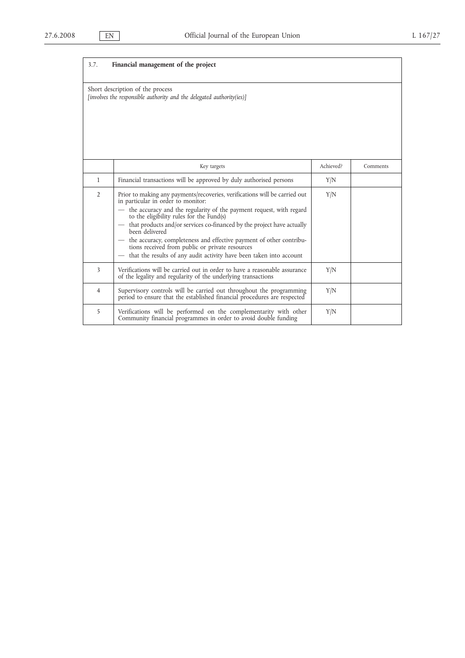$\mathbf{r}$ 

| 3.7.           | Financial management of the project                                                                                                                                                                                                                                                                                                                                                                                                                                                                                                    |           |          |
|----------------|----------------------------------------------------------------------------------------------------------------------------------------------------------------------------------------------------------------------------------------------------------------------------------------------------------------------------------------------------------------------------------------------------------------------------------------------------------------------------------------------------------------------------------------|-----------|----------|
|                | Short description of the process<br>[involves the responsible authority and the delegated authority(ies)]                                                                                                                                                                                                                                                                                                                                                                                                                              |           |          |
|                | Key targets                                                                                                                                                                                                                                                                                                                                                                                                                                                                                                                            | Achieved? | Comments |
| $\mathbf{1}$   | Financial transactions will be approved by duly authorised persons                                                                                                                                                                                                                                                                                                                                                                                                                                                                     | Y/N       |          |
| $\overline{2}$ | Prior to making any payments/recoveries, verifications will be carried out<br>in particular in order to monitor:<br>- the accuracy and the regularity of the payment request, with regard<br>to the eligibility rules for the Fund(s)<br>that products and/or services co-financed by the project have actually been delivered $\,$<br>- the accuracy, completeness and effective payment of other contribu-<br>tions received from public or private resources<br>that the results of any audit activity have been taken into account | Y/N       |          |
| 3              | Verifications will be carried out in order to have a reasonable assurance<br>of the legality and regularity of the underlying transactions                                                                                                                                                                                                                                                                                                                                                                                             | Y/N       |          |
| 4              | Supervisory controls will be carried out throughout the programming<br>period to ensure that the established financial procedures are respected                                                                                                                                                                                                                                                                                                                                                                                        | Y/N       |          |
| 5              | Verifications will be performed on the complementarity with other<br>Community financial programmes in order to avoid double funding                                                                                                                                                                                                                                                                                                                                                                                                   | Y/N       |          |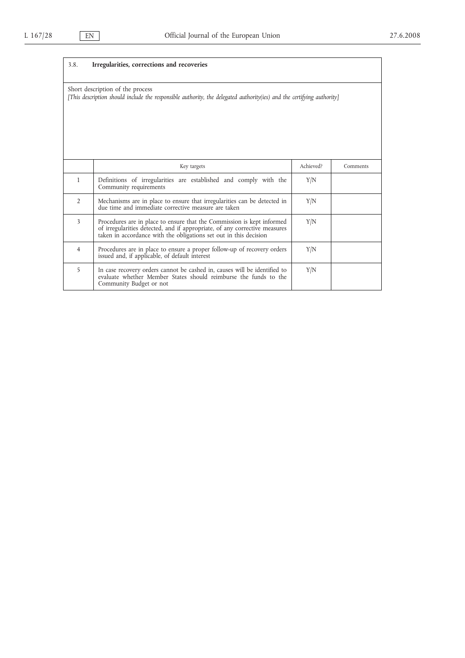| 3.8.                                                                                                                                                       | Irregularities, corrections and recoveries                                                                                                                                                                                |           |          |
|------------------------------------------------------------------------------------------------------------------------------------------------------------|---------------------------------------------------------------------------------------------------------------------------------------------------------------------------------------------------------------------------|-----------|----------|
| Short description of the process<br>[This description should include the responsible authority, the delegated authority(ies) and the certifying authority] |                                                                                                                                                                                                                           |           |          |
|                                                                                                                                                            | Key targets                                                                                                                                                                                                               | Achieved? | Comments |
| 1                                                                                                                                                          | Definitions of irregularities are established and comply with the<br>Community requirements                                                                                                                               | Y/N       |          |
| $\overline{2}$                                                                                                                                             | Mechanisms are in place to ensure that irregularities can be detected in<br>due time and immediate corrective measure are taken                                                                                           | Y/N       |          |
| 3                                                                                                                                                          | Procedures are in place to ensure that the Commission is kept informed<br>of irregularities detected, and if appropriate, of any corrective measures<br>taken in accordance with the obligations set out in this decision | Y/N       |          |
| 4                                                                                                                                                          | Procedures are in place to ensure a proper follow-up of recovery orders<br>issued and, if applicable, of default interest                                                                                                 | Y/N       |          |
| 5                                                                                                                                                          | In case recovery orders cannot be cashed in, causes will be identified to<br>evaluate whether Member States should reimburse the funds to the<br>Community Budget or not                                                  | Y/N       |          |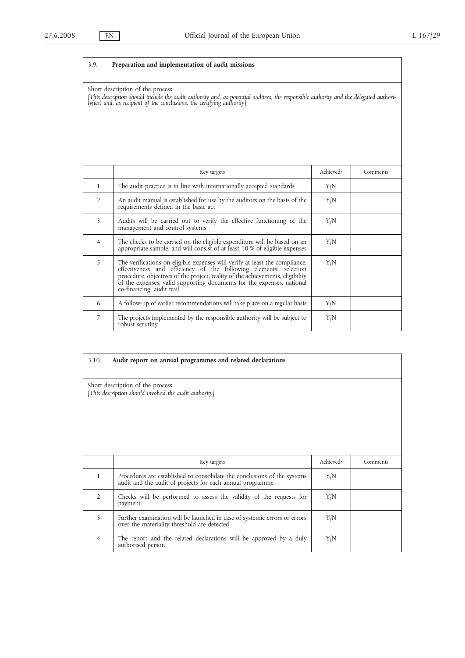| 3.9.                                                                                                                                                                                                                                                 | Preparation and implementation of audit missions                                                                                                                                                                                                                                                                                          |           |          |  |
|------------------------------------------------------------------------------------------------------------------------------------------------------------------------------------------------------------------------------------------------------|-------------------------------------------------------------------------------------------------------------------------------------------------------------------------------------------------------------------------------------------------------------------------------------------------------------------------------------------|-----------|----------|--|
| Short description of the process<br>[This description should include the audit authority and, as potential auditees, the responsible authority and the delegated authori-<br>ty(ies) and, as recipient of the conclusions, the certifying authority] |                                                                                                                                                                                                                                                                                                                                           |           |          |  |
|                                                                                                                                                                                                                                                      | Key targets                                                                                                                                                                                                                                                                                                                               | Achieved? | Comments |  |
| $\mathbf{1}$                                                                                                                                                                                                                                         | The audit practice is in line with internationally accepted standards                                                                                                                                                                                                                                                                     | Y/N       |          |  |
| $\overline{2}$                                                                                                                                                                                                                                       | An audit manual is established for use by the auditors on the basis of the<br>requirements defined in the basic act                                                                                                                                                                                                                       | Y/N       |          |  |
| 3                                                                                                                                                                                                                                                    | Audits will be carried out to verify the effective functioning of the<br>management and control systems                                                                                                                                                                                                                                   | Y/N       |          |  |
| $\overline{4}$                                                                                                                                                                                                                                       | The checks to be carried on the eligible expenditure will be based on an<br>appropriate sample, and will consist of at least 10 % of eligible expenses                                                                                                                                                                                    | Y/N       |          |  |
| 5                                                                                                                                                                                                                                                    | The verifications on eligible expenses will verify at least the compliance,<br>effectiveness and efficiency of the following elements: selection<br>procedure, objectives of the project, reality of the achievements, eligibility<br>of the expenses, valid supporting documents for the expenses, national<br>co-financing, audit trail | Y/N       |          |  |
| 6                                                                                                                                                                                                                                                    | A follow-up of earlier recommendations will take place on a regular basis                                                                                                                                                                                                                                                                 | Y/N       |          |  |
| 7                                                                                                                                                                                                                                                    | The projects implemented by the responsible authority will be subject to<br>robust scrutiny                                                                                                                                                                                                                                               | Y/N       |          |  |

| 3.10.                                                                                      | Audit report on annual programmes and related declarations                                                                            |           |          |
|--------------------------------------------------------------------------------------------|---------------------------------------------------------------------------------------------------------------------------------------|-----------|----------|
| Short description of the process<br>[This description should involved the audit authority] |                                                                                                                                       |           |          |
|                                                                                            | Key targets                                                                                                                           | Achieved? | Comments |
| 1                                                                                          | Procedures are established to consolidate the conclusions of the systems<br>audit and the audit of projects for each annual programme | Y/N       |          |
| $\overline{2}$                                                                             | Checks will be performed to assess the validity of the requests for<br>payment                                                        | Y/N       |          |
| 3                                                                                          | Further examination will be launched in case of systemic errors or errors<br>over the materiality threshold are detected              | Y/N       |          |
| 4                                                                                          | The report and the related declarations will be approved by a duly<br>authorised person                                               | Y/N       |          |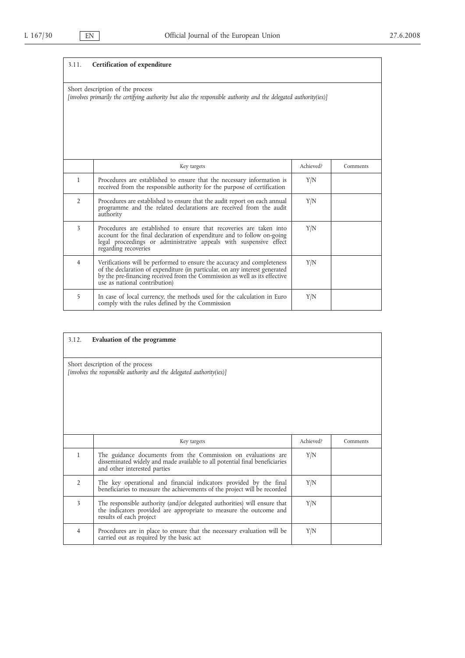| 3.11.                                                                                                                                                 | Certification of expenditure                                                                                                                                                                                                                                          |           |          |
|-------------------------------------------------------------------------------------------------------------------------------------------------------|-----------------------------------------------------------------------------------------------------------------------------------------------------------------------------------------------------------------------------------------------------------------------|-----------|----------|
| Short description of the process<br>[involves primarily the certifying authority but also the responsible authority and the delegated authority(ies)] |                                                                                                                                                                                                                                                                       |           |          |
|                                                                                                                                                       | Key targets                                                                                                                                                                                                                                                           | Achieved? | Comments |
| $\mathbf{1}$                                                                                                                                          | Procedures are established to ensure that the necessary information is<br>received from the responsible authority for the purpose of certification                                                                                                                    | Y/N       |          |
| $\overline{2}$                                                                                                                                        | Procedures are established to ensure that the audit report on each annual<br>programme and the related declarations are received from the audit<br>authority                                                                                                          | Y/N       |          |
| 3                                                                                                                                                     | Procedures are established to ensure that recoveries are taken into<br>account for the final declaration of expenditure and to follow on-going<br>legal proceedings or administrative appeals with suspensive effect<br>regarding recoveries                          | Y/N       |          |
| 4                                                                                                                                                     | Verifications will be performed to ensure the accuracy and completeness<br>of the declaration of expenditure (in particular, on any interest generated<br>by the pre-financing received from the Commission as well as its effective<br>use as national contribution) | Y/N       |          |
| 5                                                                                                                                                     | In case of local currency, the methods used for the calculation in Euro<br>comply with the rules defined by the Commission                                                                                                                                            | Y/N       |          |

| 3.12.          | Evaluation of the programme                                                                                                                                                  |           |          |
|----------------|------------------------------------------------------------------------------------------------------------------------------------------------------------------------------|-----------|----------|
|                | Short description of the process<br>[involves the responsible authority and the delegated authority(ies)]                                                                    |           |          |
|                | Key targets                                                                                                                                                                  | Achieved? | Comments |
| 1              | The guidance documents from the Commission on evaluations are<br>disseminated widely and made available to all potential final beneficiaries<br>and other interested parties | Y/N       |          |
| $\overline{2}$ | The key operational and financial indicators provided by the final<br>beneficiaries to measure the achievements of the project will be recorded                              | Y/N       |          |
| 3              | The responsible authority (and/or delegated authorities) will ensure that<br>the indicators provided are appropriate to measure the outcome and<br>results of each project   | Y/N       |          |
| 4              | Procedures are in place to ensure that the necessary evaluation will be<br>carried out as required by the basic act                                                          | Y/N       |          |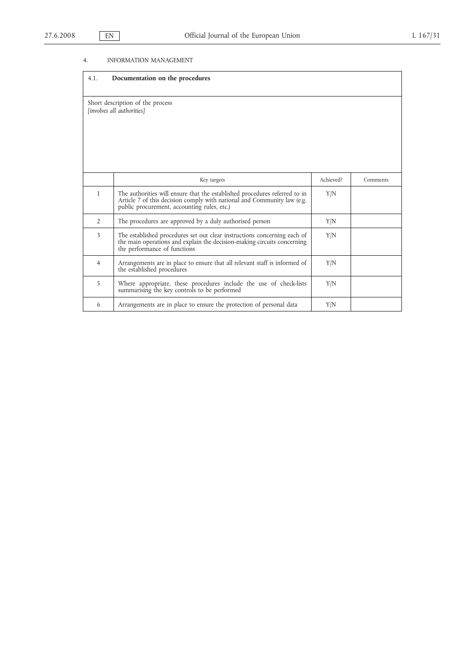# 4. INFORMATION MANAGEMENT

| 4.1.           | Documentation on the procedures                                                                                                                                                                      |           |          |
|----------------|------------------------------------------------------------------------------------------------------------------------------------------------------------------------------------------------------|-----------|----------|
|                | Short description of the process<br>[involves all authorities]                                                                                                                                       |           |          |
|                | Key targets                                                                                                                                                                                          | Achieved? | Comments |
| $\mathbf{1}$   | The authorities will ensure that the established procedures referred to in<br>Article 7 of this decision comply with national and Community law (e.g.<br>public procurement, accounting rules, etc.) | Y/N       |          |
| $\overline{2}$ | The procedures are approved by a duly authorised person                                                                                                                                              | Y/N       |          |
| 3              | The established procedures set out clear instructions concerning each of<br>the main operations and explain the decision-making circuits concerning<br>the performance of functions                  | Y/N       |          |
| $\overline{4}$ | Arrangements are in place to ensure that all relevant staff is informed of<br>the established procedures                                                                                             | Y/N       |          |
| 5              | Where appropriate, these procedures include the use of check-lists<br>summarising the key controls to be performed                                                                                   | Y/N       |          |
| 6              | Arrangements are in place to ensure the protection of personal data                                                                                                                                  | Y/N       |          |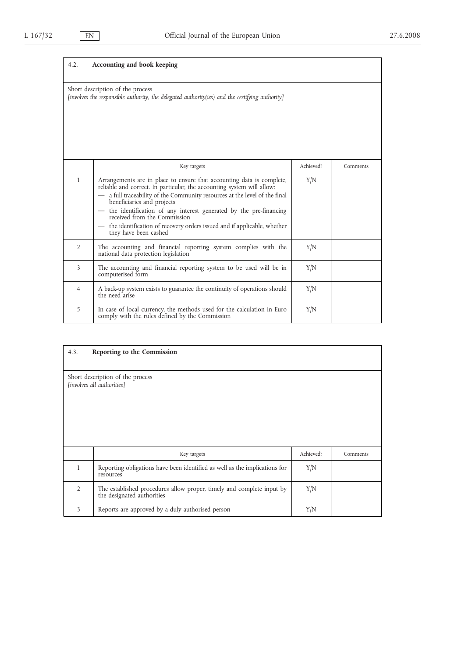ц.

| 4.2.           | Accounting and book keeping                                                                                                                                                                                                                                                                                                                                                                                                                                        |           |          |
|----------------|--------------------------------------------------------------------------------------------------------------------------------------------------------------------------------------------------------------------------------------------------------------------------------------------------------------------------------------------------------------------------------------------------------------------------------------------------------------------|-----------|----------|
|                | Short description of the process<br>[involves the responsible authority, the delegated authority(ies) and the certifying authority]                                                                                                                                                                                                                                                                                                                                |           |          |
|                | Key targets                                                                                                                                                                                                                                                                                                                                                                                                                                                        | Achieved? | Comments |
| $\mathbf{1}$   | Arrangements are in place to ensure that accounting data is complete,<br>reliable and correct. In particular, the accounting system will allow:<br>a full traceability of the Community resources at the level of the final<br>beneficiaries and projects<br>the identification of any interest generated by the pre-financing<br>received from the Commission<br>the identification of recovery orders issued and if applicable, whether<br>they have been cashed | Y/N       |          |
| $\overline{2}$ | The accounting and financial reporting system complies with the<br>national data protection legislation                                                                                                                                                                                                                                                                                                                                                            | Y/N       |          |
| 3              | The accounting and financial reporting system to be used will be in<br>computerised form                                                                                                                                                                                                                                                                                                                                                                           | Y/N       |          |
| $\overline{4}$ | A back-up system exists to guarantee the continuity of operations should<br>the need arise                                                                                                                                                                                                                                                                                                                                                                         | Y/N       |          |
| 5              | In case of local currency, the methods used for the calculation in Euro<br>comply with the rules defined by the Commission                                                                                                                                                                                                                                                                                                                                         | Y/N       |          |

| 4.3.                    | Reporting to the Commission                                                                         |           |          |
|-------------------------|-----------------------------------------------------------------------------------------------------|-----------|----------|
|                         | Short description of the process<br>[involves all authorities]                                      |           |          |
|                         | Key targets                                                                                         | Achieved? | Comments |
| $\mathbf{1}$            | Reporting obligations have been identified as well as the implications for<br>resources             | Y/N       |          |
| $\overline{2}$          | The established procedures allow proper, timely and complete input by<br>the designated authorities | Y/N       |          |
| $\overline{\mathbf{3}}$ | Reports are approved by a duly authorised person                                                    | Y/N       |          |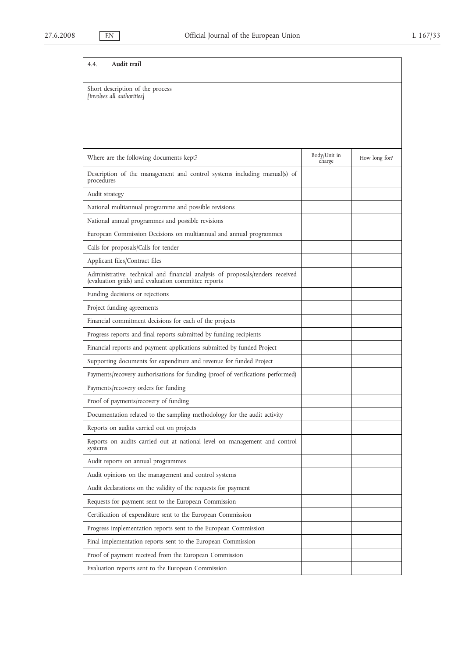| Audit trail<br>4.4.                                                                                                                   |                        |               |
|---------------------------------------------------------------------------------------------------------------------------------------|------------------------|---------------|
| Short description of the process<br>[involves all authorities]                                                                        |                        |               |
|                                                                                                                                       |                        |               |
| Where are the following documents kept?                                                                                               | Body/Unit in<br>charge | How long for? |
| Description of the management and control systems including manual(s) of<br>procedures                                                |                        |               |
| Audit strategy                                                                                                                        |                        |               |
| National multiannual programme and possible revisions                                                                                 |                        |               |
| National annual programmes and possible revisions                                                                                     |                        |               |
| European Commission Decisions on multiannual and annual programmes                                                                    |                        |               |
| Calls for proposals/Calls for tender                                                                                                  |                        |               |
| Applicant files/Contract files                                                                                                        |                        |               |
| Administrative, technical and financial analysis of proposals/tenders received<br>(evaluation grids) and evaluation committee reports |                        |               |
| Funding decisions or rejections                                                                                                       |                        |               |
| Project funding agreements                                                                                                            |                        |               |
| Financial commitment decisions for each of the projects                                                                               |                        |               |
| Progress reports and final reports submitted by funding recipients                                                                    |                        |               |
| Financial reports and payment applications submitted by funded Project                                                                |                        |               |
| Supporting documents for expenditure and revenue for funded Project                                                                   |                        |               |
| Payments/recovery authorisations for funding (proof of verifications performed)                                                       |                        |               |
| Payments/recovery orders for funding                                                                                                  |                        |               |
| Proof of payments/recovery of funding                                                                                                 |                        |               |
| Documentation related to the sampling methodology for the audit activity                                                              |                        |               |
| Reports on audits carried out on projects                                                                                             |                        |               |
| Reports on audits carried out at national level on management and control<br>systems                                                  |                        |               |
| Audit reports on annual programmes                                                                                                    |                        |               |
| Audit opinions on the management and control systems                                                                                  |                        |               |
| Audit declarations on the validity of the requests for payment                                                                        |                        |               |
| Requests for payment sent to the European Commission                                                                                  |                        |               |
| Certification of expenditure sent to the European Commission                                                                          |                        |               |
| Progress implementation reports sent to the European Commission                                                                       |                        |               |
| Final implementation reports sent to the European Commission                                                                          |                        |               |
| Proof of payment received from the European Commission                                                                                |                        |               |
| Evaluation reports sent to the European Commission                                                                                    |                        |               |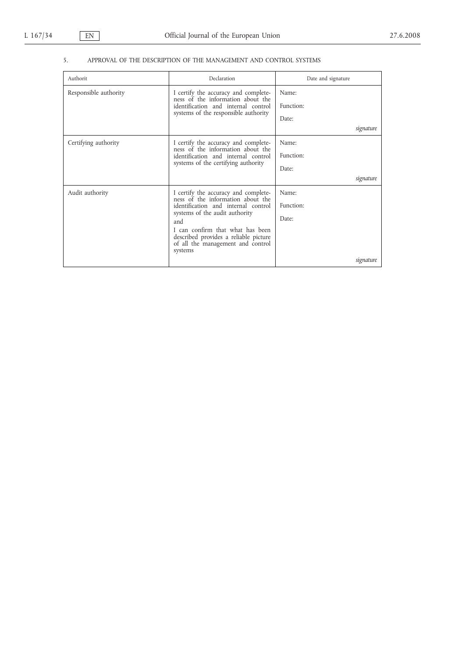# 5. APPROVAL OF THE DESCRIPTION OF THE MANAGEMENT AND CONTROL SYSTEMS

| Authorit              | Declaration                                                                                                               | Date and signature |
|-----------------------|---------------------------------------------------------------------------------------------------------------------------|--------------------|
| Responsible authority | I certify the accuracy and complete-<br>ness of the information about the                                                 | Name:              |
|                       | identification and internal control                                                                                       | Function:          |
|                       | systems of the responsible authority                                                                                      | Date:              |
|                       |                                                                                                                           | signature          |
| Certifying authority  | I certify the accuracy and complete-                                                                                      | Name:              |
|                       | ness of the information about the<br>identification and internal control                                                  | Function:          |
|                       | systems of the certifying authority                                                                                       | Date:              |
|                       |                                                                                                                           | signature          |
| Audit authority       | I certify the accuracy and completeness of the information about the                                                      | Name:              |
|                       | identification and internal control                                                                                       | Function:          |
|                       | systems of the audit authority<br>and                                                                                     | Date:              |
|                       | I can confirm that what has been<br>described provides a reliable picture<br>of all the management and control<br>systems |                    |
|                       |                                                                                                                           | signature          |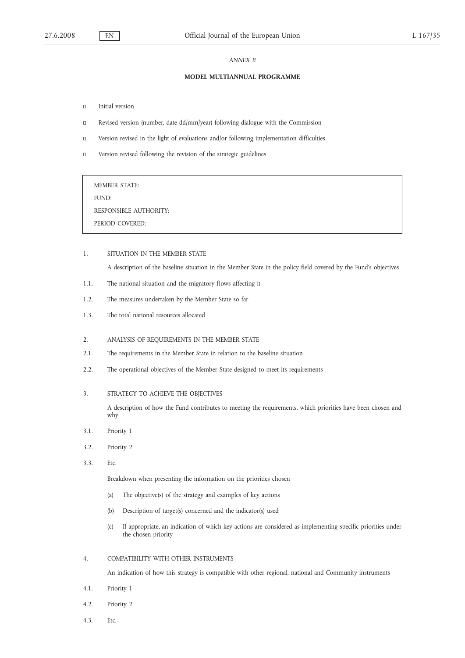#### *ANNEX II*

#### **MODEL MULTIANNUAL PROGRAMME**

- $\square$  Initial version
- Revised version (number, date dd/mm/year) following dialogue with the Commission
- Version revised in the light of evaluations and/or following implementation difficulties
- Version revised following the revision of the strategic guidelines

# MEMBER STATE:

FUND:

RESPONSIBLE AUTHORITY:

PERIOD COVERED:

# 1. SITUATION IN THE MEMBER STATE

A description of the baseline situation in the Member State in the policy field covered by the Fund's objectives

- 1.1. The national situation and the migratory flows affecting it
- 1.2. The measures undertaken by the Member State so far
- 1.3. The total national resources allocated

#### 2. ANALYSIS OF REQUIREMENTS IN THE MEMBER STATE

- 2.1. The requirements in the Member State in relation to the baseline situation
- 2.2. The operational objectives of the Member State designed to meet its requirements

# 3. STRATEGY TO ACHIEVE THE OBJECTIVES

A description of how the Fund contributes to meeting the requirements, which priorities have been chosen and why

- 3.1. Priority 1
- 3.2. Priority 2
- 3.3. Etc.

Breakdown when presenting the information on the priorities chosen

- (a) The objective(s) of the strategy and examples of key actions
- (b) Description of target(s) concerned and the indicator(s) used
- (c) If appropriate, an indication of which key actions are considered as implementing specific priorities under the chosen priority

#### 4. COMPATIBILITY WITH OTHER INSTRUMENTS

An indication of how this strategy is compatible with other regional, national and Community instruments

- 4.1. Priority 1
- 4.2. Priority 2
- 4.3. Etc.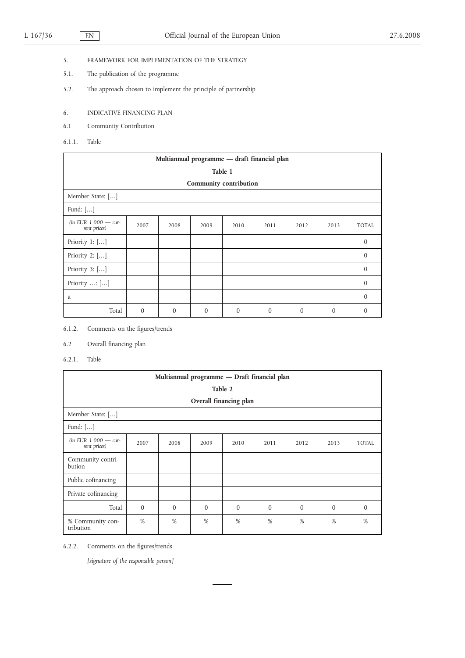- 5. FRAMEWORK FOR IMPLEMENTATION OF THE STRATEGY
- 5.1. The publication of the programme
- 5.2. The approach chosen to implement the principle of partnership
- 6. INDICATIVE FINANCING PLAN
- 6.1 Community Contribution
- 6.1.1. Table

|                                       | Multiannual programme - draft financial plan |          |              |          |              |          |                |              |  |  |  |
|---------------------------------------|----------------------------------------------|----------|--------------|----------|--------------|----------|----------------|--------------|--|--|--|
|                                       | Table 1                                      |          |              |          |              |          |                |              |  |  |  |
|                                       | Community contribution                       |          |              |          |              |          |                |              |  |  |  |
| Member State: []                      |                                              |          |              |          |              |          |                |              |  |  |  |
| Fund: $[]$                            |                                              |          |              |          |              |          |                |              |  |  |  |
| (in EUR $1000 -$ cur-<br>rent prices) | 2007                                         | 2008     | 2009         | 2010     | 2011         | 2012     | 2013           | <b>TOTAL</b> |  |  |  |
| Priority $1:$ $[]$                    |                                              |          |              |          |              |          |                | $\mathbf{0}$ |  |  |  |
| Priority 2: []                        |                                              |          |              |          |              |          |                | $\mathbf{0}$ |  |  |  |
| Priority $3:$ $[]$                    |                                              |          |              |          |              |          |                | $\theta$     |  |  |  |
| Priority $\dots$ [ $\dots$ ]          |                                              |          |              |          |              |          |                | $\Omega$     |  |  |  |
| a                                     |                                              |          |              |          |              |          |                | $\theta$     |  |  |  |
| Total                                 | $\mathbf{0}$                                 | $\theta$ | $\mathbf{0}$ | $\theta$ | $\mathbf{0}$ | $\theta$ | $\overline{0}$ | $\mathbf{0}$ |  |  |  |

6.1.2. Comments on the figures/trends

6.2 Overall financing plan

6.2.1. Table

|                                         | Multiannual programme - Draft financial plan |          |          |          |          |          |          |              |  |  |  |  |
|-----------------------------------------|----------------------------------------------|----------|----------|----------|----------|----------|----------|--------------|--|--|--|--|
|                                         | Table 2                                      |          |          |          |          |          |          |              |  |  |  |  |
| Overall financing plan                  |                                              |          |          |          |          |          |          |              |  |  |  |  |
| Member State: []                        |                                              |          |          |          |          |          |          |              |  |  |  |  |
| Fund: $[\ldots]$                        |                                              |          |          |          |          |          |          |              |  |  |  |  |
| $(in$ EUR $1000 - cur-$<br>rent prices) | 2007                                         | 2008     | 2009     | 2010     | 2011     | 2012     | 2013     | <b>TOTAL</b> |  |  |  |  |
| Community contri-<br>bution             |                                              |          |          |          |          |          |          |              |  |  |  |  |
| Public cofinancing                      |                                              |          |          |          |          |          |          |              |  |  |  |  |
| Private cofinancing                     |                                              |          |          |          |          |          |          |              |  |  |  |  |
| Total                                   | $\theta$                                     | $\theta$ | $\Omega$ | $\Omega$ | $\theta$ | $\Omega$ | $\theta$ | $\theta$     |  |  |  |  |
| % Community con-<br>tribution           | %                                            | %        | %        | %        | %        | %        | %        | %            |  |  |  |  |

6.2.2. Comments on the figures/trends

*[signature of the responsible person]*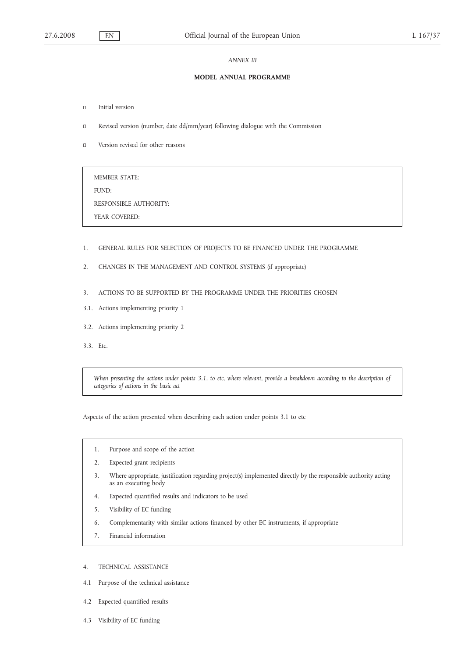#### *ANNEX III*

#### **MODEL ANNUAL PROGRAMME**

- Initial version
- Revised version (number, date dd/mm/year) following dialogue with the Commission
- Version revised for other reasons

MEMBER STATE: FUND: RESPONSIBLE AUTHORITY: YEAR COVERED:

- 1. GENERAL RULES FOR SELECTION OF PROJECTS TO BE FINANCED UNDER THE PROGRAMME
- 2. CHANGES IN THE MANAGEMENT AND CONTROL SYSTEMS (if appropriate)
- 3. ACTIONS TO BE SUPPORTED BY THE PROGRAMME UNDER THE PRIORITIES CHOSEN
- 3.1. Actions implementing priority 1
- 3.2. Actions implementing priority 2
- 3.3. Etc.

*When presenting the actions under points 3.1. to etc, where relevant, provide a breakdown according to the description of categories of actions in the basic act*

Aspects of the action presented when describing each action under points 3.1 to etc

- 1. Purpose and scope of the action
- 2. Expected grant recipients
- 3. Where appropriate, justification regarding project(s) implemented directly by the responsible authority acting as an executing body
- 4. Expected quantified results and indicators to be used
- 5. Visibility of EC funding
- 6. Complementarity with similar actions financed by other EC instruments, if appropriate
- 7. Financial information

# 4. TECHNICAL ASSISTANCE

- 4.1 Purpose of the technical assistance
- 4.2 Expected quantified results
- 4.3 Visibility of EC funding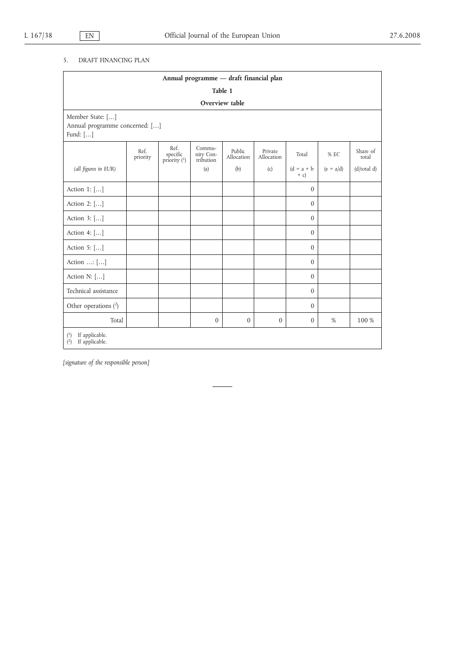# 5. DRAFT FINANCING PLAN

|                                                                | Annual programme - draft financial plan |                                    |                                  |                      |                       |                        |             |                   |  |  |  |
|----------------------------------------------------------------|-----------------------------------------|------------------------------------|----------------------------------|----------------------|-----------------------|------------------------|-------------|-------------------|--|--|--|
|                                                                |                                         |                                    |                                  | Table 1              |                       |                        |             |                   |  |  |  |
|                                                                | Overview table                          |                                    |                                  |                      |                       |                        |             |                   |  |  |  |
| Member State: []<br>Annual programme concerned: []<br>Fund: [] |                                         |                                    |                                  |                      |                       |                        |             |                   |  |  |  |
|                                                                | Ref.<br>priority                        | Ref.<br>specific<br>priority $(1)$ | Commu-<br>nity Con-<br>tribution | Public<br>Allocation | Private<br>Allocation | Total                  | % EC        | Share of<br>total |  |  |  |
| (all figures in EUR)                                           |                                         |                                    | (a)                              | (b)                  | (c)                   | $(d = a + b)$<br>$+ c$ | $(e = a/d)$ | (d/total d)       |  |  |  |
| Action 1: []                                                   |                                         |                                    |                                  |                      |                       | $\mathbf{0}$           |             |                   |  |  |  |
| Action 2: []                                                   |                                         |                                    |                                  |                      |                       | $\mathbf{0}$           |             |                   |  |  |  |
| Action 3: []                                                   |                                         |                                    |                                  |                      |                       | $\mathbf{0}$           |             |                   |  |  |  |
| Action 4: []                                                   |                                         |                                    |                                  |                      |                       | $\mathbf{0}$           |             |                   |  |  |  |
| Action 5: []                                                   |                                         |                                    |                                  |                      |                       | $\mathbf{0}$           |             |                   |  |  |  |
| Action : []                                                    |                                         |                                    |                                  |                      |                       | $\mathbf{0}$           |             |                   |  |  |  |
| Action N: []                                                   |                                         |                                    |                                  |                      |                       | $\mathbf{0}$           |             |                   |  |  |  |
| Technical assistance                                           |                                         |                                    |                                  |                      |                       | $\theta$               |             |                   |  |  |  |
| Other operations $(2)$                                         |                                         |                                    |                                  |                      |                       | $\mathbf{0}$           |             |                   |  |  |  |
| Total                                                          |                                         |                                    | $\boldsymbol{0}$                 | $\mathbf{0}$         | $\mathbf{0}$          | $\mathbf{0}$           | $\%$        | 100 %             |  |  |  |
| If applicable.<br>$^{(1)}$<br>If applicable.<br>$\binom{2}{ }$ |                                         |                                    |                                  |                      |                       |                        |             |                   |  |  |  |

*[signature of the responsible person]*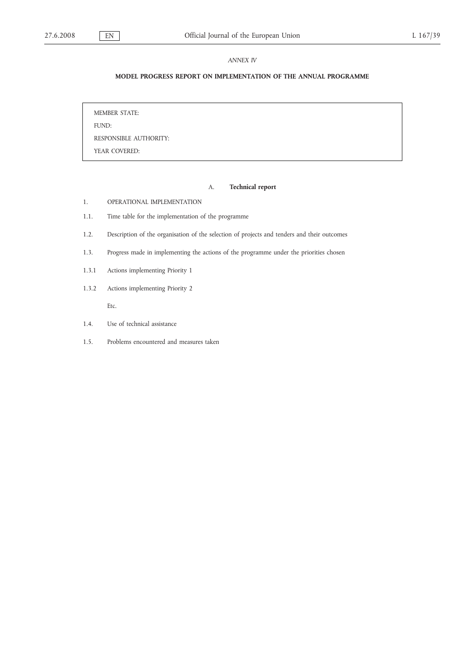### *ANNEX IV*

# **MODEL PROGRESS REPORT ON IMPLEMENTATION OF THE ANNUAL PROGRAMME**

MEMBER STATE: FUND: RESPONSIBLE AUTHORITY: YEAR COVERED:

# A. **Technical report**

- 1. OPERATIONAL IMPLEMENTATION
- 1.1. Time table for the implementation of the programme
- 1.2. Description of the organisation of the selection of projects and tenders and their outcomes
- 1.3. Progress made in implementing the actions of the programme under the priorities chosen
- 1.3.1 Actions implementing Priority 1
- 1.3.2 Actions implementing Priority 2

Etc.

- 1.4. Use of technical assistance
- 1.5. Problems encountered and measures taken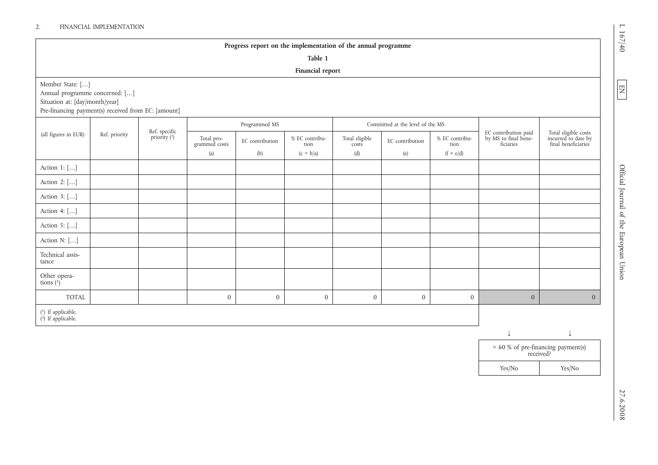# 2. FINANCIAL IMPLEMENTATION

# **Progress report on the implementation of the annual programme**

**Table 1**

# **Financial report**

| Member State: []<br>Annual programme concerned: []<br>Situation at: [day/month/year]<br>Pre-financing payment(s) received from EC: [amount] |               |                               |                                    |                        |                                       |                                |                                  |                                       |                                                           |                                                                    |
|---------------------------------------------------------------------------------------------------------------------------------------------|---------------|-------------------------------|------------------------------------|------------------------|---------------------------------------|--------------------------------|----------------------------------|---------------------------------------|-----------------------------------------------------------|--------------------------------------------------------------------|
|                                                                                                                                             |               |                               |                                    | Programmed MS          |                                       |                                | Committed at the level of the MS |                                       |                                                           |                                                                    |
| (all figures in EUR)                                                                                                                        | Ref. priority | Ref. specific<br>priority (1) | Total pro-<br>grammed costs<br>(a) | EC contribution<br>(b) | % EC contribu-<br>tion<br>$(c = b/a)$ | Total eligible<br>costs<br>(d) | EC contribution<br>(e)           | % EC contribu-<br>tion<br>$(f = e/d)$ | EC contribution paid<br>by MS to final bene-<br>ficiaries | Total eligible costs<br>incurred to date by<br>final beneficiaries |
| Action 1: []                                                                                                                                |               |                               |                                    |                        |                                       |                                |                                  |                                       |                                                           |                                                                    |
| Action 2: []                                                                                                                                |               |                               |                                    |                        |                                       |                                |                                  |                                       |                                                           |                                                                    |
| Action 3: []                                                                                                                                |               |                               |                                    |                        |                                       |                                |                                  |                                       |                                                           |                                                                    |
| Action 4: []                                                                                                                                |               |                               |                                    |                        |                                       |                                |                                  |                                       |                                                           |                                                                    |
| Action 5: []                                                                                                                                |               |                               |                                    |                        |                                       |                                |                                  |                                       |                                                           |                                                                    |
| Action N: []                                                                                                                                |               |                               |                                    |                        |                                       |                                |                                  |                                       |                                                           |                                                                    |
| Technical assis-<br>tance                                                                                                                   |               |                               |                                    |                        |                                       |                                |                                  |                                       |                                                           |                                                                    |
| Other opera-<br>tions $(^{1})$ <sup>1</sup>                                                                                                 |               |                               |                                    |                        |                                       |                                |                                  |                                       |                                                           |                                                                    |
| TOTAL                                                                                                                                       |               |                               | $\overline{0}$                     | $\mathbf{0}$           | $\overline{0}$                        | $\mathbf{0}$                   | $\overline{0}$                   | $\overline{0}$                        | $\mathbf{0}$                                              | $\overline{0}$                                                     |
| $(1)$ If applicable.<br>$(2)$ If applicable.                                                                                                |               |                               |                                    |                        |                                       |                                |                                  |                                       |                                                           |                                                                    |

EN<br>LE

↓ ↓ > 60 % of pre-financing payment(s) received? Yes/No Yes/No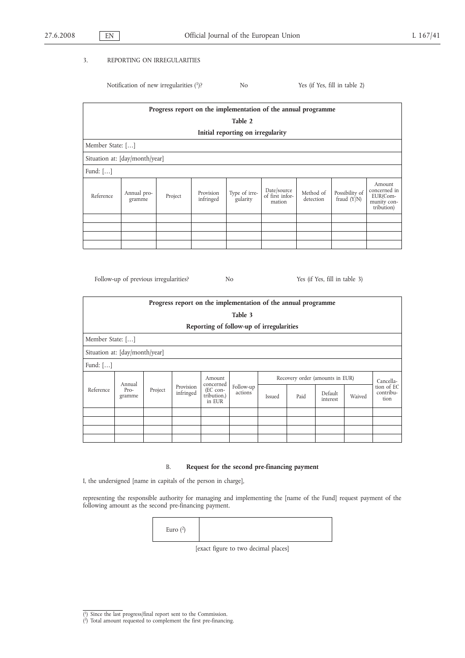# 3. REPORTING ON IRREGULARITIES

Notification of new irregularities (1)? No Yes (if Yes, fill in table 2)

|                                | Progress report on the implementation of the annual programme |         |                        |                                   |                                          |                        |                               |                                                                 |  |  |
|--------------------------------|---------------------------------------------------------------|---------|------------------------|-----------------------------------|------------------------------------------|------------------------|-------------------------------|-----------------------------------------------------------------|--|--|
|                                | Table 2                                                       |         |                        |                                   |                                          |                        |                               |                                                                 |  |  |
|                                |                                                               |         |                        | Initial reporting on irregularity |                                          |                        |                               |                                                                 |  |  |
| Member State: []               |                                                               |         |                        |                                   |                                          |                        |                               |                                                                 |  |  |
| Situation at: [day/month/year] |                                                               |         |                        |                                   |                                          |                        |                               |                                                                 |  |  |
| Fund: $[\dots]$                |                                                               |         |                        |                                   |                                          |                        |                               |                                                                 |  |  |
| Reference                      | Annual pro-<br>gramme                                         | Project | Provision<br>infringed | Type of irre-<br>gularity         | Date/source<br>of first infor-<br>mation | Method of<br>detection | Possibility of<br>fraud (Y/N) | Amount<br>concerned in<br>EUR(Com-<br>munity con-<br>tribution) |  |  |
|                                |                                                               |         |                        |                                   |                                          |                        |                               |                                                                 |  |  |
|                                |                                                               |         |                        |                                   |                                          |                        |                               |                                                                 |  |  |
|                                |                                                               |         |                        |                                   |                                          |                        |                               |                                                                 |  |  |
|                                |                                                               |         |                        |                                   |                                          |                        |                               |                                                                 |  |  |

Follow-up of previous irregularities? No No Yes (if Yes, fill in table 3)

|           | Progress report on the implementation of the annual programme |         |                        |                                                |                      |        |      |                                 |        |                                 |  |
|-----------|---------------------------------------------------------------|---------|------------------------|------------------------------------------------|----------------------|--------|------|---------------------------------|--------|---------------------------------|--|
|           | Table 3                                                       |         |                        |                                                |                      |        |      |                                 |        |                                 |  |
|           | Reporting of follow-up of irregularities                      |         |                        |                                                |                      |        |      |                                 |        |                                 |  |
|           | Member State: []                                              |         |                        |                                                |                      |        |      |                                 |        |                                 |  |
|           | Situation at: [day/month/year]                                |         |                        |                                                |                      |        |      |                                 |        |                                 |  |
| Fund: []  |                                                               |         |                        |                                                |                      |        |      |                                 |        |                                 |  |
|           | Annual                                                        |         |                        | Amount                                         |                      |        |      | Recovery order (amounts in EUR) |        | Cancella-                       |  |
| Reference | $Pro-$<br>gramme                                              | Project | Provision<br>infringed | concerned<br>(EC con-<br>tribution.)<br>in EUR | Follow-up<br>actions | Issued | Paid | Default<br>interest             | Waived | tion of EC<br>contribu-<br>tion |  |
|           |                                                               |         |                        |                                                |                      |        |      |                                 |        |                                 |  |
|           |                                                               |         |                        |                                                |                      |        |      |                                 |        |                                 |  |
|           |                                                               |         |                        |                                                |                      |        |      |                                 |        |                                 |  |
|           |                                                               |         |                        |                                                |                      |        |      |                                 |        |                                 |  |

# B. **Request for the second pre-financing payment**

I, the undersigned [name in capitals of the person in charge],

representing the responsible authority for managing and implementing the [name of the Fund] request payment of the following amount as the second pre-financing payment.

| Euro $(2)$ |        |              |   |  |  |
|------------|--------|--------------|---|--|--|
|            | $\sim$ | $\mathbf{f}$ | . |  |  |

[exact figure to two decimal places]

<sup>(</sup> 1) Since the last progress/final report sent to the Commission.

<sup>(</sup> 2) Total amount requested to complement the first pre-financing.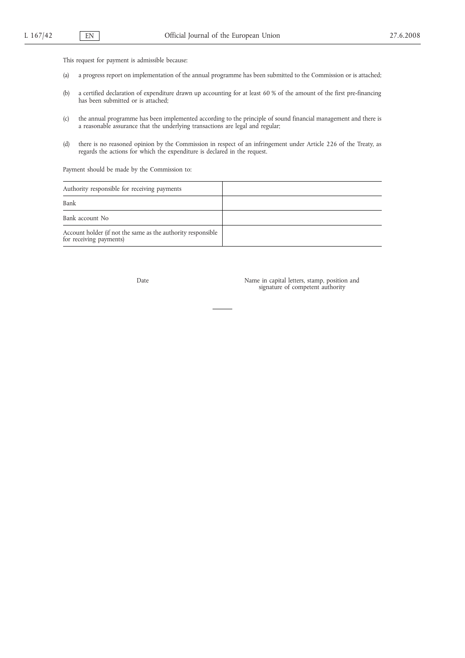This request for payment is admissible because:

- (a) a progress report on implementation of the annual programme has been submitted to the Commission or is attached;
- (b) a certified declaration of expenditure drawn up accounting for at least 60 % of the amount of the first pre-financing has been submitted or is attached;
- (c) the annual programme has been implemented according to the principle of sound financial management and there is a reasonable assurance that the underlying transactions are legal and regular;
- (d) there is no reasoned opinion by the Commission in respect of an infringement under Article 226 of the Treaty, as regards the actions for which the expenditure is declared in the request.

Payment should be made by the Commission to:

| Authority responsible for receiving payments                                            |  |
|-----------------------------------------------------------------------------------------|--|
| Bank                                                                                    |  |
| Bank account No                                                                         |  |
| Account holder (if not the same as the authority responsible<br>for receiving payments) |  |

Date Name in capital letters, stamp, position and signature of competent authority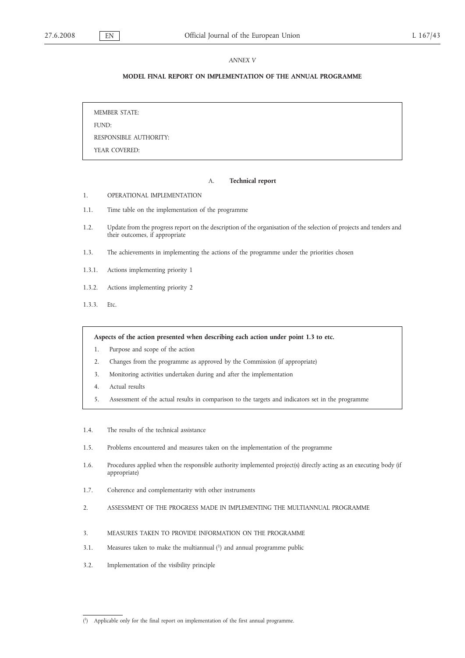### *ANNEX V*

# **MODEL FINAL REPORT ON IMPLEMENTATION OF THE ANNUAL PROGRAMME**

MEMBER STATE: FUND: RESPONSIBLE AUTHORITY: YEAR COVERED:

### A. **Technical report**

- 1. OPERATIONAL IMPLEMENTATION
- 1.1. Time table on the implementation of the programme
- 1.2. Update from the progress report on the description of the organisation of the selection of projects and tenders and their outcomes, if appropriate
- 1.3. The achievements in implementing the actions of the programme under the priorities chosen
- 1.3.1. Actions implementing priority 1
- 1.3.2. Actions implementing priority 2
- 1.3.3. Etc.

**Aspects of the action presented when describing each action under point 1.3 to etc.**

- 1. Purpose and scope of the action
- 2. Changes from the programme as approved by the Commission (if appropriate)
- 3. Monitoring activities undertaken during and after the implementation
- 4. Actual results
- 5. Assessment of the actual results in comparison to the targets and indicators set in the programme
- 1.4. The results of the technical assistance
- 1.5. Problems encountered and measures taken on the implementation of the programme
- 1.6. Procedures applied when the responsible authority implemented project(s) directly acting as an executing body (if appropriate)
- 1.7. Coherence and complementarity with other instruments
- 2. ASSESSMENT OF THE PROGRESS MADE IN IMPLEMENTING THE MULTIANNUAL PROGRAMME
- 3. MEASURES TAKEN TO PROVIDE INFORMATION ON THE PROGRAMME
- 3.1. Measures taken to make the multiannual (1) and annual programme public
- 3.2. Implementation of the visibility principle

 $(1)$ Applicable only for the final report on implementation of the first annual programme.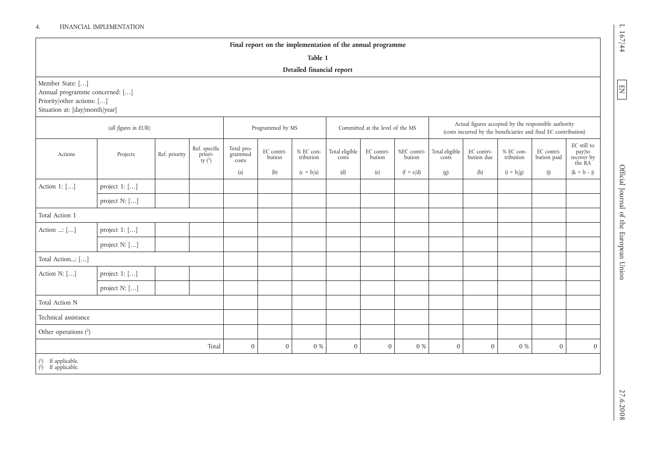# 4. FINANCIAL IMPLEMENTATION

# **Final report on the implementation of the annual programme**

**Table 1**

# **Detailed financial report**

Member State: […]

Annual programme concerned: […]

Priority/other actions: [...]

Situation at: [day/month/year]

|                                                       | (all figures in EUR) |               |                                                   |                                | Programmed by MS     |                        |                         | Committed at the level of the MS |                       | Actual figures accepted by the responsible authority<br>(costs incurred by the beneficiaries and final EC contribution) |                          |                        |                           |                                               |
|-------------------------------------------------------|----------------------|---------------|---------------------------------------------------|--------------------------------|----------------------|------------------------|-------------------------|----------------------------------|-----------------------|-------------------------------------------------------------------------------------------------------------------------|--------------------------|------------------------|---------------------------|-----------------------------------------------|
| Actions                                               | Projects             | Ref. priority | Ref. specific<br>priori-<br><sup>t</sup> ty $(1)$ | Total pro-<br>grammed<br>costs | EC contri-<br>bution | % EC con-<br>tribution | Total eligible<br>costs | EC contri-<br>bution             | %EC contri-<br>bution | Total eligible<br>costs                                                                                                 | EC contri-<br>bution due | % EC con-<br>tribution | EC contri-<br>bution paid | EC still to<br>pay/to<br>recover by<br>the RA |
|                                                       |                      |               |                                                   | (a)                            | (b)                  | $(c = b/a)$            | (d)                     | (e)                              | $(f = e/d)$           | (g)                                                                                                                     | (h)                      | $(i = h/g)$            | (j)                       | $(k = h - j)$                                 |
| Action 1: []                                          | project $1:$ $[]$    |               |                                                   |                                |                      |                        |                         |                                  |                       |                                                                                                                         |                          |                        |                           |                                               |
|                                                       | project N: []        |               |                                                   |                                |                      |                        |                         |                                  |                       |                                                                                                                         |                          |                        |                           |                                               |
| Total Action 1                                        |                      |               |                                                   |                                |                      |                        |                         |                                  |                       |                                                                                                                         |                          |                        |                           |                                               |
| Action : []                                           | project 1: []        |               |                                                   |                                |                      |                        |                         |                                  |                       |                                                                                                                         |                          |                        |                           |                                               |
|                                                       | project N: []        |               |                                                   |                                |                      |                        |                         |                                  |                       |                                                                                                                         |                          |                        |                           |                                               |
| Total Action: []                                      |                      |               |                                                   |                                |                      |                        |                         |                                  |                       |                                                                                                                         |                          |                        |                           |                                               |
| Action N: []                                          | project $1:$ $[]$    |               |                                                   |                                |                      |                        |                         |                                  |                       |                                                                                                                         |                          |                        |                           |                                               |
|                                                       | project N: []        |               |                                                   |                                |                      |                        |                         |                                  |                       |                                                                                                                         |                          |                        |                           |                                               |
| Total Action N                                        |                      |               |                                                   |                                |                      |                        |                         |                                  |                       |                                                                                                                         |                          |                        |                           |                                               |
| Technical assistance                                  |                      |               |                                                   |                                |                      |                        |                         |                                  |                       |                                                                                                                         |                          |                        |                           |                                               |
| Other operations $(^{2})$                             |                      |               |                                                   |                                |                      |                        |                         |                                  |                       |                                                                                                                         |                          |                        |                           |                                               |
|                                                       |                      |               | Total                                             | $\mathbf{0}$                   | $\mathbf{0}$         | $0\ \%$                | $\overline{0}$          | $\boldsymbol{0}$                 | 0 %                   | $\boldsymbol{0}$                                                                                                        | $\mathbf{0}$             | 0 %                    | $\mathbf{0}$              | $\overline{0}$                                |
| $\begin{pmatrix} 1 \\ 2 \end{pmatrix}$ If applicable. |                      |               |                                                   |                                |                      |                        |                         |                                  |                       |                                                                                                                         |                          |                        |                           |                                               |

L 167/44

EN<br>E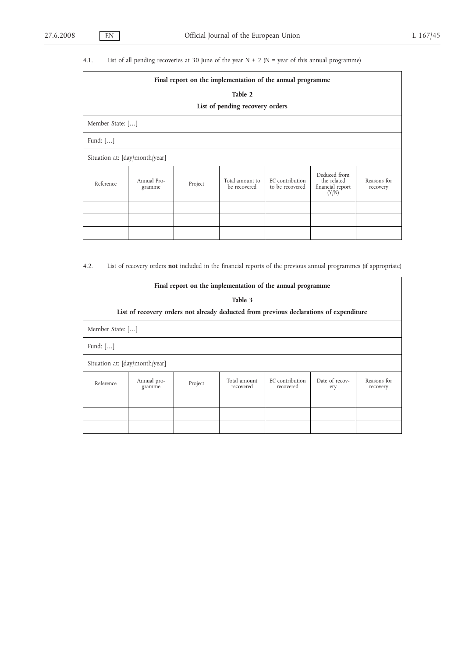# 4.1. List of all pending recoveries at 30 June of the year  $N + 2$  ( $N =$  year of this annual programme)

|                                | Final report on the implementation of the annual programme |         |                                 |                                    |                                                          |                         |  |  |  |  |  |  |
|--------------------------------|------------------------------------------------------------|---------|---------------------------------|------------------------------------|----------------------------------------------------------|-------------------------|--|--|--|--|--|--|
|                                | Table 2                                                    |         |                                 |                                    |                                                          |                         |  |  |  |  |  |  |
|                                | List of pending recovery orders                            |         |                                 |                                    |                                                          |                         |  |  |  |  |  |  |
|                                | Member State: []                                           |         |                                 |                                    |                                                          |                         |  |  |  |  |  |  |
| Fund: $[]$                     |                                                            |         |                                 |                                    |                                                          |                         |  |  |  |  |  |  |
| Situation at: [day/month/year] |                                                            |         |                                 |                                    |                                                          |                         |  |  |  |  |  |  |
| Reference                      | Annual Pro-<br>gramme                                      | Project | Total amount to<br>be recovered | EC contribution<br>to be recovered | Deduced from<br>the related<br>financial report<br>(Y/N) | Reasons for<br>recovery |  |  |  |  |  |  |
|                                |                                                            |         |                                 |                                    |                                                          |                         |  |  |  |  |  |  |
|                                |                                                            |         |                                 |                                    |                                                          |                         |  |  |  |  |  |  |
|                                |                                                            |         |                                 |                                    |                                                          |                         |  |  |  |  |  |  |

4.2. List of recovery orders **not** included in the financial reports of the previous annual programmes (if appropriate)

|                                | Final report on the implementation of the annual programme                             |         |                           |                              |                       |                         |  |  |  |  |  |  |
|--------------------------------|----------------------------------------------------------------------------------------|---------|---------------------------|------------------------------|-----------------------|-------------------------|--|--|--|--|--|--|
|                                | Table 3                                                                                |         |                           |                              |                       |                         |  |  |  |  |  |  |
|                                | List of recovery orders not already deducted from previous declarations of expenditure |         |                           |                              |                       |                         |  |  |  |  |  |  |
| Member State: []               |                                                                                        |         |                           |                              |                       |                         |  |  |  |  |  |  |
| Fund: $[\dots]$                |                                                                                        |         |                           |                              |                       |                         |  |  |  |  |  |  |
| Situation at: [day/month/year] |                                                                                        |         |                           |                              |                       |                         |  |  |  |  |  |  |
| Reference                      | Annual pro-<br>gramme                                                                  | Project | Total amount<br>recovered | EC contribution<br>recovered | Date of recov-<br>ery | Reasons for<br>recovery |  |  |  |  |  |  |
|                                |                                                                                        |         |                           |                              |                       |                         |  |  |  |  |  |  |
|                                |                                                                                        |         |                           |                              |                       |                         |  |  |  |  |  |  |
|                                |                                                                                        |         |                           |                              |                       |                         |  |  |  |  |  |  |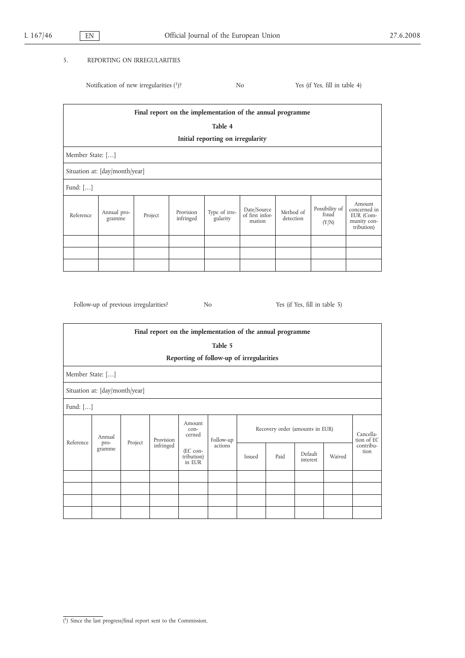# 5. REPORTING ON IRREGULARITIES

Notification of new irregularities (1)? No Yes (if Yes, fill in table 4)

| Final report on the implementation of the annual programme |                                   |         |                        |                           |                                          |                        |                                  |                                                                  |  |
|------------------------------------------------------------|-----------------------------------|---------|------------------------|---------------------------|------------------------------------------|------------------------|----------------------------------|------------------------------------------------------------------|--|
|                                                            | Table 4                           |         |                        |                           |                                          |                        |                                  |                                                                  |  |
|                                                            | Initial reporting on irregularity |         |                        |                           |                                          |                        |                                  |                                                                  |  |
|                                                            | Member State: []                  |         |                        |                           |                                          |                        |                                  |                                                                  |  |
|                                                            | Situation at: [day/month/year]    |         |                        |                           |                                          |                        |                                  |                                                                  |  |
| Fund: $[]$                                                 |                                   |         |                        |                           |                                          |                        |                                  |                                                                  |  |
| Reference                                                  | Annual pro-<br>gramme             | Project | Provision<br>infringed | Type of irre-<br>gularity | Date/Source<br>of first infor-<br>mation | Method of<br>detection | Possibility of<br>fraud<br>(Y/N) | Amount<br>concerned in<br>EUR (Com-<br>munity con-<br>tribution) |  |
|                                                            |                                   |         |                        |                           |                                          |                        |                                  |                                                                  |  |
|                                                            |                                   |         |                        |                           |                                          |                        |                                  |                                                                  |  |
|                                                            |                                   |         |                        |                           |                                          |                        |                                  |                                                                  |  |

Follow-up of previous irregularities? No Yes (if Yes, fill in table 5)

| Final report on the implementation of the annual programme |                                |         |                                                                            |                                          |  |                                 |      |                     |                         |                   |
|------------------------------------------------------------|--------------------------------|---------|----------------------------------------------------------------------------|------------------------------------------|--|---------------------------------|------|---------------------|-------------------------|-------------------|
|                                                            | Table 5                        |         |                                                                            |                                          |  |                                 |      |                     |                         |                   |
|                                                            |                                |         |                                                                            | Reporting of follow-up of irregularities |  |                                 |      |                     |                         |                   |
|                                                            | Member State: []               |         |                                                                            |                                          |  |                                 |      |                     |                         |                   |
|                                                            | Situation at: [day/month/year] |         |                                                                            |                                          |  |                                 |      |                     |                         |                   |
|                                                            | Fund: $[]$                     |         |                                                                            |                                          |  |                                 |      |                     |                         |                   |
| Reference                                                  | Annual<br>pro-<br>gramme       | Project | Amount<br>$con-$<br>cerned<br>Provision<br>infringed<br>(EC con-<br>in EUR | Follow-up<br>actions<br>tribution)       |  | Recovery order (amounts in EUR) |      |                     | Cancella-<br>tion of EC |                   |
|                                                            |                                |         |                                                                            |                                          |  | <b>Issued</b>                   | Paid | Default<br>interest | Waived                  | contribu-<br>tion |
|                                                            |                                |         |                                                                            |                                          |  |                                 |      |                     |                         |                   |
|                                                            |                                |         |                                                                            |                                          |  |                                 |      |                     |                         |                   |
|                                                            |                                |         |                                                                            |                                          |  |                                 |      |                     |                         |                   |
|                                                            |                                |         |                                                                            |                                          |  |                                 |      |                     |                         |                   |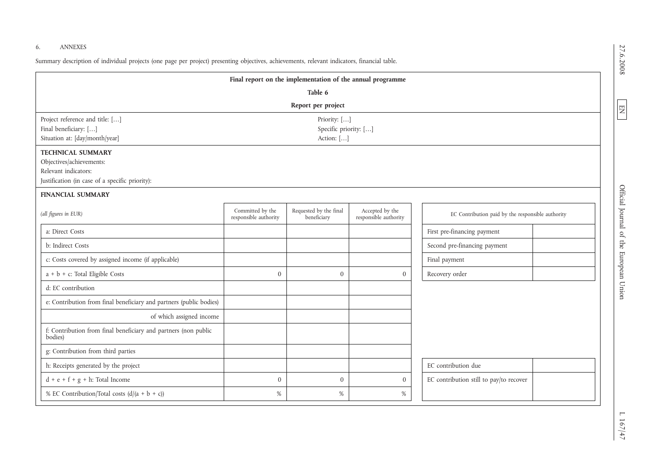# 6. ANNEXES

Summary description of individual projects (one page per project) presenting objectives, achievements, relevant indicators, financial table.

| Final report on the implementation of the annual programme                                                                                        |                                           |                                       |                                          |                                                   |  |  |  |  |
|---------------------------------------------------------------------------------------------------------------------------------------------------|-------------------------------------------|---------------------------------------|------------------------------------------|---------------------------------------------------|--|--|--|--|
| Table 6                                                                                                                                           |                                           |                                       |                                          |                                                   |  |  |  |  |
| Report per project                                                                                                                                |                                           |                                       |                                          |                                                   |  |  |  |  |
| Project reference and title: []<br>Priority: []<br>Final beneficiary: []<br>Specific priority: []<br>Situation at: [day/month/year]<br>Action: [] |                                           |                                       |                                          |                                                   |  |  |  |  |
| <b>TECHNICAL SUMMARY</b><br>Objectives/achievements:<br>Relevant indicators:<br>Justification (in case of a specific priority):                   |                                           |                                       |                                          |                                                   |  |  |  |  |
| <b>FINANCIAL SUMMARY</b>                                                                                                                          |                                           |                                       |                                          |                                                   |  |  |  |  |
| (all figures in EUR)                                                                                                                              | Committed by the<br>responsible authority | Requested by the final<br>beneficiary | Accepted by the<br>responsible authority | EC Contribution paid by the responsible authority |  |  |  |  |
| a: Direct Costs                                                                                                                                   |                                           |                                       |                                          | First pre-financing payment                       |  |  |  |  |
| b: Indirect Costs                                                                                                                                 |                                           |                                       |                                          | Second pre-financing payment                      |  |  |  |  |
| c: Costs covered by assigned income (if applicable)                                                                                               |                                           |                                       |                                          | Final payment                                     |  |  |  |  |
| a + b + c: Total Eligible Costs                                                                                                                   | $\boldsymbol{0}$                          | $\boldsymbol{0}$                      | $\boldsymbol{0}$                         | Recovery order                                    |  |  |  |  |
| d: EC contribution                                                                                                                                |                                           |                                       |                                          |                                                   |  |  |  |  |
| e: Contribution from final beneficiary and partners (public bodies)                                                                               |                                           |                                       |                                          |                                                   |  |  |  |  |
| of which assigned income                                                                                                                          |                                           |                                       |                                          |                                                   |  |  |  |  |
| f: Contribution from final beneficiary and partners (non public<br>bodies)                                                                        |                                           |                                       |                                          |                                                   |  |  |  |  |
| g: Contribution from third parties                                                                                                                |                                           |                                       |                                          |                                                   |  |  |  |  |
| h: Receipts generated by the project                                                                                                              |                                           |                                       |                                          | EC contribution due                               |  |  |  |  |
| $d + e + f + g + h$ : Total Income                                                                                                                | $\boldsymbol{0}$                          | $\mathbf{0}$                          | $\mathbf{0}$                             | EC contribution still to pay/to recover           |  |  |  |  |
| % EC Contribution/Total costs $(d/(a + b + c))$                                                                                                   | %                                         | $\%$                                  | %                                        |                                                   |  |  |  |  |

27.6.2008 27.6.2008

EN

Union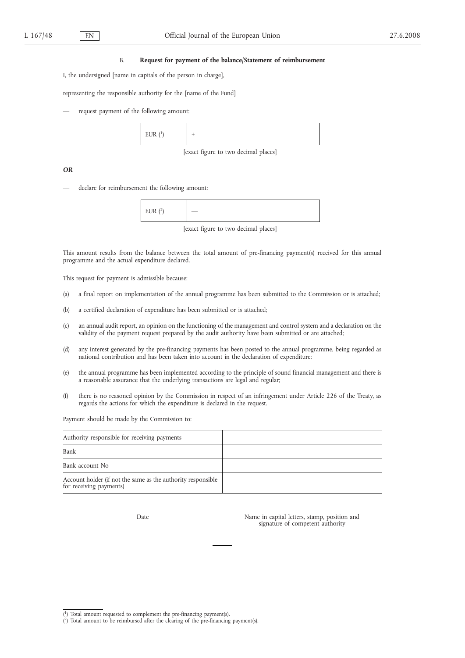#### B. **Request for payment of the balance/Statement of reimbursement**

I, the undersigned [name in capitals of the person in charge],

representing the responsible authority for the [name of the Fund]

request payment of the following amount:



[exact figure to two decimal places]

*OR*

declare for reimbursement the following amount:

| FIIR(2)<br>I<br><b>LOIV</b> |  |
|-----------------------------|--|
|-----------------------------|--|

[exact figure to two decimal places]

This amount results from the balance between the total amount of pre-financing payment(s) received for this annual programme and the actual expenditure declared.

This request for payment is admissible because:

- (a) a final report on implementation of the annual programme has been submitted to the Commission or is attached;
- (b) a certified declaration of expenditure has been submitted or is attached;
- (c) an annual audit report, an opinion on the functioning of the management and control system and a declaration on the validity of the payment request prepared by the audit authority have been submitted or are attached;
- (d) any interest generated by the pre-financing payments has been posted to the annual programme, being regarded as national contribution and has been taken into account in the declaration of expenditure;
- (e) the annual programme has been implemented according to the principle of sound financial management and there is a reasonable assurance that the underlying transactions are legal and regular;
- (f) there is no reasoned opinion by the Commission in respect of an infringement under Article 226 of the Treaty, as regards the actions for which the expenditure is declared in the request.

Payment should be made by the Commission to:

| Authority responsible for receiving payments                                            |  |
|-----------------------------------------------------------------------------------------|--|
| Bank                                                                                    |  |
| Bank account No                                                                         |  |
| Account holder (if not the same as the authority responsible<br>for receiving payments) |  |

Date Name in capital letters, stamp, position and signature of competent authority

<sup>(</sup> 1) Total amount requested to complement the pre-financing payment(s).

<sup>(</sup> 2) Total amount to be reimbursed after the clearing of the pre-financing payment(s).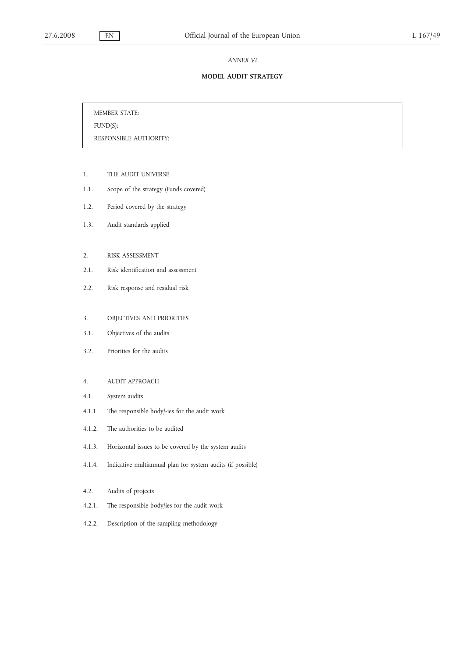#### *ANNEX VI*

# **MODEL AUDIT STRATEGY**

MEMBER STATE:

FUND(S):

RESPONSIBLE AUTHORITY:

- 1. THE AUDIT UNIVERSE
- 1.1. Scope of the strategy (Funds covered)
- 1.2. Period covered by the strategy
- 1.3. Audit standards applied
- 2. RISK ASSESSMENT
- 2.1. Risk identification and assessment
- 2.2. Risk response and residual risk
- 3. OBJECTIVES AND PRIORITIES
- 3.1. Objectives of the audits
- 3.2. Priorities for the audits

# 4. AUDIT APPROACH

- 4.1. System audits
- 4.1.1. The responsible body/-ies for the audit work
- 4.1.2. The authorities to be audited
- 4.1.3. Horizontal issues to be covered by the system audits
- 4.1.4. Indicative multiannual plan for system audits (if possible)
- 4.2. Audits of projects
- 4.2.1. The responsible body/ies for the audit work
- 4.2.2. Description of the sampling methodology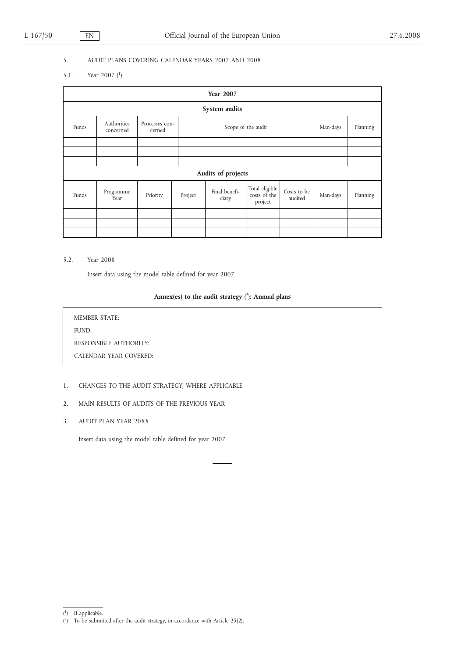# 5. AUDIT PLANS COVERING CALENDAR YEARS 2007 AND 2008

5.1. Year 2007 (1)

| <b>Year 2007</b>   |                          |          |                                      |                        |                                           |                        |          |          |  |
|--------------------|--------------------------|----------|--------------------------------------|------------------------|-------------------------------------------|------------------------|----------|----------|--|
|                    | System audits            |          |                                      |                        |                                           |                        |          |          |  |
| Funds              | Authorities<br>concerned | cerned   | Processes con-<br>Scope of the audit |                        |                                           |                        | Man-days | Planning |  |
|                    |                          |          |                                      |                        |                                           |                        |          |          |  |
|                    |                          |          |                                      |                        |                                           |                        |          |          |  |
|                    |                          |          |                                      |                        |                                           |                        |          |          |  |
| Audits of projects |                          |          |                                      |                        |                                           |                        |          |          |  |
| Funds              | Programme<br>Year        | Priority | Project                              | Final benefi-<br>ciary | Total eligible<br>costs of the<br>project | Costs to be<br>audited | Man-days | Planning |  |
|                    |                          |          |                                      |                        |                                           |                        |          |          |  |
|                    |                          |          |                                      |                        |                                           |                        |          |          |  |
|                    |                          |          |                                      |                        |                                           |                        |          |          |  |

5.2. Year 2008

Insert data using the model table defined for year 2007

#### **Annex(es) to the audit strategy** ( 2)**: Annual plans**

MEMBER STATE: FUND: RESPONSIBLE AUTHORITY: CALENDAR YEAR COVERED:

# 1. CHANGES TO THE AUDIT STRATEGY, WHERE APPLICABLE

- 2. MAIN RESULTS OF AUDITS OF THE PREVIOUS YEAR
- 3. AUDIT PLAN YEAR 20XX

Insert data using the model table defined for year 2007

<sup>(</sup> 1) If applicable.

<sup>(</sup> 2) To be submitted after the audit strategy, in accordance with Article 25(2).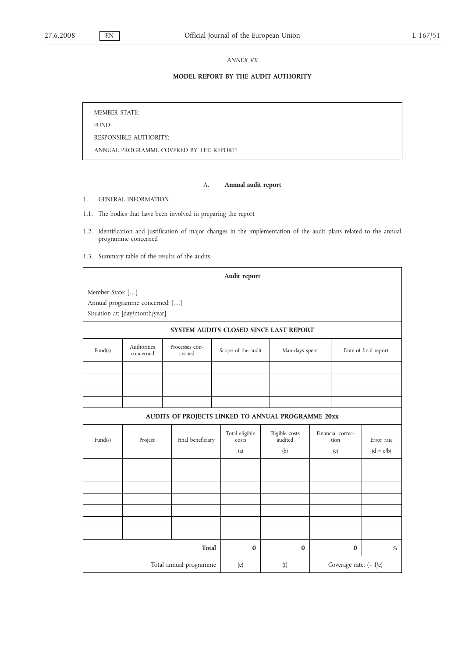*ANNEX VII*

# **MODEL REPORT BY THE AUDIT AUTHORITY**

MEMBER STATE:

FUND:

RESPONSIBLE AUTHORITY:

ANNUAL PROGRAMME COVERED BY THE REPORT:

# A. **Annual audit report**

1. GENERAL INFORMATION

1.1. The bodies that have been involved in preparing the report

- 1.2. Identification and justification of major changes in the implementation of the audit plans related to the annual programme concerned
- 1.3. Summary table of the results of the audits

|                  |                                                                  |                                                    | Audit report                   |                                        |                                  |                          |                           |
|------------------|------------------------------------------------------------------|----------------------------------------------------|--------------------------------|----------------------------------------|----------------------------------|--------------------------|---------------------------|
| Member State: [] | Annual programme concerned: []<br>Situation at: [day/month/year] |                                                    |                                |                                        |                                  |                          |                           |
|                  |                                                                  |                                                    |                                | SYSTEM AUDITS CLOSED SINCE LAST REPORT |                                  |                          |                           |
| Fund(s)          | Authorities<br>concerned                                         | Processes con-<br>cerned                           | Scope of the audit             | Man-days spent                         |                                  | Date of final report     |                           |
|                  |                                                                  |                                                    |                                |                                        |                                  |                          |                           |
|                  |                                                                  | AUDITS OF PROJECTS LINKED TO ANNUAL PROGRAMME 20xx |                                |                                        |                                  |                          |                           |
| Fund(s)          | Project                                                          | Final beneficiary                                  | Total eligible<br>costs<br>(a) | Eligible costs<br>audited<br>(b)       | Financial correc-<br>tion<br>(c) |                          | Error rate<br>$(d = c/b)$ |
|                  |                                                                  |                                                    |                                |                                        |                                  |                          |                           |
|                  |                                                                  |                                                    |                                |                                        |                                  |                          |                           |
|                  |                                                                  | <b>Total</b>                                       | $\bf{0}$                       | $\bf{0}$                               |                                  | $\bf{0}$                 | %                         |
|                  |                                                                  | Total annual programme                             | (e)                            | (f)                                    |                                  | Coverage rate: $(= f/e)$ |                           |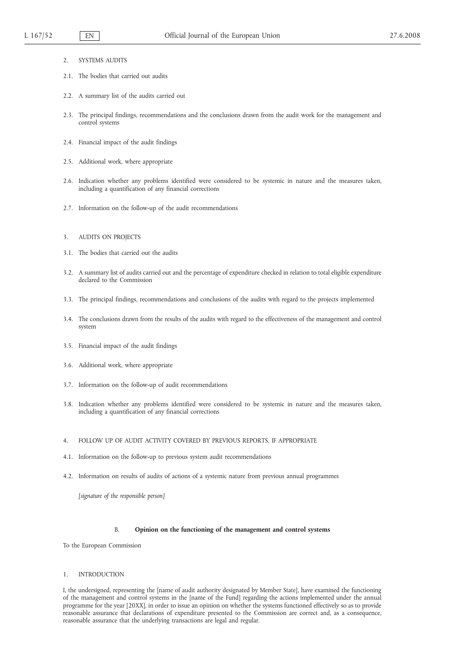- 2. SYSTEMS AUDITS
- 2.1. The bodies that carried out audits
- 2.2. A summary list of the audits carried out
- 2.3. The principal findings, recommendations and the conclusions drawn from the audit work for the management and control systems
- 2.4. Financial impact of the audit findings
- 2.5. Additional work, where appropriate
- 2.6. Indication whether any problems identified were considered to be systemic in nature and the measures taken, including a quantification of any financial corrections
- 2.7. Information on the follow-up of the audit recommendations
- 3. AUDITS ON PROJECTS
- 3.1. The bodies that carried out the audits
- 3.2. A summary list of audits carried out and the percentage of expenditure checked in relation to total eligible expenditure declared to the Commission
- 3.3. The principal findings, recommendations and conclusions of the audits with regard to the projects implemented
- 3.4. The conclusions drawn from the results of the audits with regard to the effectiveness of the management and control system
- 3.5. Financial impact of the audit findings
- 3.6. Additional work, where appropriate
- 3.7. Information on the follow-up of audit recommendations
- 3.8. Indication whether any problems identified were considered to be systemic in nature and the measures taken, including a quantification of any financial corrections
- 4. FOLLOW UP OF AUDIT ACTIVITY COVERED BY PREVIOUS REPORTS, IF APPROPRIATE
- 4.1. Information on the follow-up to previous system audit recommendations
- 4.2. Information on results of audits of actions of a systemic nature from previous annual programmes

*[signature of the responsible person]*

#### B. **Opinion on the functioning of the management and control systems**

To the European Commission

#### 1. INTRODUCTION

I, the undersigned, representing the [name of audit authority designated by Member State], have examined the functioning of the management and control systems in the [name of the Fund] regarding the actions implemented under the annual programme for the year [20XX], in order to issue an opinion on whether the systems functioned effectively so as to provide reasonable assurance that declarations of expenditure presented to the Commission are correct and, as a consequence, reasonable assurance that the underlying transactions are legal and regular.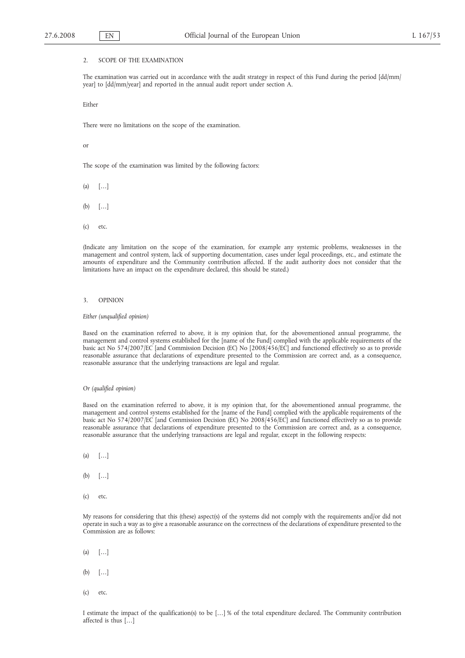#### 2. SCOPE OF THE EXAMINATION

The examination was carried out in accordance with the audit strategy in respect of this Fund during the period [dd/mm/ year] to [dd/mm/year] and reported in the annual audit report under section A.

Either

There were no limitations on the scope of the examination.

or

The scope of the examination was limited by the following factors:

 $(a)$   $[\ldots]$ 

- $(b)$   $[\ldots]$
- (c) etc.

(Indicate any limitation on the scope of the examination, for example any systemic problems, weaknesses in the management and control system, lack of supporting documentation, cases under legal proceedings, etc., and estimate the amounts of expenditure and the Community contribution affected. If the audit authority does not consider that the limitations have an impact on the expenditure declared, this should be stated.)

#### 3. OPINION

*Either (unqualified opinion)*

Based on the examination referred to above, it is my opinion that, for the abovementioned annual programme, the management and control systems established for the [name of the Fund] complied with the applicable requirements of the basic act No 574/2007/EC [and Commission Decision (EC) No [2008/456/EC] and functioned effectively so as to provide reasonable assurance that declarations of expenditure presented to the Commission are correct and, as a consequence, reasonable assurance that the underlying transactions are legal and regular.

# *Or (qualified opinion)*

Based on the examination referred to above, it is my opinion that, for the abovementioned annual programme, the management and control systems established for the [name of the Fund] complied with the applicable requirements of the basic act No 574/2007/EC [and Commission Decision (EC) No 2008/456/EC] and functioned effectively so as to provide reasonable assurance that declarations of expenditure presented to the Commission are correct and, as a consequence, reasonable assurance that the underlying transactions are legal and regular, except in the following respects:

- (a) […]
- $(b)$   $[...]$
- (c) etc.

My reasons for considering that this (these) aspect(s) of the systems did not comply with the requirements and/or did not operate in such a way as to give a reasonable assurance on the correctness of the declarations of expenditure presented to the Commission are as follows:

- (a) […]
- (b)  $[...]$
- (c) etc.

I estimate the impact of the qualification(s) to be […] % of the total expenditure declared. The Community contribution affected is thus […]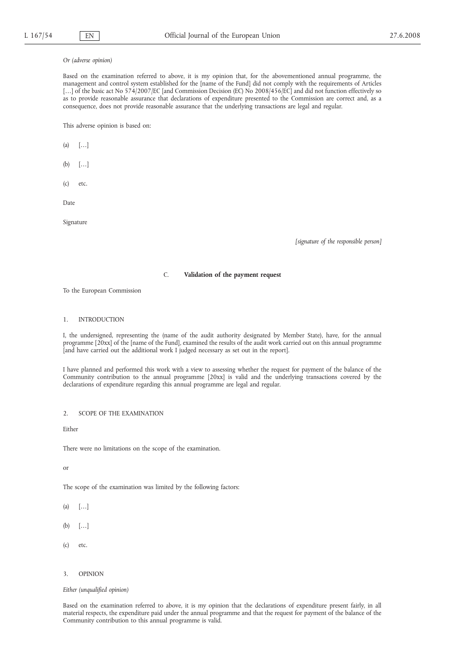#### *Or (adverse opinion)*

Based on the examination referred to above, it is my opinion that, for the abovementioned annual programme, the management and control system established for the [name of the Fund] did not comply with the requirements of Articles [...] of the basic act No 574/2007/EC [and Commission Decision (EC) No 2008/456/EC] and did not function effectively so as to provide reasonable assurance that declarations of expenditure presented to the Commission are correct and, as a consequence, does not provide reasonable assurance that the underlying transactions are legal and regular.

This adverse opinion is based on:

 $(a)$   $[...]$ 

- (b) […]
- (c) etc.

Date

Signature

*[signature of the responsible person]*

# C. **Validation of the payment request**

To the European Commission

### 1. INTRODUCTION

I, the undersigned, representing the (name of the audit authority designated by Member State), have, for the annual programme [20xx] of the [name of the Fund], examined the results of the audit work carried out on this annual programme [and have carried out the additional work I judged necessary as set out in the report].

I have planned and performed this work with a view to assessing whether the request for payment of the balance of the Community contribution to the annual programme [20xx] is valid and the underlying transactions covered by the declarations of expenditure regarding this annual programme are legal and regular.

2. SCOPE OF THE EXAMINATION

**Either** 

There were no limitations on the scope of the examination.

or

The scope of the examination was limited by the following factors:

 $(a)$   $[...]$ 

- (b) […]
- (c) etc.
- 3. OPINION

*Either (unqualified opinion)*

Based on the examination referred to above, it is my opinion that the declarations of expenditure present fairly, in all material respects, the expenditure paid under the annual programme and that the request for payment of the balance of the Community contribution to this annual programme is valid.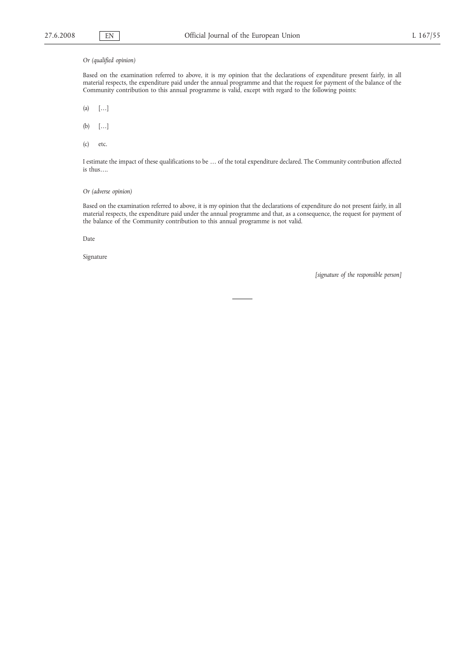# *Or (qualified opinion)*

Based on the examination referred to above, it is my opinion that the declarations of expenditure present fairly, in all material respects, the expenditure paid under the annual programme and that the request for payment of the balance of the Community contribution to this annual programme is valid, except with regard to the following points:

(a) […]

(b) […]

(c) etc.

I estimate the impact of these qualifications to be … of the total expenditure declared. The Community contribution affected is thus….

# *Or (adverse opinion)*

Based on the examination referred to above, it is my opinion that the declarations of expenditure do not present fairly, in all material respects, the expenditure paid under the annual programme and that, as a consequence, the request for payment of the balance of the Community contribution to this annual programme is not valid.

Date

Signature

*[signature of the responsible person]*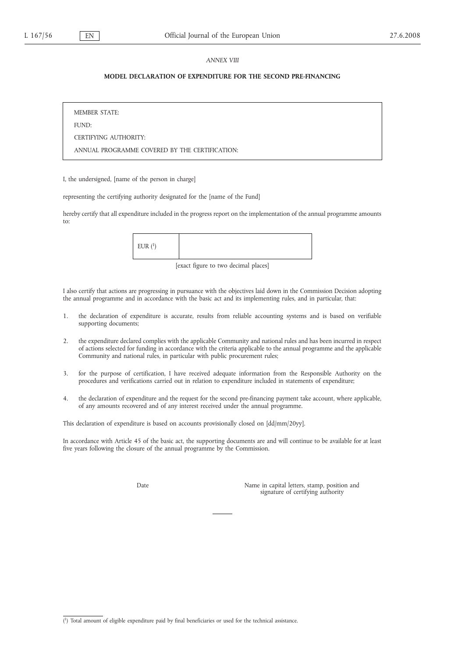#### *ANNEX VIII*

# **MODEL DECLARATION OF EXPENDITURE FOR THE SECOND PRE-FINANCING**

MEMBER STATE: FUND: CERTIFYING AUTHORITY: ANNUAL PROGRAMME COVERED BY THE CERTIFICATION:

I, the undersigned, [name of the person in charge]

representing the certifying authority designated for the [name of the Fund]

hereby certify that all expenditure included in the progress report on the implementation of the annual programme amounts to:

| EUR $(^1)$ |  |  |
|------------|--|--|
|------------|--|--|

[exact figure to two decimal places]

I also certify that actions are progressing in pursuance with the objectives laid down in the Commission Decision adopting the annual programme and in accordance with the basic act and its implementing rules, and in particular, that:

- 1. the declaration of expenditure is accurate, results from reliable accounting systems and is based on verifiable supporting documents;
- 2. the expenditure declared complies with the applicable Community and national rules and has been incurred in respect of actions selected for funding in accordance with the criteria applicable to the annual programme and the applicable Community and national rules, in particular with public procurement rules;
- 3. for the purpose of certification, I have received adequate information from the Responsible Authority on the procedures and verifications carried out in relation to expenditure included in statements of expenditure;
- 4. the declaration of expenditure and the request for the second pre-financing payment take account, where applicable, of any amounts recovered and of any interest received under the annual programme.

This declaration of expenditure is based on accounts provisionally closed on [dd/mm/20yy].

In accordance with Article 45 of the basic act, the supporting documents are and will continue to be available for at least five years following the closure of the annual programme by the Commission.

Date Name in capital letters, stamp, position and signature of certifying authority

<sup>(</sup> 1) Total amount of eligible expenditure paid by final beneficiaries or used for the technical assistance.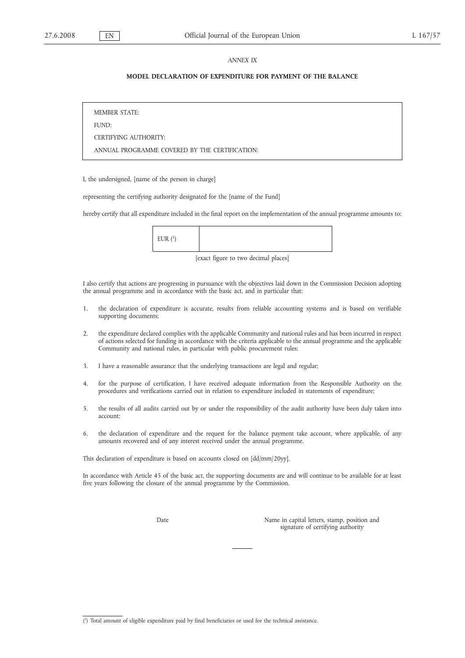#### *ANNEX IX*

# **MODEL DECLARATION OF EXPENDITURE FOR PAYMENT OF THE BALANCE**

MEMBER STATE: FUND: CERTIFYING AUTHORITY: ANNUAL PROGRAMME COVERED BY THE CERTIFICATION:

I, the undersigned, [name of the person in charge]

representing the certifying authority designated for the [name of the Fund]

hereby certify that all expenditure included in the final report on the implementation of the annual programme amounts to:

| FIR(1)<br><b>LOIV</b> |
|-----------------------|
|-----------------------|

[exact figure to two decimal places]

I also certify that actions are progressing in pursuance with the objectives laid down in the Commission Decision adopting the annual programme and in accordance with the basic act, and in particular that:

- 1. the declaration of expenditure is accurate, results from reliable accounting systems and is based on verifiable supporting documents;
- 2. the expenditure declared complies with the applicable Community and national rules and has been incurred in respect of actions selected for funding in accordance with the criteria applicable to the annual programme and the applicable Community and national rules, in particular with public procurement rules;
- 3. I have a reasonable assurance that the underlying transactions are legal and regular;
- 4. for the purpose of certification, I have received adequate information from the Responsible Authority on the procedures and verifications carried out in relation to expenditure included in statements of expenditure;
- 5. the results of all audits carried out by or under the responsibility of the audit authority have been duly taken into account;
- 6. the declaration of expenditure and the request for the balance payment take account, where applicable, of any amounts recovered and of any interest received under the annual programme.

This declaration of expenditure is based on accounts closed on [dd/mm/20yy].

In accordance with Article 45 of the basic act, the supporting documents are and will continue to be available for at least five years following the closure of the annual programme by the Commission.

Date Name in capital letters, stamp, position and signature of certifying authority

<sup>(</sup> 1) Total amount of eligible expenditure paid by final beneficiaries or used for the technical assistance.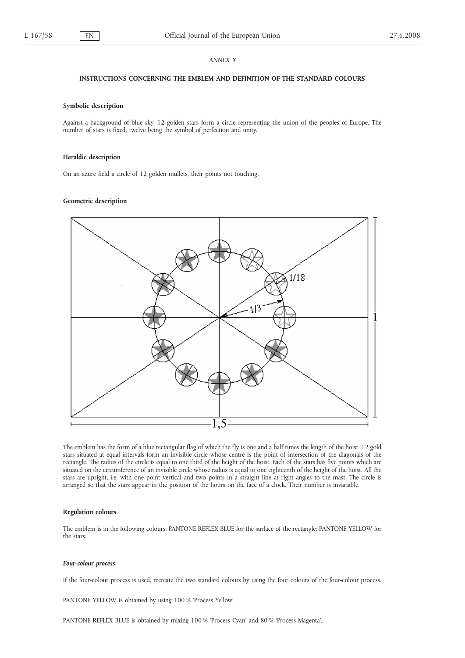#### *ANNEX X*

#### **INSTRUCTIONS CONCERNING THE EMBLEM AND DEFINITION OF THE STANDARD COLOURS**

# **Symbolic description**

Against a background of blue sky, 12 golden stars form a circle representing the union of the peoples of Europe. The number of stars is fixed, twelve being the symbol of perfection and unity.

# **Heraldic description**

On an azure field a circle of 12 golden mullets, their points not touching.

#### **Geometric description**



The emblem has the form of a blue rectangular flag of which the fly is one and a half times the length of the hoist. 12 gold stars situated at equal intervals form an invisible circle whose centre is the point of intersection of the diagonals of the rectangle. The radius of the circle is equal to one third of the height of the hoist. Each of the stars has five points which are situated on the circumference of an invisible circle whose radius is equal to one eighteenth of the height of the hoist. All the stars are upright, i.e. with one point vertical and two points in a straight line at right angles to the mast. The circle is arranged so that the stars appear in the position of the hours on the face of a clock. Their number is invariable.

#### **Regulation colours**

The emblem is in the following colours: PANTONE REFLEX BLUE for the surface of the rectangle; PANTONE YELLOW for the stars.

#### *Four-colour process*

If the four-colour process is used, recreate the two standard colours by using the four colours of the four-colour process.

PANTONE YELLOW is obtained by using 100 % 'Process Yellow'.

PANTONE REFLEX BLUE is obtained by mixing 100 % 'Process Cyan' and 80 % 'Process Magenta'.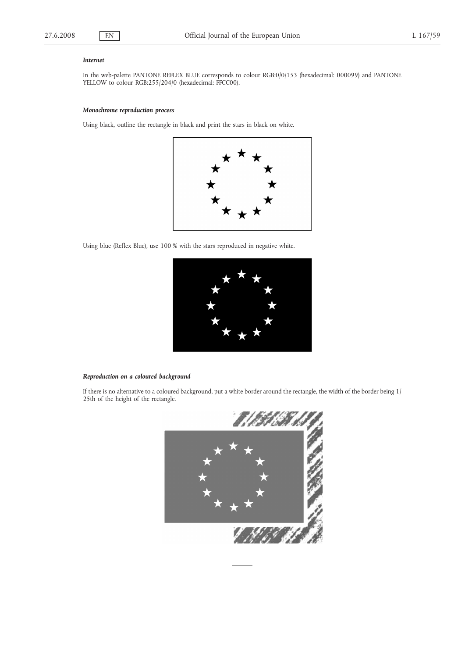#### *Internet*

In the web-palette PANTONE REFLEX BLUE corresponds to colour RGB:0/0/153 (hexadecimal: 000099) and PANTONE YELLOW to colour RGB:255/204/0 (hexadecimal: FFCC00).

# *Monochrome reproduction process*

Using black, outline the rectangle in black and print the stars in black on white.



Using blue (Reflex Blue), use 100 % with the stars reproduced in negative white.



# *Reproduction on a coloured background*

If there is no alternative to a coloured background, put a white border around the rectangle, the width of the border being 1/ 25th of the height of the rectangle.

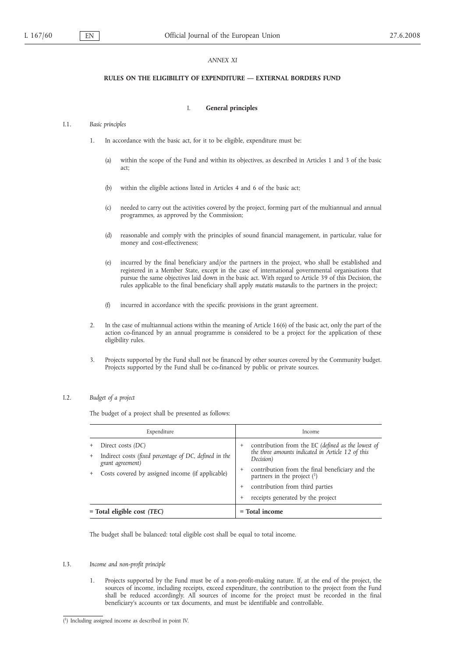#### *ANNEX XI*

#### **RULES ON THE ELIGIBILITY OF EXPENDITURE — EXTERNAL BORDERS FUND**

# I. **General principles**

#### I.1. *Basic principles*

- 1. In accordance with the basic act, for it to be eligible, expenditure must be:
	- (a) within the scope of the Fund and within its objectives, as described in Articles 1 and 3 of the basic act;
	- (b) within the eligible actions listed in Articles 4 and 6 of the basic act;
	- (c) needed to carry out the activities covered by the project, forming part of the multiannual and annual programmes, as approved by the Commission;
	- (d) reasonable and comply with the principles of sound financial management, in particular, value for money and cost-effectiveness;
	- (e) incurred by the final beneficiary and/or the partners in the project, who shall be established and registered in a Member State, except in the case of international governmental organisations that pursue the same objectives laid down in the basic act. With regard to Article 39 of this Decision, the rules applicable to the final beneficiary shall apply *mutatis mutandis* to the partners in the project;
	- (f) incurred in accordance with the specific provisions in the grant agreement.
- 2. In the case of multiannual actions within the meaning of Article 16(6) of the basic act, only the part of the action co-financed by an annual programme is considered to be a project for the application of these eligibility rules.
- 3. Projects supported by the Fund shall not be financed by other sources covered by the Community budget. Projects supported by the Fund shall be co-financed by public or private sources.

# I.2. *Budget of a project*

The budget of a project shall be presented as follows:

| Expenditure                                                                                                                                         | Income                                                                                                                                                                                                                                                                           |
|-----------------------------------------------------------------------------------------------------------------------------------------------------|----------------------------------------------------------------------------------------------------------------------------------------------------------------------------------------------------------------------------------------------------------------------------------|
| Direct costs (DC)<br>Indirect costs (fixed percentage of DC, defined in the<br>grant agreement)<br>Costs covered by assigned income (if applicable) | contribution from the EC (defined as the lowest of<br>the three amounts indicated in Article 12 of this<br>Decision)<br>contribution from the final beneficiary and the<br>partners in the project $(1)$<br>contribution from third parties<br>receipts generated by the project |
| $=$ Total eligible cost (TEC)                                                                                                                       | $=$ Total income                                                                                                                                                                                                                                                                 |

The budget shall be balanced: total eligible cost shall be equal to total income.

#### I.3. *Income and non-profit principle*

1. Projects supported by the Fund must be of a non-profit-making nature. If, at the end of the project, the sources of income, including receipts, exceed expenditure, the contribution to the project from the Fund shall be reduced accordingly. All sources of income for the project must be recorded in the final beneficiary's accounts or tax documents, and must be identifiable and controllable.

<sup>(</sup> 1) Including assigned income as described in point IV.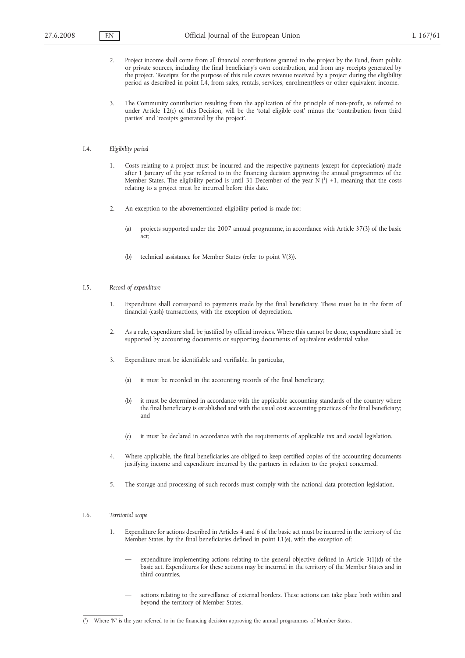- 2. Project income shall come from all financial contributions granted to the project by the Fund, from public or private sources, including the final beneficiary's own contribution, and from any receipts generated by the project. 'Receipts' for the purpose of this rule covers revenue received by a project during the eligibility period as described in point I.4, from sales, rentals, services, enrolment/fees or other equivalent income.
- 3. The Community contribution resulting from the application of the principle of non-profit, as referred to under Article 12(c) of this Decision, will be the 'total eligible cost' minus the 'contribution from third parties' and 'receipts generated by the project'.

### I.4. *Eligibility period*

- Costs relating to a project must be incurred and the respective payments (except for depreciation) made after 1 January of the year referred to in the financing decision approving the annual programmes of the Member States. The eligibility period is until 31 December of the year  $\bar{N}$  (<sup>1</sup>) +1, meaning that the costs relating to a project must be incurred before this date.
- 2. An exception to the abovementioned eligibility period is made for:
	- (a) projects supported under the 2007 annual programme, in accordance with Article 37(3) of the basic act;
	- (b) technical assistance for Member States (refer to point V(3)).

### I.5. *Record of expenditure*

- 1. Expenditure shall correspond to payments made by the final beneficiary. These must be in the form of financial (cash) transactions, with the exception of depreciation.
- 2. As a rule, expenditure shall be justified by official invoices. Where this cannot be done, expenditure shall be supported by accounting documents or supporting documents of equivalent evidential value.
- 3. Expenditure must be identifiable and verifiable. In particular,
	- (a) it must be recorded in the accounting records of the final beneficiary;
	- (b) it must be determined in accordance with the applicable accounting standards of the country where the final beneficiary is established and with the usual cost accounting practices of the final beneficiary; and
	- (c) it must be declared in accordance with the requirements of applicable tax and social legislation.
- 4. Where applicable, the final beneficiaries are obliged to keep certified copies of the accounting documents justifying income and expenditure incurred by the partners in relation to the project concerned.
- 5. The storage and processing of such records must comply with the national data protection legislation.

#### I.6. *Territorial scope*

- 1. Expenditure for actions described in Articles 4 and 6 of the basic act must be incurred in the territory of the Member States, by the final beneficiaries defined in point I.1(e), with the exception of:
	- expenditure implementing actions relating to the general objective defined in Article 3(1)(d) of the basic act. Expenditures for these actions may be incurred in the territory of the Member States and in third countries,
	- actions relating to the surveillance of external borders. These actions can take place both within and beyond the territory of Member States.

<sup>(</sup> 1) Where 'N' is the year referred to in the financing decision approving the annual programmes of Member States.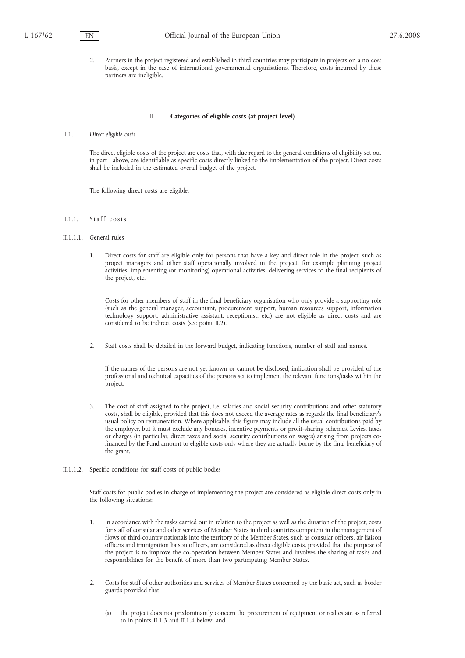2. Partners in the project registered and established in third countries may participate in projects on a no-cost basis, except in the case of international governmental organisations. Therefore, costs incurred by these partners are ineligible.

#### II. **Categories of eligible costs (at project level)**

#### II.1. *Direct eligible costs*

The direct eligible costs of the project are costs that, with due regard to the general conditions of eligibility set out in part I above, are identifiable as specific costs directly linked to the implementation of the project. Direct costs shall be included in the estimated overall budget of the project.

The following direct costs are eligible:

- II.1.1. Staff costs
- II.1.1.1. General rules
	- 1. Direct costs for staff are eligible only for persons that have a key and direct role in the project, such as project managers and other staff operationally involved in the project, for example planning project activities, implementing (or monitoring) operational activities, delivering services to the final recipients of the project, etc.

Costs for other members of staff in the final beneficiary organisation who only provide a supporting role (such as the general manager, accountant, procurement support, human resources support, information technology support, administrative assistant, receptionist, etc.) are not eligible as direct costs and are considered to be indirect costs (see point II.2).

2. Staff costs shall be detailed in the forward budget, indicating functions, number of staff and names.

If the names of the persons are not yet known or cannot be disclosed, indication shall be provided of the professional and technical capacities of the persons set to implement the relevant functions/tasks within the project.

- 3. The cost of staff assigned to the project, i.e. salaries and social security contributions and other statutory costs, shall be eligible, provided that this does not exceed the average rates as regards the final beneficiary's usual policy on remuneration. Where applicable, this figure may include all the usual contributions paid by the employer, but it must exclude any bonuses, incentive payments or profit-sharing schemes. Levies, taxes or charges (in particular, direct taxes and social security contributions on wages) arising from projects cofinanced by the Fund amount to eligible costs only where they are actually borne by the final beneficiary of the grant.
- II.1.1.2. Specific conditions for staff costs of public bodies

Staff costs for public bodies in charge of implementing the project are considered as eligible direct costs only in the following situations:

- 1. In accordance with the tasks carried out in relation to the project as well as the duration of the project, costs for staff of consular and other services of Member States in third countries competent in the management of flows of third-country nationals into the territory of the Member States, such as consular officers, air liaison officers and immigration liaison officers, are considered as direct eligible costs, provided that the purpose of the project is to improve the co-operation between Member States and involves the sharing of tasks and responsibilities for the benefit of more than two participating Member States.
- 2. Costs for staff of other authorities and services of Member States concerned by the basic act, such as border guards provided that:
	- (a) the project does not predominantly concern the procurement of equipment or real estate as referred to in points II.1.3 and II.1.4 below; and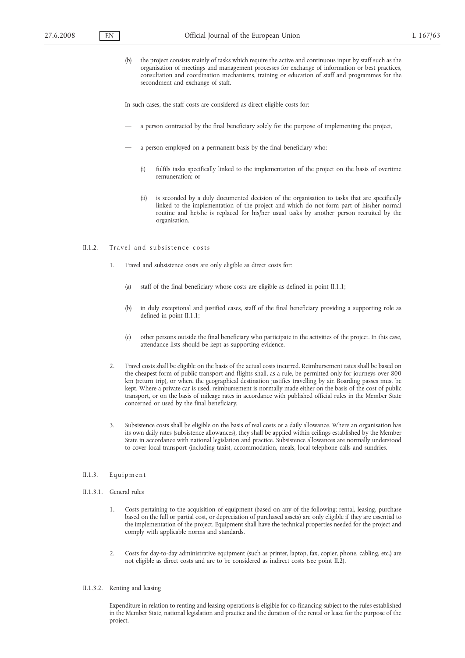(b) the project consists mainly of tasks which require the active and continuous input by staff such as the organisation of meetings and management processes for exchange of information or best practices, consultation and coordination mechanisms, training or education of staff and programmes for the secondment and exchange of staff.

In such cases, the staff costs are considered as direct eligible costs for:

- a person contracted by the final beneficiary solely for the purpose of implementing the project,
- a person employed on a permanent basis by the final beneficiary who:
	- (i) fulfils tasks specifically linked to the implementation of the project on the basis of overtime remuneration; or
	- (ii) is seconded by a duly documented decision of the organisation to tasks that are specifically linked to the implementation of the project and which do not form part of his/her normal routine and he/she is replaced for his/her usual tasks by another person recruited by the organisation.

#### II.1.2. Travel and subsistence costs

- 1. Travel and subsistence costs are only eligible as direct costs for:
	- (a) staff of the final beneficiary whose costs are eligible as defined in point II.1.1;
	- (b) in duly exceptional and justified cases, staff of the final beneficiary providing a supporting role as defined in point II.1.1;
	- (c) other persons outside the final beneficiary who participate in the activities of the project. In this case, attendance lists should be kept as supporting evidence.
- 2. Travel costs shall be eligible on the basis of the actual costs incurred. Reimbursement rates shall be based on the cheapest form of public transport and flights shall, as a rule, be permitted only for journeys over 800 km (return trip), or where the geographical destination justifies travelling by air. Boarding passes must be kept. Where a private car is used, reimbursement is normally made either on the basis of the cost of public transport, or on the basis of mileage rates in accordance with published official rules in the Member State concerned or used by the final beneficiary.
- 3. Subsistence costs shall be eligible on the basis of real costs or a daily allowance. Where an organisation has its own daily rates (subsistence allowances), they shall be applied within ceilings established by the Member State in accordance with national legislation and practice. Subsistence allowances are normally understood to cover local transport (including taxis), accommodation, meals, local telephone calls and sundries.

### II.1.3. Equipment

- II.1.3.1. General rules
	- 1. Costs pertaining to the acquisition of equipment (based on any of the following: rental, leasing, purchase based on the full or partial cost, or depreciation of purchased assets) are only eligible if they are essential to the implementation of the project. Equipment shall have the technical properties needed for the project and comply with applicable norms and standards.
	- 2. Costs for day-to-day administrative equipment (such as printer, laptop, fax, copier, phone, cabling, etc.) are not eligible as direct costs and are to be considered as indirect costs (see point II.2).
- II.1.3.2. Renting and leasing

Expenditure in relation to renting and leasing operations is eligible for co-financing subject to the rules established in the Member State, national legislation and practice and the duration of the rental or lease for the purpose of the project.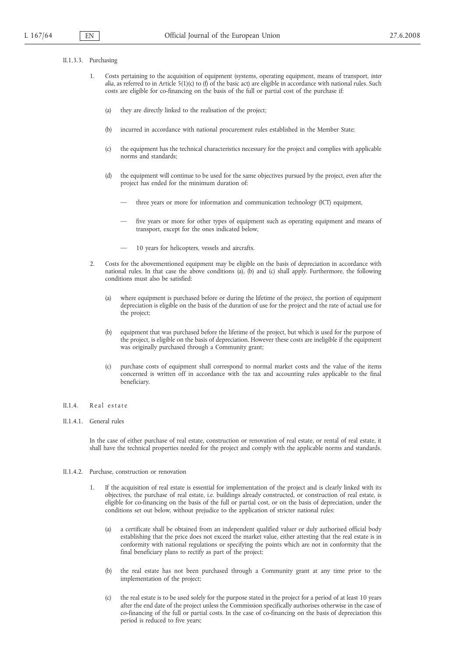#### II.1.3.3. Purchasing

- 1. Costs pertaining to the acquisition of equipment (systems, operating equipment, means of transport, *inter alia*, as referred to in Article 5(1)(c) to (f) of the basic act) are eligible in accordance with national rules. Such costs are eligible for co-financing on the basis of the full or partial cost of the purchase if:
	- (a) they are directly linked to the realisation of the project;
	- (b) incurred in accordance with national procurement rules established in the Member State;
	- (c) the equipment has the technical characteristics necessary for the project and complies with applicable norms and standards;
	- (d) the equipment will continue to be used for the same objectives pursued by the project, even after the project has ended for the minimum duration of:
		- three years or more for information and communication technology (ICT) equipment,
		- five years or more for other types of equipment such as operating equipment and means of transport, except for the ones indicated below,
		- 10 years for helicopters, vessels and aircrafts.
- 2. Costs for the abovementioned equipment may be eligible on the basis of depreciation in accordance with national rules. In that case the above conditions (a), (b) and (c) shall apply. Furthermore, the following conditions must also be satisfied:
	- (a) where equipment is purchased before or during the lifetime of the project, the portion of equipment depreciation is eligible on the basis of the duration of use for the project and the rate of actual use for the project;
	- (b) equipment that was purchased before the lifetime of the project, but which is used for the purpose of the project, is eligible on the basis of depreciation. However these costs are ineligible if the equipment was originally purchased through a Community grant;
	- (c) purchase costs of equipment shall correspond to normal market costs and the value of the items concerned is written off in accordance with the tax and accounting rules applicable to the final beneficiary.

### II.1.4. Real estate

II.1.4.1. General rules

In the case of either purchase of real estate, construction or renovation of real estate, or rental of real estate, it shall have the technical properties needed for the project and comply with the applicable norms and standards.

#### II.1.4.2. Purchase, construction or renovation

- 1. If the acquisition of real estate is essential for implementation of the project and is clearly linked with its objectives, the purchase of real estate, i.e. buildings already constructed, or construction of real estate, is eligible for co-financing on the basis of the full or partial cost, or on the basis of depreciation, under the conditions set out below, without prejudice to the application of stricter national rules:
	- (a) a certificate shall be obtained from an independent qualified valuer or duly authorised official body establishing that the price does not exceed the market value, either attesting that the real estate is in conformity with national regulations or specifying the points which are not in conformity that the final beneficiary plans to rectify as part of the project;
	- (b) the real estate has not been purchased through a Community grant at any time prior to the implementation of the project;
	- (c) the real estate is to be used solely for the purpose stated in the project for a period of at least 10 years after the end date of the project unless the Commission specifically authorises otherwise in the case of co-financing of the full or partial costs. In the case of co-financing on the basis of depreciation this period is reduced to five years;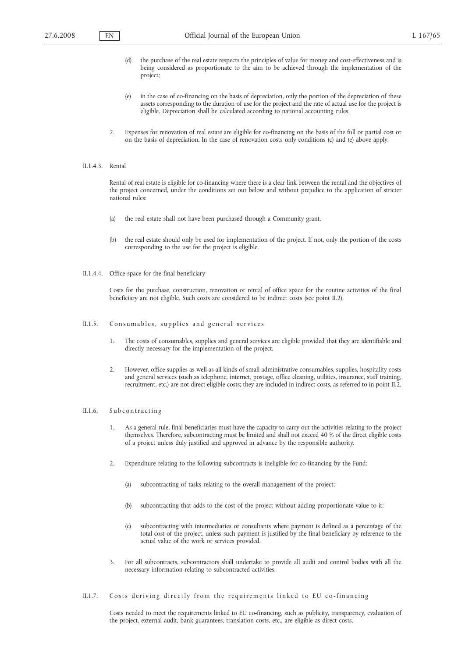- (d) the purchase of the real estate respects the principles of value for money and cost-effectiveness and is being considered as proportionate to the aim to be achieved through the implementation of the project;
- (e) in the case of co-financing on the basis of depreciation, only the portion of the depreciation of these assets corresponding to the duration of use for the project and the rate of actual use for the project is eligible. Depreciation shall be calculated according to national accounting rules.
- 2. Expenses for renovation of real estate are eligible for co-financing on the basis of the full or partial cost or on the basis of depreciation. In the case of renovation costs only conditions (c) and (e) above apply.

### II.1.4.3. Rental

Rental of real estate is eligible for co-financing where there is a clear link between the rental and the objectives of the project concerned, under the conditions set out below and without prejudice to the application of stricter national rules:

- (a) the real estate shall not have been purchased through a Community grant.
- (b) the real estate should only be used for implementation of the project. If not, only the portion of the costs corresponding to the use for the project is eligible.
- II.1.4.4. Office space for the final beneficiary

Costs for the purchase, construction, renovation or rental of office space for the routine activities of the final beneficiary are not eligible. Such costs are considered to be indirect costs (see point II.2).

#### II.1.5. Consumables, supplies and general services

- 1. The costs of consumables, supplies and general services are eligible provided that they are identifiable and directly necessary for the implementation of the project.
- 2. However, office supplies as well as all kinds of small administrative consumables, supplies, hospitality costs and general services (such as telephone, internet, postage, office cleaning, utilities, insurance, staff training, recruitment, etc.) are not direct eligible costs; they are included in indirect costs, as referred to in point II.2.

#### II.1.6. Subcontracting

- 1. As a general rule, final beneficiaries must have the capacity to carry out the activities relating to the project themselves. Therefore, subcontracting must be limited and shall not exceed 40 % of the direct eligible costs of a project unless duly justified and approved in advance by the responsible authority.
- 2. Expenditure relating to the following subcontracts is ineligible for co-financing by the Fund:
	- (a) subcontracting of tasks relating to the overall management of the project;
	- (b) subcontracting that adds to the cost of the project without adding proportionate value to it;
	- (c) subcontracting with intermediaries or consultants where payment is defined as a percentage of the total cost of the project, unless such payment is justified by the final beneficiary by reference to the actual value of the work or services provided.
- 3. For all subcontracts, subcontractors shall undertake to provide all audit and control bodies with all the necessary information relating to subcontracted activities.
- II.1.7. Costs deriving directly from the requirements linked to EU co-financing

Costs needed to meet the requirements linked to EU co-financing, such as publicity, transparency, evaluation of the project, external audit, bank guarantees, translation costs, etc., are eligible as direct costs.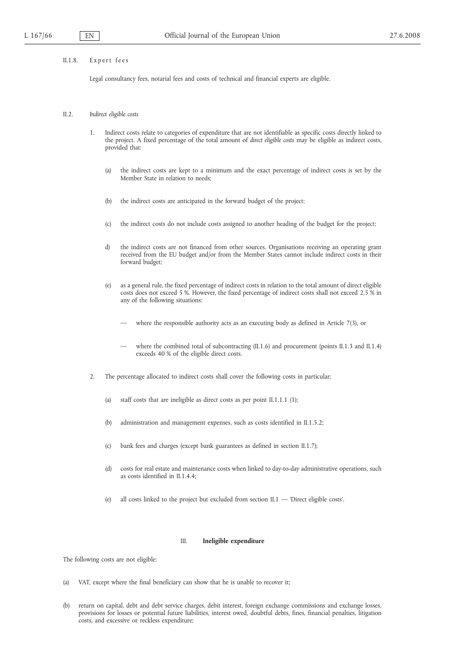#### II.1.8. Expert fees

Legal consultancy fees, notarial fees and costs of technical and financial experts are eligible.

- II.2. *Indirect eligible costs*
	- 1. Indirect costs relate to categories of expenditure that are not identifiable as specific costs directly linked to the project. A fixed percentage of the total amount of *direct eligible costs* may be eligible as indirect costs, provided that:
		- (a) the indirect costs are kept to a minimum and the exact percentage of indirect costs is set by the Member State in relation to needs;
		- (b) the indirect costs are anticipated in the forward budget of the project;
		- (c) the indirect costs do not include costs assigned to another heading of the budget for the project;
		- d) the indirect costs are not financed from other sources. Organisations receiving an operating grant received from the EU budget and/or from the Member States cannot include indirect costs in their forward budget;
		- (e) as a general rule, the fixed percentage of indirect costs in relation to the total amount of direct eligible costs does not exceed 5 %. However, the fixed percentage of indirect costs shall not exceed 2,5 % in any of the following situations:
			- where the responsible authority acts as an executing body as defined in Article  $7(3)$ , or
			- where the combined total of subcontracting (II.1.6) and procurement (points II.1.3 and II.1.4) exceeds 40 % of the eligible direct costs.
	- 2. The percentage allocated to indirect costs shall cover the following costs in particular:
		- (a) staff costs that are ineligible as direct costs as per point II.1.1.1 (1);
		- (b) administration and management expenses, such as costs identified in II.1.5.2;
		- (c) bank fees and charges (except bank guarantees as defined in section II.1.7);
		- (d) costs for real estate and maintenance costs when linked to day-to-day administrative operations, such as costs identified in II.1.4.4;
		- (e) all costs linked to the project but excluded from section II.1 'Direct eligible costs'.

#### III. **Ineligible expenditure**

The following costs are not eligible:

- (a) VAT, except where the final beneficiary can show that he is unable to recover it;
- (b) return on capital, debt and debt service charges, debit interest, foreign exchange commissions and exchange losses, provisions for losses or potential future liabilities, interest owed, doubtful debts, fines, financial penalties, litigation costs, and excessive or reckless expenditure;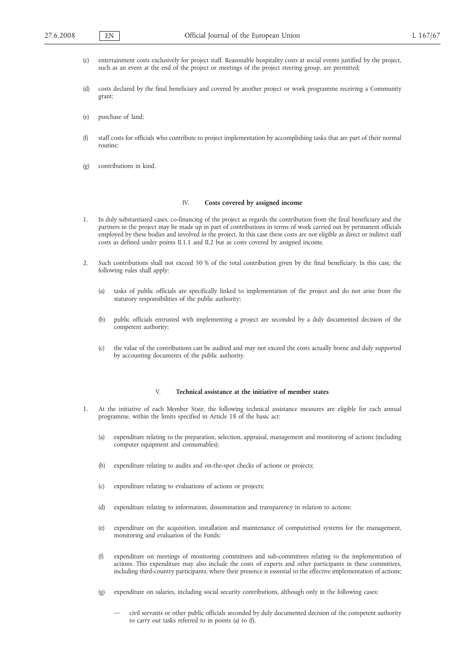- (c) entertainment costs exclusively for project staff. Reasonable hospitality costs at social events justified by the project, such as an event at the end of the project or meetings of the project steering group, are permitted;
- (d) costs declared by the final beneficiary and covered by another project or work programme receiving a Community grant;
- (e) purchase of land;
- (f) staff costs for officials who contribute to project implementation by accomplishing tasks that are part of their normal routine;
- (g) contributions in kind.

# IV. **Costs covered by assigned income**

- 1. In duly substantiated cases, co-financing of the project as regards the contribution from the final beneficiary and the partners in the project may be made up in part of contributions in terms of work carried out by permanent officials employed by these bodies and involved in the project. In this case these costs are not eligible as direct or indirect staff costs as defined under points II.1.1 and II.2 but as costs covered by assigned income.
- 2. Such contributions shall not exceed 50 % of the total contribution given by the final beneficiary. In this case, the following rules shall apply:
	- (a) tasks of public officials are specifically linked to implementation of the project and do not arise from the statutory responsibilities of the public authority;
	- (b) public officials entrusted with implementing a project are seconded by a duly documented decision of the competent authority;
	- (c) the value of the contributions can be audited and may not exceed the costs actually borne and duly supported by accounting documents of the public authority.

#### V. **Technical assistance at the initiative of member states**

- 1. At the initiative of each Member State, the following technical assistance measures are eligible for each annual programme, within the limits specified in Article 18 of the basic act:
	- (a) expenditure relating to the preparation, selection, appraisal, management and monitoring of actions (including computer equipment and consumables);
	- (b) expenditure relating to audits and on-the-spot checks of actions or projects;
	- (c) expenditure relating to evaluations of actions or projects;
	- (d) expenditure relating to information, dissemination and transparency in relation to actions;
	- (e) expenditure on the acquisition, installation and maintenance of computerised systems for the management, monitoring and evaluation of the Funds;
	- (f) expenditure on meetings of monitoring committees and sub-committees relating to the implementation of actions. This expenditure may also include the costs of experts and other participants in these committees, including third-country participants, where their presence is essential to the effective implementation of actions;
	- (g) expenditure on salaries, including social security contributions, although only in the following cases:
		- civil servants or other public officials seconded by duly documented decision of the competent authority to carry out tasks referred to in points (a) to (f),